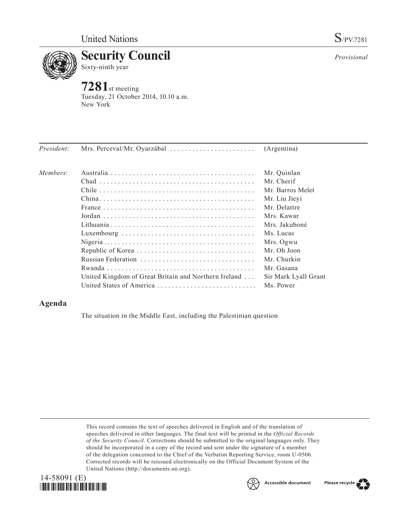

*Provisional*

Sixty-ninth year

**7281**st meeting Tuesday, 21 October 2014, 10.10 a.m. New York

| President: | Mrs. Perceval/Mr. Oyarzábal                          | (Argentina)          |
|------------|------------------------------------------------------|----------------------|
| Members:   |                                                      | Mr. Quinlan          |
|            |                                                      | Mr. Cherif           |
|            |                                                      | Mr. Barros Melet     |
|            |                                                      | Mr. Liu Jieyi        |
|            |                                                      | Mr. Delattre         |
|            |                                                      | Mrs. Kawar           |
|            |                                                      | Mrs. Jakubonė        |
|            |                                                      | Ms. Lucas            |
|            |                                                      | Mrs. Ogwu            |
|            |                                                      | Mr. Oh Joon          |
|            |                                                      | Mr. Churkin          |
|            |                                                      | Mr. Gasana           |
|            | United Kingdom of Great Britain and Northern Ireland | Sir Mark Lyall Grant |
|            | United States of America                             | Ms. Power            |

# **Agenda**

The situation in the Middle East, including the Palestinian question

This record contains the text of speeches delivered in English and of the translation of speeches delivered in other languages. The final text will be printed in the *Official Records of the Security Council*. Corrections should be submitted to the original languages only. They should be incorporated in a copy of the record and sent under the signature of a member of the delegation concerned to the Chief of the Verbatim Reporting Service, room U-0506. Corrected records will be reissued electronically on the Official Document System of the United Nations [\(http://documents.un.org\)](http://documents.un.org/).





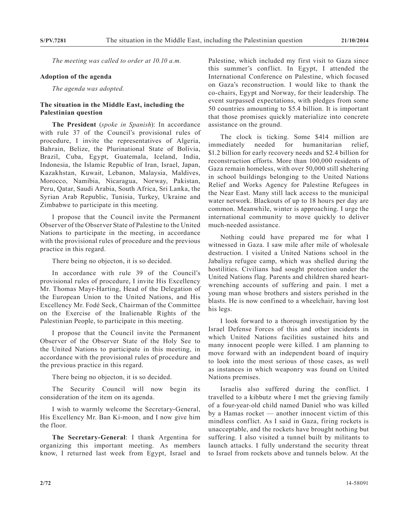*The meeting was called to order at 10.10 a.m.*

#### **Adoption of the agenda**

*The agenda was adopted.*

## **The situation in the Middle East, including the Palestinian question**

**The President** (*spoke in Spanish*): In accordance with rule 37 of the Council's provisional rules of procedure, I invite the representatives of Algeria, Bahrain, Belize, the Plurinational State of Bolivia, Brazil, Cuba, Egypt, Guatemala, Iceland, India, Indonesia, the Islamic Republic of Iran, Israel, Japan, Kazakhstan, Kuwait, Lebanon, Malaysia, Maldives, Morocco, Namibia, Nicaragua, Norway, Pakistan, Peru, Qatar, Saudi Arabia, South Africa, Sri Lanka, the Syrian Arab Republic, Tunisia, Turkey, Ukraine and Zimbabwe to participate in this meeting.

I propose that the Council invite the Permanent Observer of the Observer State of Palestine to the United Nations to participate in the meeting, in accordance with the provisional rules of procedure and the previous practice in this regard.

There being no objecton, it is so decided.

In accordance with rule 39 of the Council's provisional rules of procedure, I invite His Excellency Mr. Thomas Mayr-Harting, Head of the Delegation of the European Union to the United Nations, and His Excellency Mr. Fodé Seck, Chairman of the Committee on the Exercise of the Inalienable Rights of the Palestinian People, to participate in this meeting.

I propose that the Council invite the Permanent Observer of the Observer State of the Holy See to the United Nations to participate in this meeting, in accordance with the provisional rules of procedure and the previous practice in this regard.

There being no objecton, it is so decided.

The Security Council will now begin its consideration of the item on its agenda.

I wish to warmly welcome the Secretary-General, His Excellency Mr. Ban Ki-moon, and I now give him the floor.

**The Secretary-General**: I thank Argentina for organizing this important meeting. As members know, I returned last week from Egypt, Israel and Palestine, which included my first visit to Gaza since this summer's conflict. In Egypt, I attended the International Conference on Palestine, which focused on Gaza's reconstruction. I would like to thank the co-chairs, Egypt and Norway, for their leadership. The event surpassed expectations, with pledges from some 50 countries amounting to \$5.4 billion. It is important that those promises quickly materialize into concrete assistance on the ground.

The clock is ticking. Some \$414 million are immediately needed for humanitarian relief, \$1.2 billion for early recovery needs and \$2.4 billion for reconstruction efforts. More than 100,000 residents of Gaza remain homeless, with over 50,000 still sheltering in school buildings belonging to the United Nations Relief and Works Agency for Palestine Refugees in the Near East. Many still lack access to the municipal water network. Blackouts of up to 18 hours per day are common. Meanwhile, winter is approaching. I urge the international community to move quickly to deliver much-needed assistance.

Nothing could have prepared me for what I witnessed in Gaza. I saw mile after mile of wholesale destruction. I visited a United Nations school in the Jabaliya refugee camp, which was shelled during the hostilities. Civilians had sought protection under the United Nations flag. Parents and children shared heartwrenching accounts of suffering and pain. I met a young man whose brothers and sisters perished in the blasts. He is now confined to a wheelchair, having lost his legs.

I look forward to a thorough investigation by the Israel Defense Forces of this and other incidents in which United Nations facilities sustained hits and many innocent people were killed. I am planning to move forward with an independent board of inquiry to look into the most serious of those cases, as well as instances in which weaponry was found on United Nations premises.

Israelis also suffered during the conflict. I travelled to a kibbutz where I met the grieving family of a four-year-old child named Daniel who was killed by a Hamas rocket — another innocent victim of this mindless conflict. As I said in Gaza, firing rockets is unacceptable, and the rockets have brought nothing but suffering. I also visited a tunnel built by militants to launch attacks. I fully understand the security threat to Israel from rockets above and tunnels below. At the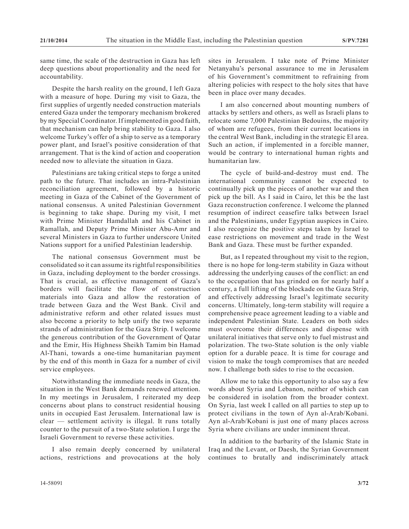same time, the scale of the destruction in Gaza has left deep questions about proportionality and the need for accountability.

Despite the harsh reality on the ground, I left Gaza with a measure of hope. During my visit to Gaza, the first supplies of urgently needed construction materials entered Gaza under the temporary mechanism brokered by my Special Coordinator. If implemented in good faith, that mechanism can help bring stability to Gaza. I also welcome Turkey's offer of a ship to serve as a temporary power plant, and Israel's positive consideration of that arrangement. That is the kind of action and cooperation needed now to alleviate the situation in Gaza.

Palestinians are taking critical steps to forge a united path to the future. That includes an intra-Palestinian reconciliation agreement, followed by a historic meeting in Gaza of the Cabinet of the Government of national consensus. A united Palestinian Government is beginning to take shape. During my visit, I met with Prime Minister Hamdallah and his Cabinet in Ramallah, and Deputy Prime Minister Abu-Amr and several Ministers in Gaza to further underscore United Nations support for a unified Palestinian leadership.

The national consensus Government must be consolidated so it can assume its rightful responsibilities in Gaza, including deployment to the border crossings. That is crucial, as effective management of Gaza's borders will facilitate the flow of construction materials into Gaza and allow the restoration of trade between Gaza and the West Bank. Civil and administrative reform and other related issues must also become a priority to help unify the two separate strands of administration for the Gaza Strip. I welcome the generous contribution of the Government of Qatar and the Emir, His Highness Sheikh Tamim bin Hamad Al-Thani, towards a one-time humanitarian payment by the end of this month in Gaza for a number of civil service employees.

Notwithstanding the immediate needs in Gaza, the situation in the West Bank demands renewed attention. In my meetings in Jerusalem, I reiterated my deep concerns about plans to construct residential housing units in occupied East Jerusalem. International law is clear — settlement activity is illegal. It runs totally counter to the pursuit of a two-State solution. I urge the Israeli Government to reverse these activities.

I also remain deeply concerned by unilateral actions, restrictions and provocations at the holy sites in Jerusalem. I take note of Prime Minister Netanyahu's personal assurance to me in Jerusalem of his Government's commitment to refraining from altering policies with respect to the holy sites that have been in place over many decades.

I am also concerned about mounting numbers of attacks by settlers and others, as well as Israeli plans to relocate some 7,000 Palestinian Bedouins, the majority of whom are refugees, from their current locations in the central West Bank, including in the strategic El area. Such an action, if implemented in a forcible manner, would be contrary to international human rights and humanitarian law.

The cycle of build-and-destroy must end. The international community cannot be expected to continually pick up the pieces of another war and then pick up the bill. As I said in Cairo, let this be the last Gaza reconstruction conference. I welcome the planned resumption of indirect ceasefire talks between Israel and the Palestinians, under Egyptian auspices in Cairo. I also recognize the positive steps taken by Israel to ease restrictions on movement and trade in the West Bank and Gaza. These must be further expanded.

But, as I repeated throughout my visit to the region, there is no hope for long-term stability in Gaza without addressing the underlying causes of the conflict: an end to the occupation that has grinded on for nearly half a century, a full lifting of the blockade on the Gaza Strip, and effectively addressing Israel's legitimate security concerns. Ultimately, long-term stability will require a comprehensive peace agreement leading to a viable and independent Palestinian State. Leaders on both sides must overcome their differences and dispense with unilateral initiatives that serve only to fuel mistrust and polarization. The two-State solution is the only viable option for a durable peace. It is time for courage and vision to make the tough compromises that are needed now. I challenge both sides to rise to the occasion.

Allow me to take this opportunity to also say a few words about Syria and Lebanon, neither of which can be considered in isolation from the broader context. On Syria, last week I called on all parties to step up to protect civilians in the town of Ayn al-Arab/Kobani. Ayn al-Arab/Kobani is just one of many places across Syria where civilians are under imminent threat.

In addition to the barbarity of the Islamic State in Iraq and the Levant, or Daesh, the Syrian Government continues to brutally and indiscriminately attack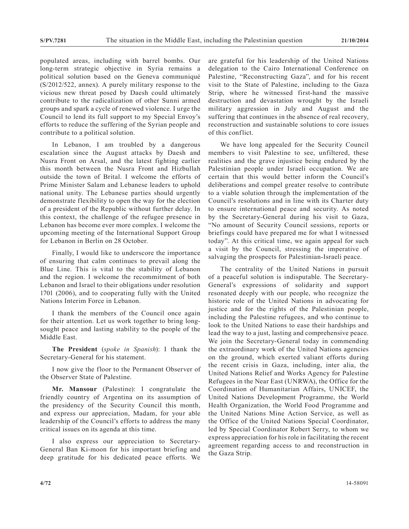populated areas, including with barrel bombs. Our long-term strategic objective in Syria remains a political solution based on the Geneva communiqué (S/2012/522, annex). A purely military response to the vicious new threat posed by Daesh could ultimately contribute to the radicalization of other Sunni armed groups and spark a cycle of renewed violence. I urge the Council to lend its full support to my Special Envoy's efforts to reduce the suffering of the Syrian people and contribute to a political solution.

In Lebanon, I am troubled by a dangerous escalation since the August attacks by Daesh and Nusra Front on Arsal, and the latest fighting earlier this month between the Nusra Front and Hizbullah outside the town of Brital. I welcome the efforts of Prime Minister Salam and Lebanese leaders to uphold national unity. The Lebanese parties should urgently demonstrate flexibility to open the way for the election of a president of the Republic without further delay. In this context, the challenge of the refugee presence in Lebanon has become ever more complex. I welcome the upcoming meeting of the International Support Group for Lebanon in Berlin on 28 October.

Finally, I would like to underscore the importance of ensuring that calm continues to prevail along the Blue Line. This is vital to the stability of Lebanon and the region. I welcome the recommitment of both Lebanon and Israel to their obligations under resolution 1701 (2006), and to cooperating fully with the United Nations Interim Force in Lebanon.

I thank the members of the Council once again for their attention. Let us work together to bring longsought peace and lasting stability to the people of the Middle East.

**The President** (*spoke in Spanish*): I thank the Secretary-General for his statement.

I now give the floor to the Permanent Observer of the Observer State of Palestine.

**Mr. Mansour** (Palestine): I congratulate the friendly country of Argentina on its assumption of the presidency of the Security Council this month, and express our appreciation, Madam, for your able leadership of the Council's efforts to address the many critical issues on its agenda at this time.

I also express our appreciation to Secretary-General Ban Ki-moon for his important briefing and deep gratitude for his dedicated peace efforts. We are grateful for his leadership of the United Nations delegation to the Cairo International Conference on Palestine, "Reconstructing Gaza", and for his recent visit to the State of Palestine, including to the Gaza Strip, where he witnessed first-hand the massive destruction and devastation wrought by the Israeli military aggression in July and August and the suffering that continues in the absence of real recovery, reconstruction and sustainable solutions to core issues of this conflict.

We have long appealed for the Security Council members to visit Palestine to see, unfiltered, these realities and the grave injustice being endured by the Palestinian people under Israeli occupation. We are certain that this would better inform the Council's deliberations and compel greater resolve to contribute to a viable solution through the implementation of the Council's resolutions and in line with its Charter duty to ensure international peace and security. As noted by the Secretary-General during his visit to Gaza, "No amount of Security Council sessions, reports or briefings could have prepared me for what I witnessed today". At this critical time, we again appeal for such a visit by the Council, stressing the imperative of salvaging the prospects for Palestinian-Israeli peace.

The centrality of the United Nations in pursuit of a peaceful solution is indisputable. The Secretary-General's expressions of solidarity and support resonated deeply with our people, who recognize the historic role of the United Nations in advocating for justice and for the rights of the Palestinian people, including the Palestine refugees, and who continue to look to the United Nations to ease their hardships and lead the way to a just, lasting and comprehensive peace. We join the Secretary-General today in commending the extraordinary work of the United Nations agencies on the ground, which exerted valiant efforts during the recent crisis in Gaza, including, inter alia, the United Nations Relief and Works Agency for Palestine Refugees in the Near East (UNRWA), the Office for the Coordination of Humanitarian Affairs, UNICEF, the United Nations Development Programme, the World Health Organization, the World Food Programme and the United Nations Mine Action Service, as well as the Office of the United Nations Special Coordinator, led by Special Coordinator Robert Serry, to whom we express appreciation for his role in facilitating the recent agreement regarding access to and reconstruction in the Gaza Strip.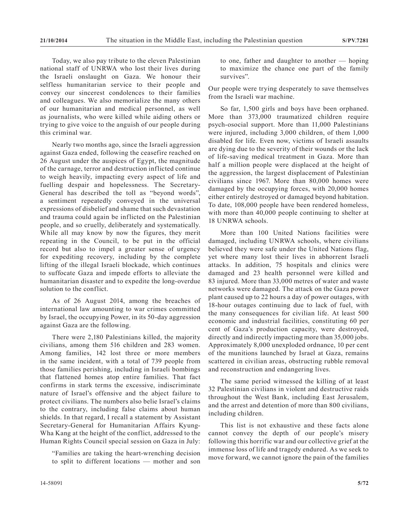Today, we also pay tribute to the eleven Palestinian national staff of UNRWA who lost their lives during the Israeli onslaught on Gaza. We honour their selfless humanitarian service to their people and convey our sincerest condolences to their families and colleagues. We also memorialize the many others of our humanitarian and medical personnel, as well as journalists, who were killed while aiding others or trying to give voice to the anguish of our people during this criminal war.

Nearly two months ago, since the Israeli aggression against Gaza ended, following the ceasefire reached on 26 August under the auspices of Egypt, the magnitude of the carnage, terror and destruction inflicted continue to weigh heavily, impacting every aspect of life and fuelling despair and hopelessness. The Secretary-General has described the toll as "beyond words", a sentiment repeatedly conveyed in the universal expressions of disbelief and shame that such devastation and trauma could again be inflicted on the Palestinian people, and so cruelly, deliberately and systematically. While all may know by now the figures, they merit repeating in the Council, to be put in the official record but also to impel a greater sense of urgency for expediting recovery, including by the complete lifting of the illegal Israeli blockade, which continues to suffocate Gaza and impede efforts to alleviate the humanitarian disaster and to expedite the long-overdue solution to the conflict.

As of 26 August 2014, among the breaches of international law amounting to war crimes committed by Israel, the occupying Power, in its 50-day aggression against Gaza are the following.

There were 2,180 Palestinians killed, the majority civilians, among them 516 children and 283 women. Among families, 142 lost three or more members in the same incident, with a total of 739 people from those families perishing, including in Israeli bombings that flattened homes atop entire families. That fact confirms in stark terms the excessive, indiscriminate nature of Israel's offensive and the abject failure to protect civilians. The numbers also belie Israel's claims to the contrary, including false claims about human shields. In that regard, I recall a statement by Assistant Secretary-General for Humanitarian Affairs Kyung-Wha Kang at the height of the conflict, addressed to the Human Rights Council special session on Gaza in July:

"Families are taking the heart-wrenching decision to split to different locations — mother and son Our people were trying desperately to save themselves from the Israeli war machine.

So far, 1,500 girls and boys have been orphaned. More than 373,000 traumatized children require psych-osocial support. More than 11,000 Palestinians were injured, including 3,000 children, of them 1,000 disabled for life. Even now, victims of Israeli assaults are dying due to the severity of their wounds or the lack of life-saving medical treatment in Gaza. More than half a million people were displaced at the height of the aggression, the largest displacement of Palestinian civilians since 1967. More than 80,000 homes were damaged by the occupying forces, with 20,000 homes either entirely destroyed or damaged beyond habitation. To date, 108,000 people have been rendered homeless, with more than 40,000 people continuing to shelter at 18 UNRWA schools.

More than 100 United Nations facilities were damaged, including UNRWA schools, where civilians believed they were safe under the United Nations flag, yet where many lost their lives in abhorrent Israeli attacks. In addition, 75 hospitals and clinics were damaged and 23 health personnel were killed and 83 injured. More than 33,000 metres of water and waste networks were damaged. The attack on the Gaza power plant caused up to 22 hours a day of power outages, with 18-hour outages continuing due to lack of fuel, with the many consequences for civilian life. At least 500 economic and industrial facilities, constituting 60 per cent of Gaza's production capacity, were destroyed, directly and indirectly impacting more than 35,000 jobs. Approximately 8,000 unexploded ordnance, 10 per cent of the munitions launched by Israel at Gaza, remains scattered in civilian areas, obstructing rubble removal and reconstruction and endangering lives.

The same period witnessed the killing of at least 32 Palestinian civilians in violent and destructive raids throughout the West Bank, including East Jerusalem, and the arrest and detention of more than 800 civilians, including children.

This list is not exhaustive and these facts alone cannot convey the depth of our people's misery following this horrific war and our collective grief at the immense loss of life and tragedy endured. As we seek to move forward, we cannot ignore the pain of the families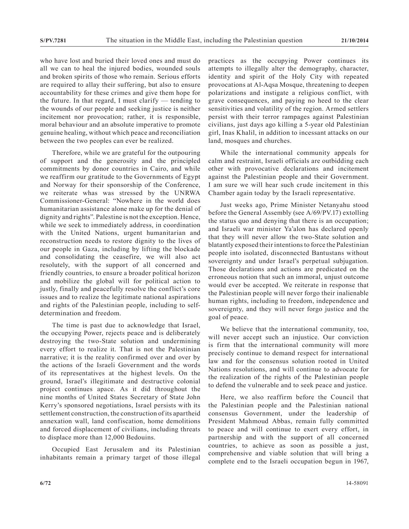who have lost and buried their loved ones and must do all we can to heal the injured bodies, wounded souls and broken spirits of those who remain. Serious efforts are required to allay their suffering, but also to ensure accountability for these crimes and give them hope for the future. In that regard, I must clarify — tending to the wounds of our people and seeking justice is neither incitement nor provocation; rather, it is responsible, moral behaviour and an absolute imperative to promote genuine healing, without which peace and reconciliation between the two peoples can ever be realized.

Therefore, while we are grateful for the outpouring of support and the generosity and the principled commitments by donor countries in Cairo, and while we reaffirm our gratitude to the Governments of Egypt and Norway for their sponsorship of the Conference, we reiterate whas was stressed by the UNRWA Commissioner-General: "Nowhere in the world does humanitarian assistance alone make up for the denial of dignity and rights". Palestine is not the exception. Hence, while we seek to immediately address, in coordination with the United Nations, urgent humanitarian and reconstruction needs to restore dignity to the lives of our people in Gaza, including by lifting the blockade and consolidating the ceasefire, we will also act resolutely, with the support of all concerned and friendly countries, to ensure a broader political horizon and mobilize the global will for political action to justly, finally and peacefully resolve the conflict's core issues and to realize the legitimate national aspirations and rights of the Palestinian people, including to selfdetermination and freedom.

The time is past due to acknowledge that Israel, the occupying Power, rejects peace and is deliberately destroying the two-State solution and undermining every effort to realize it. That is not the Palestinian narrative; it is the reality confirmed over and over by the actions of the Israeli Government and the words of its representatives at the highest levels. On the ground, Israel's illegitimate and destructive colonial project continues apace. As it did throughout the nine months of United States Secretary of State John Kerry's sponsored negotiations, Israel persists with its settlement construction, the construction of its apartheid annexation wall, land confiscation, home demolitions and forced displacement of civilians, including threats to displace more than 12,000 Bedouins.

Occupied East Jerusalem and its Palestinian inhabitants remain a primary target of those illegal practices as the occupying Power continues its attempts to illegally alter the demography, character, identity and spirit of the Holy City with repeated provocations at Al-Aqsa Mosque, threatening to deepen polarizations and instigate a religious conflict, with grave consequences, and paying no heed to the clear sensitivities and volatility of the region. Armed settlers persist with their terror rampages against Palestinian civilians, just days ago killing a 5-year old Palestinian girl, Inas Khalil, in addition to incessant attacks on our land, mosques and churches.

While the international community appeals for calm and restraint, Israeli officials are outbidding each other with provocative declarations and incitement against the Palestinian people and their Government. I am sure we will hear such crude incitement in this Chamber again today by the Israeli representative.

Just weeks ago, Prime Minister Netanyahu stood before the General Assembly (see A/69/PV.17) extolling the status quo and denying that there is an occupation; and Israeli war minister Ya'alon has declared openly that they will never allow the two-State solution and blatantly exposed their intentions to force the Palestinian people into isolated, disconnected Bantustans without sovereignty and under Israel's perpetual subjugation. Those declarations and actions are predicated on the erroneous notion that such an immoral, unjust outcome would ever be accepted. We reiterate in response that the Palestinian people will never forgo their inalienable human rights, including to freedom, independence and sovereignty, and they will never forgo justice and the goal of peace.

We believe that the international community, too, will never accept such an injustice. Our conviction is firm that the international community will more precisely continue to demand respect for international law and for the consensus solution rooted in United Nations resolutions, and will continue to advocate for the realization of the rights of the Palestinian people to defend the vulnerable and to seek peace and justice.

Here, we also reaffirm before the Council that the Palestinian people and the Palestinian national consensus Government, under the leadership of President Mahmoud Abbas, remain fully committed to peace and will continue to exert every effort, in partnership and with the support of all concerned countries, to achieve as soon as possible a just, comprehensive and viable solution that will bring a complete end to the Israeli occupation begun in 1967,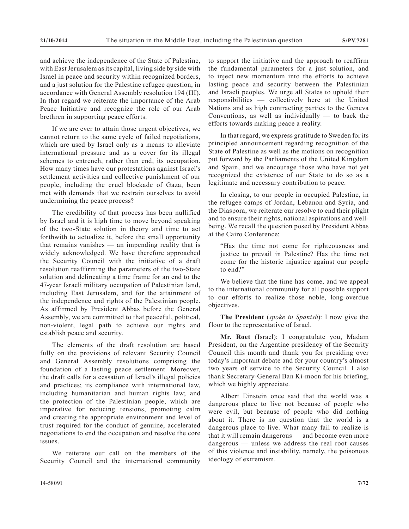and achieve the independence of the State of Palestine, with East Jerusalem as its capital, living side by side with Israel in peace and security within recognized borders, and a just solution for the Palestine refugee question, in accordance with General Assembly resolution 194 (III). In that regard we reiterate the importance of the Arab Peace Initiative and recognize the role of our Arab brethren in supporting peace efforts.

If we are ever to attain those urgent objectives, we cannot return to the same cycle of failed negotiations, which are used by Israel only as a means to alleviate international pressure and as a cover for its illegal schemes to entrench, rather than end, its occupation. How many times have our protestations against Israel's settlement activities and collective punishment of our people, including the cruel blockade of Gaza, been met with demands that we restrain ourselves to avoid undermining the peace process?

The credibility of that process has been nullified by Israel and it is high time to move beyond speaking of the two-State solution in theory and time to act forthwith to actualize it, before the small opportunity that remains vanishes — an impending reality that is widely acknowledged. We have therefore approached the Security Council with the initiative of a draft resolution reaffirming the parameters of the two-State solution and delineating a time frame for an end to the 47-year Israeli military occupation of Palestinian land, including East Jerusalem, and for the attainment of the independence and rights of the Palestinian people. As affirmed by President Abbas before the General Assembly, we are committed to that peaceful, political, non-violent, legal path to achieve our rights and establish peace and security.

The elements of the draft resolution are based fully on the provisions of relevant Security Council and General Assembly resolutions comprising the foundation of a lasting peace settlement. Moreover, the draft calls for a cessation of Israel's illegal policies and practices; its compliance with international law, including humanitarian and human rights law; and the protection of the Palestinian people, which are imperative for reducing tensions, promoting calm and creating the appropriate environment and level of trust required for the conduct of genuine, accelerated negotiations to end the occupation and resolve the core issues.

We reiterate our call on the members of the Security Council and the international community to support the initiative and the approach to reaffirm the fundamental parameters for a just solution, and to inject new momentum into the efforts to achieve lasting peace and security between the Palestinian and Israeli peoples. We urge all States to uphold their responsibilities — collectively here at the United Nations and as high contracting parties to the Geneva Conventions, as well as individually  $-$  to back the efforts towards making peace a reality.

In that regard, we express gratitude to Sweden for its principled announcement regarding recognition of the State of Palestine as well as the motions on recognition put forward by the Parliaments of the United Kingdom and Spain, and we encourage those who have not yet recognized the existence of our State to do so as a legitimate and necessary contribution to peace.

In closing, to our people in occupied Palestine, in the refugee camps of Jordan, Lebanon and Syria, and the Diaspora, we reiterate our resolve to end their plight and to ensure their rights, national aspirations and wellbeing. We recall the question posed by President Abbas at the Cairo Conference:

"Has the time not come for righteousness and justice to prevail in Palestine? Has the time not come for the historic injustice against our people to end?"

We believe that the time has come, and we appeal to the international community for all possible support to our efforts to realize those noble, long-overdue objectives.

**The President** (*spoke in Spanish*): I now give the floor to the representative of Israel.

**Mr. Roet** (Israel): I congratulate you, Madam President, on the Argentine presidency of the Security Council this month and thank you for presiding over today's important debate and for your country's almost two years of service to the Security Council. I also thank Secretary-General Ban Ki-moon for his briefing, which we highly appreciate.

Albert Einstein once said that the world was a dangerous place to live not because of people who were evil, but because of people who did nothing about it. There is no question that the world is a dangerous place to live. What many fail to realize is that it will remain dangerous — and become even more dangerous — unless we address the real root causes of this violence and instability, namely, the poisonous ideology of extremism.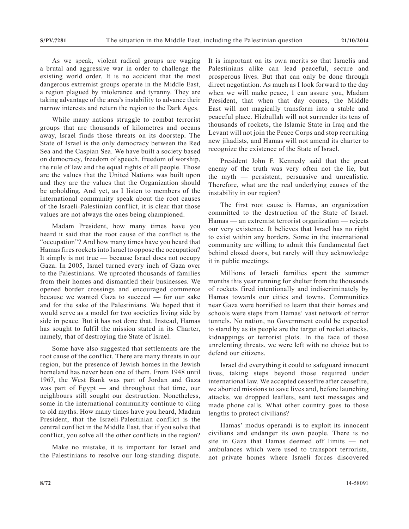As we speak, violent radical groups are waging a brutal and aggressive war in order to challenge the existing world order. It is no accident that the most dangerous extremist groups operate in the Middle East, a region plagued by intolerance and tyranny. They are taking advantage of the area's instability to advance their narrow interests and return the region to the Dark Ages.

While many nations struggle to combat terrorist groups that are thousands of kilometres and oceans away, Israel finds those threats on its doorstep. The State of Israel is the only democracy between the Red Sea and the Caspian Sea. We have built a society based on democracy, freedom of speech, freedom of worship, the rule of law and the equal rights of all people. Those are the values that the United Nations was built upon and they are the values that the Organization should be upholding. And yet, as I listen to members of the international community speak about the root causes of the Israeli-Palestinian conflict, it is clear that those values are not always the ones being championed.

Madam President, how many times have you heard it said that the root cause of the conflict is the "occupation"? And how many times have you heard that Hamas fires rockets into Israel to oppose the occupation? It simply is not true — because Israel does not occupy Gaza. In 2005, Israel turned every inch of Gaza over to the Palestinians. We uprooted thousands of families from their homes and dismantled their businesses. We opened border crossings and encouraged commerce because we wanted Gaza to succeed — for our sake and for the sake of the Palestinians. We hoped that it would serve as a model for two societies living side by side in peace. But it has not done that. Instead, Hamas has sought to fulfil the mission stated in its Charter, namely, that of destroying the State of Israel.

Some have also suggested that settlements are the root cause of the conflict. There are many threats in our region, but the presence of Jewish homes in the Jewish homeland has never been one of them. From 1948 until 1967, the West Bank was part of Jordan and Gaza was part of Egypt — and throughout that time, our neighbours still sought our destruction. Nonetheless, some in the international community continue to cling to old myths. How many times have you heard, Madam President, that the Israeli-Palestinian conflict is the central conflict in the Middle East, that if you solve that conflict, you solve all the other conflicts in the region?

Make no mistake, it is important for Israel and the Palestinians to resolve our long-standing dispute. It is important on its own merits so that Israelis and Palestinians alike can lead peaceful, secure and prosperous lives. But that can only be done through direct negotiation. As much as I look forward to the day when we will make peace, 1 can assure you, Madam President, that when that day comes, the Middle East will not magically transform into a stable and peaceful place. Hizbullah will not surrender its tens of thousands of rockets, the Islamic State in Iraq and the Levant will not join the Peace Corps and stop recruiting new jihadists, and Hamas will not amend its charter to recognize the existence of the State of Israel.

President John F. Kennedy said that the great enemy of the truth was very often not the lie, but the myth — persistent, persuasive and unrealistic. Therefore, what are the real underlying causes of the instability in our region?

The first root cause is Hamas, an organization committed to the destruction of the State of Israel. Hamas — an extremist terrorist organization — rejects our very existence. It believes that Israel has no right to exist within any borders. Some in the international community are willing to admit this fundamental fact behind closed doors, but rarely will they acknowledge it in public meetings.

Millions of Israeli families spent the summer months this year running for shelter from the thousands of rockets fired intentionally and indiscriminately by Hamas towards our cities and towns. Communities near Gaza were horrified to learn that their homes and schools were steps from Hamas' vast network of terror tunnels. No nation, no Government could be expected to stand by as its people are the target of rocket attacks, kidnappings or terrorist plots. In the face of those unrelenting threats, we were left with no choice but to defend our citizens.

Israel did everything it could to safeguard innocent lives, taking steps beyond those required under international law. We accepted ceasefire after ceasefire, we aborted missions to save lives and, before launching attacks, we dropped leaflets, sent text messages and made phone calls. What other country goes to those lengths to protect civilians?

Hamas' modus operandi is to exploit its innocent civilians and endanger its own people. There is no site in Gaza that Hamas deemed off limits — not ambulances which were used to transport terrorists, not private homes where Israeli forces discovered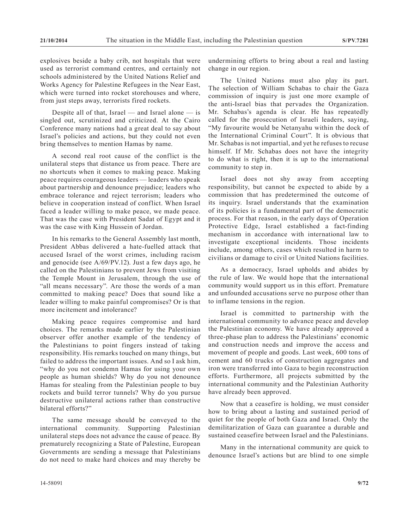explosives beside a baby crib, not hospitals that were used as terrorist command centres, and certainly not schools administered by the United Nations Relief and Works Agency for Palestine Refugees in the Near East, which were turned into rocket storehouses and where, from just steps away, terrorists fired rockets.

Despite all of that, Israel — and Israel alone — is singled out, scrutinized and criticized. At the Cairo Conference many nations had a great deal to say about Israel's policies and actions, but they could not even bring themselves to mention Hamas by name.

A second real root cause of the conflict is the unilateral steps that distance us from peace. There are no shortcuts when it comes to making peace. Making peace requires courageous leaders — leaders who speak about partnership and denounce prejudice; leaders who embrace tolerance and reject terrorism; leaders who believe in cooperation instead of conflict. When Israel faced a leader willing to make peace, we made peace. That was the case with President Sadat of Egypt and it was the case with King Hussein of Jordan.

In his remarks to the General Assembly last month, President Abbas delivered a hate-fuelled attack that accused Israel of the worst crimes, including racism and genocide (see A/69/PV.12). Just a few days ago, he called on the Palestinians to prevent Jews from visiting the Temple Mount in Jerusalem, through the use of "all means necessary". Are those the words of a man committed to making peace? Does that sound like a leader willing to make painful compromises? Or is that more incitement and intolerance?

Making peace requires compromise and hard choices. The remarks made earlier by the Palestinian observer offer another example of the tendency of the Palestinians to point fingers instead of taking responsibility. His remarks touched on many things, but failed to address the important issues. And so I ask him, "why do you not condemn Hamas for using your own people as human shields? Why do you not denounce Hamas for stealing from the Palestinian people to buy rockets and build terror tunnels? Why do you pursue destructive unilateral actions rather than constructive bilateral efforts?"

The same message should be conveyed to the international community. Supporting Palestinian unilateral steps does not advance the cause of peace. By prematurely recognizing a State of Palestine, European Governments are sending a message that Palestinians do not need to make hard choices and may thereby be

undermining efforts to bring about a real and lasting change in our region.

The United Nations must also play its part. The selection of William Schabas to chair the Gaza commission of inquiry is just one more example of the anti-Israel bias that pervades the Organization. Mr. Schabas's agenda is clear. He has repeatedly called for the prosecution of Israeli leaders, saying, "My favourite would be Netanyahu within the dock of the International Criminal Court". It is obvious that Mr. Schabas is not impartial, and yet he refuses to recuse himself. If Mr. Schabas does not have the integrity to do what is right, then it is up to the international community to step in.

Israel does not shy away from accepting responsibility, but cannot be expected to abide by a commission that has predetermined the outcome of its inquiry. Israel understands that the examination of its policies is a fundamental part of the democratic process. For that reason, in the early days of Operation Protective Edge, Israel established a fact-finding mechanism in accordance with international law to investigate exceptional incidents. Those incidents include, among others, cases which resulted in harm to civilians or damage to civil or United Nations facilities.

As a democracy, Israel upholds and abides by the rule of law. We would hope that the international community would support us in this effort. Premature and unfounded accusations serve no purpose other than to inflame tensions in the region.

Israel is committed to partnership with the international community to advance peace and develop the Palestinian economy. We have already approved a three-phase plan to address the Palestinians' economic and construction needs and improve the access and movement of people and goods. Last week, 600 tons of cement and 60 trucks of construction aggregates and iron were transferred into Gaza to begin reconstruction efforts. Furthermore, all projects submitted by the international community and the Palestinian Authority have already been approved.

Now that a ceasefire is holding, we must consider how to bring about a lasting and sustained period of quiet for the people of both Gaza and Israel. Only the demilitarization of Gaza can guarantee a durable and sustained ceasefire between Israel and the Palestinians.

Many in the international community are quick to denounce Israel's actions but are blind to one simple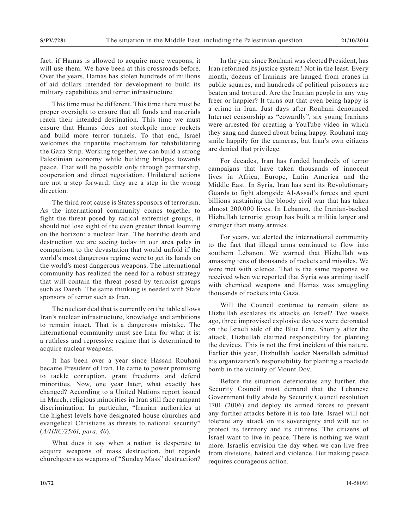fact: if Hamas is allowed to acquire more weapons, it will use them. We have been at this crossroads before. Over the years, Hamas has stolen hundreds of millions of aid dollars intended for development to build its military capabilities and terror infrastructure.

This time must be different. This time there must be proper oversight to ensure that all funds and materials reach their intended destination. This time we must ensure that Hamas does not stockpile more rockets and build more terror tunnels. To that end, Israel welcomes the tripartite mechanism for rehabilitating the Gaza Strip. Working together, we can build a strong Palestinian economy while building bridges towards peace. That will be possible only through partnership, cooperation and direct negotiation. Unilateral actions are not a step forward; they are a step in the wrong direction.

The third root cause is States sponsors of terrorism. As the international community comes together to fight the threat posed by radical extremist groups, it should not lose sight of the even greater threat looming on the horizon: a nuclear Iran. The horrific death and destruction we are seeing today in our area pales in comparison to the devastation that would unfold if the world's most dangerous regime were to get its hands on the world's most dangerous weapons. The international community has realized the need for a robust strategy that will contain the threat posed by terrorist groups such as Daesh. The same thinking is needed with State sponsors of terror such as Iran.

The nuclear deal that is currently on the table allows Iran's nuclear infrastructure, knowledge and ambitions to remain intact. That is a dangerous mistake. The international community must see Iran for what it is: a ruthless and repressive regime that is determined to acquire nuclear weapons.

It has been over a year since Hassan Rouhani became President of Iran. He came to power promising to tackle corruption, grant freedoms and defend minorities. Now, one year later, what exactly has changed? According to a United Nations report issued in March, religious minorities in Iran still face rampant discrimination. In particular, "Iranian authorities at the highest levels have designated house churches and evangelical Christians as threats to national security" (*A/HRC/25/61, para. 40*).

What does it say when a nation is desperate to acquire weapons of mass destruction, but regards churchgoers as weapons of "Sunday Mass" destruction?

In the year since Rouhani was elected President, has Iran reformed its justice system? Not in the least. Every month, dozens of Iranians are hanged from cranes in public squares, and hundreds of political prisoners are beaten and tortured. Are the Iranian people in any way freer or happier? It turns out that even being happy is a crime in Iran. Just days after Rouhani denounced Internet censorship as "cowardly", six young Iranians were arrested for creating a YouTube video in which they sang and danced about being happy. Rouhani may smile happily for the cameras, but Iran's own citizens are denied that privilege.

For decades, Iran has funded hundreds of terror campaigns that have taken thousands of innocent lives in Africa, Europe, Latin America and the Middle East. In Syria, Iran has sent its Revolutionary Guards to fight alongside Al-Assad's forces and spent billions sustaining the bloody civil war that has taken almost 200,000 lives. In Lebanon, the Iranian-backed Hizbullah terrorist group has built a militia larger and stronger than many armies.

For years, we alerted the international community to the fact that illegal arms continued to flow into southern Lebanon. We warned that Hizbullah was amassing tens of thousands of rockets and missiles. We were met with silence. That is the same response we received when we reported that Syria was arming itself with chemical weapons and Hamas was smuggling thousands of rockets into Gaza.

Will the Council continue to remain silent as Hizbullah escalates its attacks on Israel? Two weeks ago, three improvised explosive devices were detonated on the Israeli side of the Blue Line. Shortly after the attack, Hizbullah claimed responsibility for planting the devices. This is not the first incident of this nature. Earlier this year, Hizbullah leader Nasrallah admitted his organization's responsibility for planting a roadside bomb in the vicinity of Mount Dov.

Before the situation deteriorates any further, the Security Council must demand that the Lebanese Government fully abide by Security Council resolution 1701 (2006) and deploy its armed forces to prevent any further attacks before it is too late. Israel will not tolerate any attack on its sovereignty and will act to protect its territory and its citizens. The citizens of Israel want to live in peace. There is nothing we want more. Israelis envision the day when we can live free from divisions, hatred and violence. But making peace requires courageous action.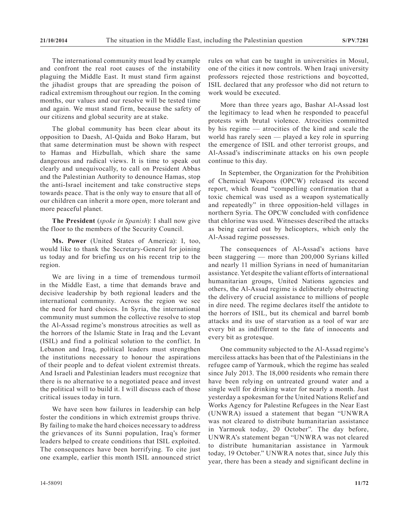The international community must lead by example and confront the real root causes of the instability plaguing the Middle East. It must stand firm against the jihadist groups that are spreading the poison of radical extremism throughout our region. In the coming months, our values and our resolve will be tested time and again. We must stand firm, because the safety of our citizens and global security are at stake.

The global community has been clear about its opposition to Daesh, Al-Qaida and Boko Haram, but that same determination must be shown with respect to Hamas and Hizbullah, which share the same dangerous and radical views. It is time to speak out clearly and unequivocally, to call on President Abbas and the Palestinian Authority to denounce Hamas, stop the anti-Israel incitement and take constructive steps towards peace. That is the only way to ensure that all of our children can inherit a more open, more tolerant and more peaceful planet.

**The President** (*spoke in Spanish*): I shall now give the floor to the members of the Security Council.

**Ms. Power** (United States of America): I, too, would like to thank the Secretary-General for joining us today and for briefing us on his recent trip to the region.

We are living in a time of tremendous turmoil in the Middle East, a time that demands brave and decisive leadership by both regional leaders and the international community. Across the region we see the need for hard choices. In Syria, the international community must summon the collective resolve to stop the Al-Assad regime's monstrous atrocities as well as the horrors of the Islamic State in Iraq and the Levant (ISIL) and find a political solution to the conflict. In Lebanon and Iraq, political leaders must strengthen the institutions necessary to honour the aspirations of their people and to defeat violent extremist threats. And Israeli and Palestinian leaders must recognize that there is no alternative to a negotiated peace and invest the political will to build it. I will discuss each of those critical issues today in turn.

We have seen how failures in leadership can help foster the conditions in which extremist groups thrive. By failing to make the hard choices necessary to address the grievances of its Sunni population, Iraq's former leaders helped to create conditions that ISIL exploited. The consequences have been horrifying. To cite just one example, earlier this month ISIL announced strict rules on what can be taught in universities in Mosul, one of the cities it now controls. When Iraqi university professors rejected those restrictions and boycotted, ISIL declared that any professor who did not return to work would be executed.

More than three years ago, Bashar Al-Assad lost the legitimacy to lead when he responded to peaceful protests with brutal violence. Atrocities committed by his regime — atrocities of the kind and scale the world has rarely seen — played a key role in spurring the emergence of ISIL and other terrorist groups, and Al-Assad's indiscriminate attacks on his own people continue to this day.

In September, the Organization for the Prohibition of Chemical Weapons (OPCW) released its second report, which found "compelling confirmation that a toxic chemical was used as a weapon systematically and repeatedly" in three opposition-held villages in northern Syria. The OPCW concluded with confidence that chlorine was used. Witnesses described the attacks as being carried out by helicopters, which only the Al-Assad regime possesses.

The consequences of Al-Assad's actions have been staggering — more than 200,000 Syrians killed and nearly 11 million Syrians in need of humanitarian assistance. Yet despite the valiant efforts of international humanitarian groups, United Nations agencies and others, the Al-Assad regime is deliberately obstructing the delivery of crucial assistance to millions of people in dire need. The regime declares itself the antidote to the horrors of ISIL, but its chemical and barrel bomb attacks and its use of starvation as a tool of war are every bit as indifferent to the fate of innocents and every bit as grotesque.

One community subjected to the Al-Assad regime's merciless attacks has been that of the Palestinians in the refugee camp of Yarmouk, which the regime has sealed since July 2013. The 18,000 residents who remain there have been relying on untreated ground water and a single well for drinking water for nearly a month. Just yesterday a spokesman for the United Nations Relief and Works Agency for Palestine Refugees in the Near East (UNWRA) issued a statement that began "UNWRA was not cleared to distribute humanitarian assistance in Yarmouk today, 20 October". The day before, UNWRA's statement began "UNWRA was not cleared to distribute humanitarian assistance in Yarmouk today, 19 October." UNWRA notes that, since July this year, there has been a steady and significant decline in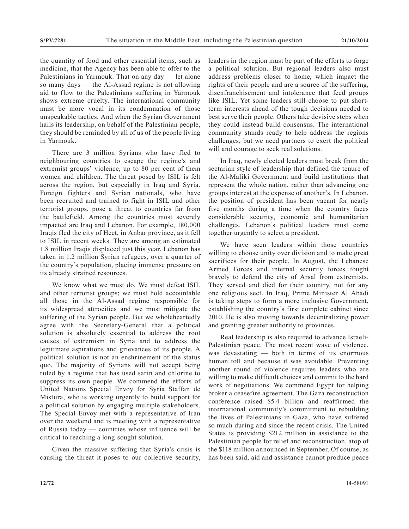the quantity of food and other essential items, such as medicine, that the Agency has been able to offer to the Palestinians in Yarmouk. That on any day — let alone so many days — the Al-Assad regime is not allowing aid to flow to the Palestinians suffering in Yarmouk shows extreme cruelty. The international community must be more vocal in its condemnation of those unspeakable tactics. And when the Syrian Government hails its leadership, on behalf of the Palestinian people, they should be reminded by all of us of the people living in Yarmouk.

There are 3 million Syrians who have fled to neighbouring countries to escape the regime's and extremist groups' violence, up to 80 per cent of them women and children. The threat posed by ISIL is felt across the region, but especially in Iraq and Syria. Foreign fighters and Syrian nationals, who have been recruited and trained to fight in ISIL and other terrorist groups, pose a threat to countries far from the battlefield. Among the countries most severely impacted are Iraq and Lebanon. For example, 180,000 Iraqis fled the city of Heet, in Anbar province, as it fell to ISIL in recent weeks. They are among an estimated 1.8 million Iraqis displaced just this year. Lebanon has taken in 1.2 million Syrian refugees, over a quarter of the country's population, placing immense pressure on its already strained resources.

We know what we must do. We must defeat ISIL and other terrorist groups; we must hold accountable all those in the Al-Assad regime responsible for its widespread attrocities and we must mitigate the suffering of the Syrian people. But we wholeheartedly agree with the Secretary-General that a political solution is absolutely essential to address the root causes of extremism in Syria and to address the legitimate aspirations and grievances of its people. A political solution is not an enshrinement of the status quo. The majority of Syrians will not accept being ruled by a regime that has used sarin and chlorine to suppress its own people. We commend the efforts of United Nations Special Envoy for Syria Staffan de Mistura, who is working urgently to build support for a political solution by engaging multiple stakeholders. The Special Envoy met with a representative of Iran over the weekend and is meeting with a representative of Russia today — countries whose influence will be critical to reaching a long-sought solution.

Given the massive suffering that Syria's crisis is causing the threat it poses to our collective security,

leaders in the region must be part of the efforts to forge a political solution. But regional leaders also must address problems closer to home, which impact the rights of their people and are a source of the suffering, disenfranchisement and intolerance that feed groups like ISIL. Yet some leaders still choose to put shortterm interests ahead of the tough decisions needed to best serve their people. Others take devisive steps when they could instead build consensus. The international community stands ready to help address the regions challenges, but we need partners to exert the political will and courage to seek real solutions.

In Iraq, newly elected leaders must break from the sectarian style of leadership that defined the tenure of the Al-Maliki Government and build institutions that represent the whole nation, rather than advancing one groups interest at the expense of another's. In Lebanon, the position of president has been vacant for nearly five months during a time when the country faces considerable security, economic and humanitarian challenges. Lebanon's political leaders must come together urgently to select a president.

We have seen leaders within those countries willing to choose unity over division and to make great sacrifices for their people. In August, the Lebanese Armed Forces and internal security forces fought bravely to defend the city of Arsal from extremists. They served and died for their country, not for any one religious sect. In Iraq, Prime Minister Al Abadi is taking steps to form a more inclusive Government, establishing the country's first complete cabinet since 2010. He is also moving towards decentralizing power and granting greater authority to provinces.

Real leadership is also required to advance Israeli-Palestinian peace. The most recent wave of violence, was devastating — both in terms of its enormous human toll and because it was avoidable. Preventing another round of violence requires leaders who are willing to make difficult choices and commit to the hard work of negotiations. We commend Egypt for helping broker a ceasefire agreement. The Gaza reconstruction conference raised \$5.4 billion and reaffirmed the international community's commitment to rebuilding the lives of Palestinians in Gaza, who have suffered so much during and since the recent crisis. The United States is providing \$212 million in assistance to the Palestinian people for relief and reconstruction, atop of the \$118 million announced in September. Of course, as has been said, aid and assistance cannot produce peace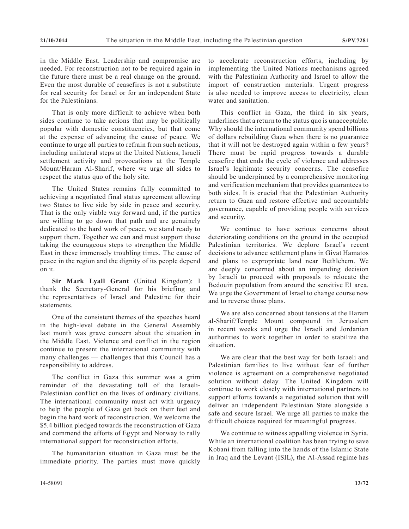in the Middle East. Leadership and compromise are needed. For reconstruction not to be required again in the future there must be a real change on the ground. Even the most durable of ceasefires is not a substitute for real security for Israel or for an independent State for the Palestinians.

That is only more difficult to achieve when both sides continue to take actions that may be politically popular with domestic constituencies, but that come at the expense of advancing the cause of peace. We continue to urge all parties to refrain from such actions, including unilateral steps at the United Nations, Israeli settlement activity and provocations at the Temple Mount/Haram Al-Sharif, where we urge all sides to respect the status quo of the holy site.

The United States remains fully committed to achieving a negotiated final status agreement allowing two States to live side by side in peace and security. That is the only viable way forward and, if the parties are willing to go down that path and are genuinely dedicated to the hard work of peace, we stand ready to support them. Together we can and must support those taking the courageous steps to strengthen the Middle East in these immensely troubling times. The cause of peace in the region and the dignity of its people depend on it.

**Sir Mark Lyall Grant** (United Kingdom): I thank the Secretary-General for his briefing and the representatives of Israel and Palestine for their statements.

One of the consistent themes of the speeches heard in the high-level debate in the General Assembly last month was grave concern about the situation in the Middle East. Violence and conflict in the region continue to present the international community with many challenges — challenges that this Council has a responsibility to address.

The conflict in Gaza this summer was a grim reminder of the devastating toll of the Israeli-Palestinian conflict on the lives of ordinary civilians. The international community must act with urgency to help the people of Gaza get back on their feet and begin the hard work of reconstruction. We welcome the \$5.4 billion pledged towards the reconstruction of Gaza and commend the efforts of Egypt and Norway to rally international support for reconstruction efforts.

The humanitarian situation in Gaza must be the immediate priority. The parties must move quickly to accelerate reconstruction efforts, including by implementing the United Nations mechanisms agreed with the Palestinian Authority and Israel to allow the import of construction materials. Urgent progress is also needed to improve access to electricity, clean water and sanitation.

This conflict in Gaza, the third in six years, underlines that a return to the status quo is unacceptable. Why should the international community spend billions of dollars rebuilding Gaza when there is no guarantee that it will not be destroyed again within a few years? There must be rapid progress towards a durable ceasefire that ends the cycle of violence and addresses Israel's legitimate security concerns. The ceasefire should be underpinned by a comprehensive monitoring and verification mechanism that provides guarantees to both sides. It is crucial that the Palestinian Authority return to Gaza and restore effective and accountable governance, capable of providing people with services and security.

We continue to have serious concerns about deteriorating conditions on the ground in the occupied Palestinian territories. We deplore Israel's recent decisions to advance settlement plans in Givat Hamatos and plans to expropriate land near Bethlehem. We are deeply concerned about an impending decision by Israeli to proceed with proposals to relocate the Bedouin population from around the sensitive E1 area. We urge the Government of Israel to change course now and to reverse those plans.

We are also concerned about tensions at the Haram al-Sharif/Temple Mount compound in Jerusalem in recent weeks and urge the Israeli and Jordanian authorities to work together in order to stabilize the situation.

We are clear that the best way for both Israeli and Palestinian families to live without fear of further violence is agreement on a comprehensive negotiated solution without delay. The United Kingdom will continue to work closely with international partners to support efforts towards a negotiated solution that will deliver an independent Palestinian State alongside a safe and secure Israel. We urge all parties to make the difficult choices required for meaningful progress.

We continue to witness appalling violence in Syria. While an international coalition has been trying to save Kobani from falling into the hands of the Islamic State in Iraq and the Levant (ISIL), the Al-Assad regime has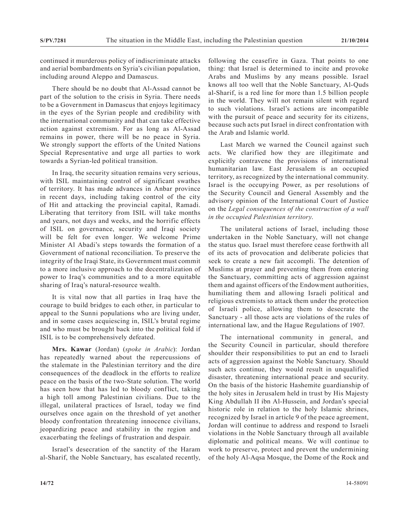continued it murderous policy of indiscriminate attacks and aerial bombardments on Syria's civilian population, including around Aleppo and Damascus.

There should be no doubt that Al-Assad cannot be part of the solution to the crisis in Syria. There needs to be a Government in Damascus that enjoys legitimacy in the eyes of the Syrian people and credibility with the international community and that can take effective action against extremism. For as long as Al-Assad remains in power, there will be no peace in Syria. We strongly support the efforts of the United Nations Special Representative and urge all parties to work towards a Syrian-led political transition.

In Iraq, the security situation remains very serious, with ISIL maintaining control of significant swathes of territory. It has made advances in Anbar province in recent days, including taking control of the city of Hit and attacking the provincial capital, Ramadi. Liberating that territory from ISIL will take months and years, not days and weeks, and the horrific effects of ISIL on governance, security and Iraqi society will be felt for even longer. We welcome Prime Minister Al Abadi's steps towards the formation of a Government of national reconciliation. To preserve the integrity of the Iraqi State, its Government must commit to a more inclusive approach to the decentralization of power to Iraq's communities and to a more equitable sharing of Iraq's natural-resource wealth.

It is vital now that all parties in Iraq have the courage to build bridges to each other, in particular to appeal to the Sunni populations who are living under, and in some cases acquiescing in, ISIL's brutal regime and who must be brought back into the political fold if ISIL is to be comprehensively defeated.

**Mrs. Kawar** (Jordan) (*spoke in Arabic*): Jordan has repeatedly warned about the repercussions of the stalemate in the Palestinian territory and the dire consequences of the deadlock in the efforts to realize peace on the basis of the two-State solution. The world has seen how that has led to bloody conflict, taking a high toll among Palestinian civilians. Due to the illegal, unilateral practices of Israel, today we find ourselves once again on the threshold of yet another bloody confrontation threatening innocence civilians, jeopardizing peace and stability in the region and exacerbating the feelings of frustration and despair.

Israel's desecration of the sanctity of the Haram al-Sharif, the Noble Sanctuary, has escalated recently, following the ceasefire in Gaza. That points to one thing: that Israel is determined to incite and provoke Arabs and Muslims by any means possible. Israel knows all too well that the Noble Sanctuary, Al-Quds al-Sharif, is a red line for more than 1.5 billion people in the world. They will not remain silent with regard to such violations. Israel's actions are incompatible with the pursuit of peace and security for its citizens, because such acts put Israel in direct confrontation with the Arab and Islamic world.

Last March we warned the Council against such acts. We clarified how they are illegitimate and explicitly contravene the provisions of international humanitarian law. East Jerusalem is an occupied territory, as recognized by the international community. Israel is the occupying Power, as per resolutions of the Security Council and General Assembly and the advisory opinion of the International Court of Justice on the *Legal consequences of the construction of a wall in the occupied Palestinian territory*.

The unilateral actions of Israel, including those undertaken in the Noble Sanctuary, will not change the status quo. Israel must therefore cease forthwith all of its acts of provocation and deliberate policies that seek to create a new fait accompli. The detention of Muslims at prayer and preventing them from entering the Sanctuary, committing acts of aggression against them and against officers of the Endowment authorities, humiliating them and allowing Israeli political and religious extremists to attack them under the protection of Israeli police, allowing them to desecrate the Sanctuary - all those acts are violations of the rules of international law, and the Hague Regulations of 1907.

The international community in general, and the Security Council in particular, should therefore shoulder their responsibilities to put an end to Israeli acts of aggression against the Noble Sanctuary. Should such acts continue, they would result in unqualified disaster, threatening international peace and security. On the basis of the historic Hashemite guardianship of the holy sites in Jerusalem held in trust by His Majesty King Abdullah II ibn Al-Hussein, and Jordan's special historic role in relation to the holy Islamic shrines, recognized by Israel in article 9 of the peace agreement, Jordan will continue to address and respond to Israeli violations in the Noble Sanctuary through all available diplomatic and political means. We will continue to work to preserve, protect and prevent the undermining of the holy Al-Aqsa Mosque, the Dome of the Rock and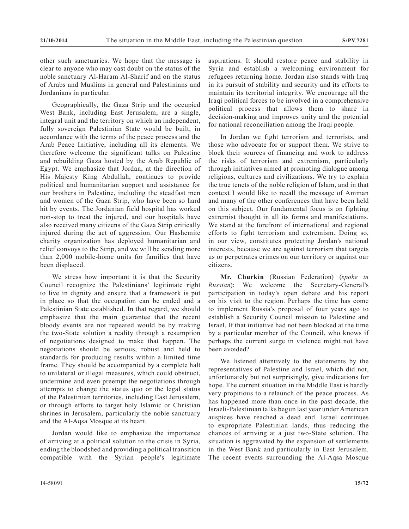other such sanctuaries. We hope that the message is clear to anyone who may cast doubt on the status of the noble sanctuary Al-Haram Al-Sharif and on the status of Arabs and Muslims in general and Palestinians and Jordanians in particular.

Geographically, the Gaza Strip and the occupied West Bank, including East Jerusalem, are a single, integral unit and the territory on which an independent, fully sovereign Palestinian State would be built, in accordance with the terms of the peace process and the Arab Peace Initiative, including all its elements. We therefore welcome the significant talks on Palestine and rebuilding Gaza hosted by the Arab Republic of Egypt. We emphasize that Jordan, at the direction of His Majesty King Abdullah, continues to provide political and humanitarian support and assistance for our brothers in Palestine, including the steadfast men and women of the Gaza Strip, who have been so hard hit by events. The Jordanian field hospital has worked non-stop to treat the injured, and our hospitals have also received many citizens of the Gaza Strip critically injured during the act of aggression. Our Hashemite charity organization has deployed humanitarian and relief convoys to the Strip, and we will be sending more than 2,000 mobile-home units for families that have been displaced.

We stress how important it is that the Security Council recognize the Palestinians' legitimate right to live in dignity and ensure that a framework is put in place so that the occupation can be ended and a Palestinian State established. In that regard, we should emphasize that the main guarantee that the recent bloody events are not repeated would be by making the two-State solution a reality through a resumption of negotiations designed to make that happen. The negotiations should be serious, robust and held to standards for producing results within a limited time frame. They should be accompanied by a complete halt to unilateral or illegal measures, which could obstruct, undermine and even preempt the negotiations through attempts to change the status quo or the legal status of the Palestinian territories, including East Jerusalem, or through efforts to target holy Islamic or Christian shrines in Jerusalem, particularly the noble sanctuary and the Al-Aqsa Mosque at its heart.

Jordan would like to emphasize the importance of arriving at a political solution to the crisis in Syria, ending the bloodshed and providing a political transition compatible with the Syrian people's legitimate aspirations. It should restore peace and stability in Syria and establish a welcoming environment for refugees returning home. Jordan also stands with Iraq in its pursuit of stability and security and its efforts to maintain its territorial integrity. We encourage all the Iraqi political forces to be involved in a comprehensive political process that allows them to share in decision-making and improves unity and the potential for national reconciliation among the Iraqi people.

In Jordan we fight terrorism and terrorists, and those who advocate for or support them. We strive to block their sources of financing and work to address the risks of terrorism and extremism, particularly through initiatives aimed at promoting dialogue among religions, cultures and civilizations. We try to explain the true tenets of the noble religion of Islam, and in that context I would like to recall the message of Amman and many of the other conferences that have been held on this subject. Our fundamental focus is on fighting extremist thought in all its forms and manifestations. We stand at the forefront of international and regional efforts to fight terrorism and extremism. Doing so, in our view, constitutes protecting Jordan's national interests, because we are against terrorism that targets us or perpetrates crimes on our territory or against our citizens.

**Mr. Churkin** (Russian Federation) (*spoke in Russian*): We welcome the Secretary-General's participation in today's open debate and his report on his visit to the region. Perhaps the time has come to implement Russia's proposal of four years ago to establish a Security Council mission to Palestine and Israel. If that initiative had not been blocked at the time by a particular member of the Council, who knows if perhaps the current surge in violence might not have been avoided?

We listened attentively to the statements by the representatives of Palestine and Israel, which did not, unfortunately but not surprisingly, give indications for hope. The current situation in the Middle East is hardly very propitious to a relaunch of the peace process. As has happened more than once in the past decade, the Israeli-Palestinian talks begun last year under American auspices have reached a dead end. Israel continues to expropriate Palestinian lands, thus reducing the chances of arriving at a just two-State solution. The situation is aggravated by the expansion of settlements in the West Bank and particularly in East Jerusalem. The recent events surrounding the Al-Aqsa Mosque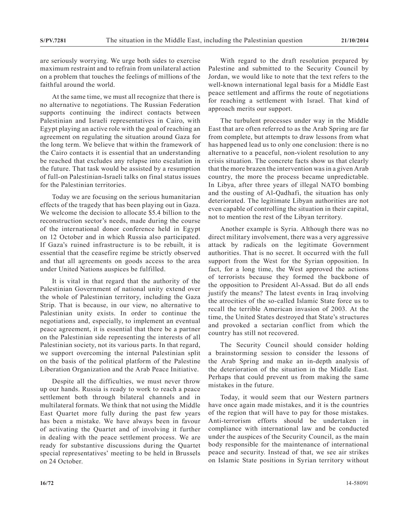are seriously worrying. We urge both sides to exercise maximum restraint and to refrain from unilateral action on a problem that touches the feelings of millions of the faithful around the world.

At the same time, we must all recognize that there is no alternative to negotiations. The Russian Federation supports continuing the indirect contacts between Palestinian and Israeli representatives in Cairo, with Egypt playing an active role with the goal of reaching an agreement on regulating the situation around Gaza for the long term. We believe that within the framework of the Cairo contacts it is essential that an understanding be reached that excludes any relapse into escalation in the future. That task would be assisted by a resumption of full-on Palestinian-Israeli talks on final status issues for the Palestinian territories.

Today we are focusing on the serious humanitarian effects of the tragedy that has been playing out in Gaza. We welcome the decision to allocate \$5.4 billion to the reconstruction sector's needs, made during the course of the international donor conference held in Egypt on 12 October and in which Russia also participated. If Gaza's ruined infrastructure is to be rebuilt, it is essential that the ceasefire regime be strictly observed and that all agreements on goods access to the area under United Nations auspices be fulfilled.

It is vital in that regard that the authority of the Palestinian Government of national unity extend over the whole of Palestinian territory, including the Gaza Strip. That is because, in our view, no alternative to Palestinian unity exists. In order to continue the negotiations and, especially, to implement an eventual peace agreement, it is essential that there be a partner on the Palestinian side representing the interests of all Palestinian society, not its various parts. In that regard, we support overcoming the internal Palestinian split on the basis of the political platform of the Palestine Liberation Organization and the Arab Peace Initiative.

Despite all the difficulties, we must never throw up our hands. Russia is ready to work to reach a peace settlement both through bilateral channels and in multilateral formats. We think that not using the Middle East Quartet more fully during the past few years has been a mistake. We have always been in favour of activating the Quartet and of involving it further in dealing with the peace settlement process. We are ready for substantive discussions during the Quartet special representatives' meeting to be held in Brussels on 24 October.

With regard to the draft resolution prepared by Palestine and submitted to the Security Council by Jordan, we would like to note that the text refers to the well-known international legal basis for a Middle East peace settlement and affirms the route of negotiations for reaching a settlement with Israel. That kind of approach merits our support.

The turbulent processes under way in the Middle East that are often referred to as the Arab Spring are far from complete, but attempts to draw lessons from what has happened lead us to only one conclusion: there is no alternative to a peaceful, non-violent resolution to any crisis situation. The concrete facts show us that clearly that the more brazen the intervention was in a given Arab country, the more the process became unpredictable. In Libya, after three years of illegal NATO bombing and the ousting of Al-Qadhafi, the situation has only deteriorated. The legitimate Libyan authorities are not even capable of controlling the situation in their capital, not to mention the rest of the Libyan territory.

Another example is Syria. Although there was no direct military involvement, there was a very aggressive attack by radicals on the legitimate Government authorities. That is no secret. It occurred with the full support from the West for the Syrian opposition. In fact, for a long time, the West approved the actions of terrorists because they formed the backbone of the opposition to President Al-Assad. But do all ends justify the means? The latest events in Iraq involving the atrocities of the so-called Islamic State force us to recall the terrible American invasion of 2003. At the time, the United States destroyed that State's structures and provoked a sectarian conflict from which the country has still not recovered.

The Security Council should consider holding a brainstorming session to consider the lessons of the Arab Spring and make an in-depth analysis of the deterioration of the situation in the Middle East. Perhaps that could prevent us from making the same mistakes in the future.

Today, it would seem that our Western partners have once again made mistakes, and it is the countries of the region that will have to pay for those mistakes. Anti-terrorism efforts should be undertaken in compliance with international law and be conducted under the auspices of the Security Council, as the main body responsible for the maintenance of international peace and security. Instead of that, we see air strikes on Islamic State positions in Syrian territory without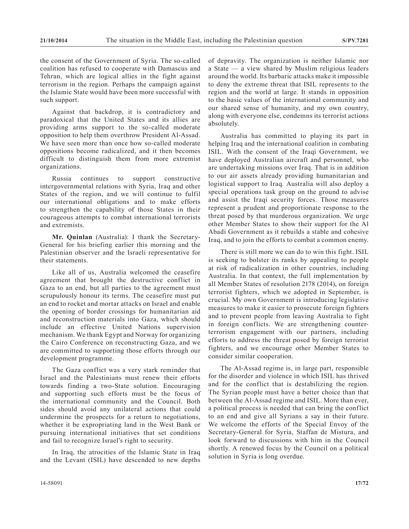the consent of the Government of Syria. The so-called coalition has refused to cooperate with Damascus and Tehran, which are logical allies in the fight against terrorism in the region. Perhaps the campaign against the Islamic State would have been more successful with such support.

Against that backdrop, it is contradictory and paradoxical that the United States and its allies are providing arms support to the so-called moderate opposition to help them overthrow President Al-Assad. We have seen more than once how so-called moderate oppositions become radicalized, and it then becomes difficult to distinguish them from more extremist organizations.

Russia continues to support constructive intergovernmental relations with Syria, Iraq and other States of the region, and we will continue to fulfil our international obligations and to make efforts to strengthen the capability of those States in their courageous attempts to combat international terrorists and extremists.

**Mr. Quinlan** (Australia): I thank the Secretary-General for his briefing earlier this morning and the Palestinian observer and the Israeli representative for their statements.

Like all of us, Australia welcomed the ceasefire agreement that brought the destructive conflict in Gaza to an end, but all parties to the agreement must scrupulously honour its terms. The ceasefire must put an end to rocket and mortar attacks on Israel and enable the opening of border crossings for humanitarian aid and reconstruction materials into Gaza, which should include an effective United Nations supervision mechanism. We thank Egypt and Norway for organizing the Cairo Conference on reconstructing Gaza, and we are committed to supporting those efforts through our development programme.

The Gaza conflict was a very stark reminder that Israel and the Palestinians must renew their efforts towards finding a two-State solution. Encouraging and supporting such efforts must be the focus of the international community and the Council. Both sides should avoid any unilateral actions that could undermine the prospects for a return to negotiations, whether it be expropriating land in the West Bank or pursuing international initiatives that set conditions and fail to recognize Israel's right to security.

In Iraq, the atrocities of the Islamic State in Iraq and the Levant (ISIL) have descended to new depths of depravity. The organization is neither Islamic nor a State — a view shared by Muslim religious leaders around the world. Its barbaric attacks make it impossible to deny the extreme threat that ISIL represents to the region and the world at large. It stands in opposition to the basic values of the international community and our shared sense of humanity, and my own country, along with everyone else, condemns its terrorist actions absolutely.

Australia has committed to playing its part in helping Iraq and the international coalition in combating ISIL. With the consent of the Iraqi Government, we have deployed Australian aircraft and personnel, who are undertaking missions over Iraq. That is in addition to our air assets already providing humanitarian and logistical support to Iraq. Australia will also deploy a special operations task group on the ground to advise and assist the Iraqi security forces. Those measures represent a prudent and proportionate response to the threat posed by that murderous organization. We urge other Member States to show their support for the Al Abadi Government as it rebuilds a stable and cohesive Iraq, and to join the efforts to combat a common enemy.

There is still more we can do to win this fight. ISIL is seeking to bolster its ranks by appealing to people at risk of radicalization in other countries, including Australia. In that context, the full implementation by all Member States of resolution 2178 (2014), on foreign terrorist fighters, which we adopted in September, is crucial. My own Government is introducing legislative measures to make it easier to prosecute foreign fighters and to prevent people from leaving Australia to fight in foreign conflicts. We are strengthening counterterrorism engagement with our partners, including efforts to address the threat posed by foreign terrorist fighters, and we encourage other Member States to consider similar cooperation.

The Al-Assad regime is, in large part, responsible for the disorder and violence in which ISIL has thrived and for the conflict that is destabilizing the region. The Syrian people must have a better choice than that between the Al-Assad regime and ISIL. More than ever, a political process is needed that can bring the conflict to an end and give all Syrians a say in their future. We welcome the efforts of the Special Envoy of the Secretary-General for Syria, Staffan de Mistura, and look forward to discussions with him in the Council shortly. A renewed focus by the Council on a political solution in Syria is long overdue.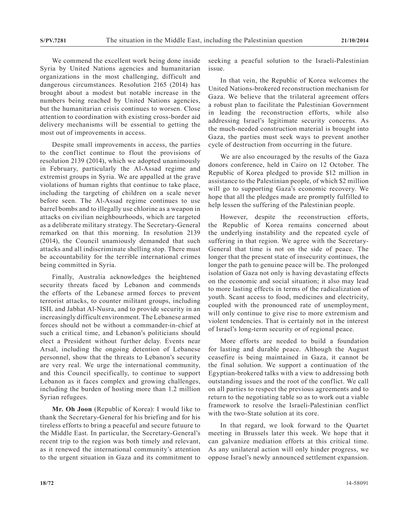We commend the excellent work being done inside Syria by United Nations agencies and humanitarian organizations in the most challenging, difficult and dangerous circumstances. Resolution 2165 (2014) has brought about a modest but notable increase in the numbers being reached by United Nations agencies, but the humanitarian crisis continues to worsen. Close attention to coordination with existing cross-border aid delivery mechanisms will be essential to getting the most out of improvements in access.

Despite small improvements in access, the parties to the conflict continue to flout the provisions of resolution 2139 (2014), which we adopted unanimously in February, particularly the Al-Assad regime and extremist groups in Syria. We are appalled at the grave violations of human rights that continue to take place, including the targeting of children on a scale never before seen. The Al-Assad regime continues to use barrel bombs and to illegally use chlorine as a weapon in attacks on civilian neighbourhoods, which are targeted as a deliberate military strategy. The Secretary-General remarked on that this morning. In resolution 2139 (2014), the Council unamiously demanded that such attacks and all indiscriminate shelling stop. There must be accountability for the terrible international crimes being committed in Syria.

Finally, Australia acknowledges the heightened security threats faced by Lebanon and commends the efforts of the Lebanese armed forces to prevent terrorist attacks, to counter militant groups, including ISIL and Jabhat Al-Nusra, and to provide security in an increasingly difficult environment. The Lebanese armed forces should not be without a commander-in-chief at such a critical time, and Lebanon's politicians should elect a President without further delay. Events near Arsal, including the ongoing detention of Lebanese personnel, show that the threats to Lebanon's security are very real. We urge the international community, and this Council specifically, to continue to support Lebanon as it faces complex and growing challenges, including the burden of hosting more than 1.2 million Syrian refugees.

**Mr. Oh Joon** (Republic of Korea): I would like to thank the Secretary-General for his briefing and for his tireless efforts to bring a peaceful and secure futuure to the Middle East. In particular, the Secretary-General's recent trip to the region was both timely and relevant, as it renewed the international community's attention to the urgent situation in Gaza and its commitment to seeking a peacful solution to the Israeli-Palestinian issue.

In that vein, the Republic of Korea welcomes the United Nations-brokered reconstruction mechanism for Gaza. We believe that the trilateral agreement offers a robust plan to facilitate the Palestinian Government in leading the reconstruction efforts, while also addressing Israel's legitimate security concerns. As the much-needed construction material is brought into Gaza, the parties must seek ways to prevent another cycle of destruction from occurring in the future.

We are also encouraged by the results of the Gaza donors conference, held in Cairo on 12 October. The Republic of Korea pledged to provide \$12 million in assistance to the Palestinian people, of which \$2 million will go to supporting Gaza's economic recovery. We hope that all the pledges made are promptly fulfilled to help lessen the suffering of the Palestinian people.

However, despite the reconstruction efforts, the Republic of Korea remains concerned about the underlying instability and the repeated cycle of suffering in that region. We agree with the Secretary-General that time is not on the side of peace. The longer that the present state of insecurity continues, the longer the path to genuine peace will be. The prolonged isolation of Gaza not only is having devastating effects on the economic and social situation; it also may lead to more lasting effects in terms of the radicalization of youth. Scant access to food, medicines and electricity, coupled with the pronounced rate of unemployment, will only continue to give rise to more extremism and violent tendencies. That is certainly not in the interest of Israel's long-term security or of regional peace.

More efforts are needed to build a foundation for lasting and durable peace. Although the August ceasefire is being maintained in Gaza, it cannot be the final solution. We support a continuation of the Egyptian-brokered talks with a view to addressing both outstanding issues and the root of the conflict. We call on all parties to respect the previous agreements and to return to the negotiating table so as to work out a viable framework to resolve the Israeli-Palestinian conflict with the two-State solution at its core.

In that regard, we look forward to the Quartet meeting in Brussels later this week. We hope that it can galvanize mediation efforts at this critical time. As any unilateral action will only hinder progress, we oppose Israel's newly announced settlement expansion.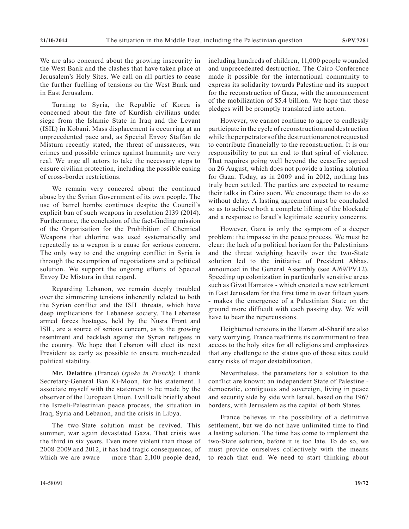We are also concnerd about the growing insecurity in the West Bank and the clashes that have taken place at Jerusalem's Holy Sites. We call on all parties to cease the further fuelling of tensions on the West Bank and in East Jerusalem.

Turning to Syria, the Republic of Korea is concerned about the fate of Kurdish civilians under siege from the Islamic State in Iraq and the Levant (ISIL) in Kobani. Mass displacement is occurring at an unprecedented pace and, as Special Envoy Staffan de Mistura recently stated, the threat of massacres, war crimes and possible crimes against humanity are very real. We urge all actors to take the necessary steps to ensure civilian protection, including the possible easing of cross-border restrictions.

We remain very concered about the continued abuse by the Syrian Government of its own people. The use of barrel bombs continues despite the Council's explicit ban of such weapons in resolution 2139 (2014). Furthermore, the conclusion of the fact-finding mission of the Organisation for the Prohibition of Chemical Weapons that chlorine was used systematically and repeatedly as a weapon is a cause for serious concern. The only way to end the ongoing conflict in Syria is through the resumption of negotiations and a political solution. We support the ongoing efforts of Special Envoy De Mistura in that regard.

Regarding Lebanon, we remain deeply troubled over the simmering tensions inherently related to both the Syrian conflict and the ISIL threats, which have deep implications for Lebanese society. The Lebanese armed forces hostages, held by the Nusra Front and ISIL, are a source of serious concern, as is the growing resentment and backlash against the Syrian refugees in the country. We hope that Lebanon will elect its next President as early as possible to ensure much-needed political stability.

**Mr. Delattre** (France) (*spoke in French*): I thank Secretary-General Ban Ki-Moon, for his statement. I associate myself with the statement to be made by the observer of the European Union. I will talk briefly about the Israeli-Palestinian peace process, the situation in Iraq, Syria and Lebanon, and the crisis in Libya.

The two-State solution must be revived. This summer, war again devastated Gaza. That crisis was the third in six years. Even more violent than those of 2008-2009 and 2012, it has had tragic consequences, of which we are aware — more than 2,100 people dead,

including hundreds of children, 11,000 people wounded and unprecedented destruction. The Cairo Conference made it possible for the international community to express its solidarity towards Palestine and its support for the reconstruction of Gaza, with the announcement of the mobilization of \$5.4 billion. We hope that those pledges will be promptly translated into action.

However, we cannot continue to agree to endlessly participate in the cycle of reconstruction and destruction while the perpetrators of the destruction are not requested to contribute financially to the reconstruction. It is our responsibility to put an end to that spiral of violence. That requires going well beyond the ceasefire agreed on 26 August, which does not provide a lasting solution for Gaza. Today, as in 2009 and in 2012, nothing has truly been settled. The parties are expected to resume their talks in Cairo soon. We encourage them to do so without delay. A lasting agreement must be concluded so as to achieve both a complete lifting of the blockade and a response to Israel's legitimate security concerns.

However, Gaza is only the symptom of a deeper problem: the impasse in the peace process. We must be clear: the lack of a political horizon for the Palestinians and the threat weighing heavily over the two-State solution led to the initiative of President Abbas, announced in the General Assembly (see A/69/PV.12). Speeding up colonization in particularly sensitive areas such as Givat Hamatos - which created a new settlement in East Jerusalem for the first time in over fifteen years - makes the emergence of a Palestinian State on the ground more difficult with each passing day. We will have to bear the repercussions.

Heightened tensions in the Haram al-Sharif are also very worrying. France reaffirms its commitment to free access to the holy sites for all religions and emphasizes that any challenge to the status quo of those sites could carry risks of major destabilization.

Nevertheless, the parameters for a solution to the conflict are known: an independent State of Palestine democratic, contiguous and sovereign, living in peace and security side by side with Israel, based on the 1967 borders, with Jerusalem as the capital of both States.

France believes in the possibility of a definitive settlement, but we do not have unlimited time to find a lasting solution. The time has come to implement the two-State solution, before it is too late. To do so, we must provide ourselves collectively with the means to reach that end. We need to start thinking about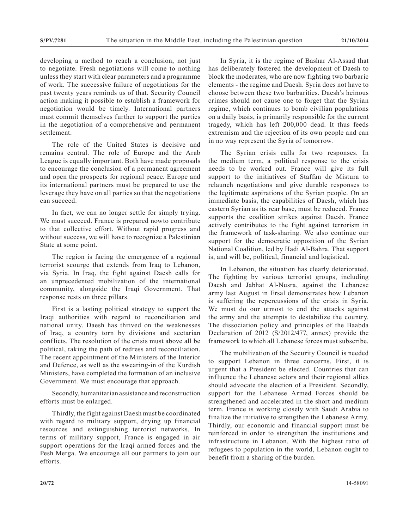developing a method to reach a conclusion, not just to negotiate. Fresh negotiations will come to nothing unless they start with clear parameters and a programme of work. The successive failure of negotiations for the past twenty years reminds us of that. Security Council action making it possible to establish a framework for negotiation would be timely. International partners must commit themselves further to support the parties in the negotiation of a comprehensive and permanent settlement.

The role of the United States is decisive and remains central. The role of Europe and the Arab League is equally important. Both have made proposals to encourage the conclusion of a permanent agreement and open the prospects for regional peace. Europe and its international partners must be prepared to use the leverage they have on all parties so that the negotiations can succeed.

In fact, we can no longer settle for simply trying. We must succeed. France is prepared nowto contribute to that collective effort. Without rapid progress and without success, we will have to recognize a Palestinian State at some point.

The region is facing the emergence of a regional terrorist scourge that extends from Iraq to Lebanon, via Syria. In Iraq, the fight against Daesh calls for an unprecedented mobilization of the international community, alongside the Iraqi Government. That response rests on three pillars.

First is a lasting political strategy to support the Iraqi authorities with regard to reconciliation and national unity. Daesh has thrived on the weaknesses of Iraq, a country torn by divisions and sectarian conflicts. The resolution of the crisis must above all be political, taking the path of redress and reconciliation. The recent appointment of the Ministers of the Interior and Defence, as well as the swearing-in of the Kurdish Ministers, have completed the formation of an inclusive Government. We must encourage that approach.

Secondly, humanitarian assistance and reconstruction efforts must be enlarged.

Thirdly, the fight against Daesh must be coordinated with regard to military support, drying up financial resources and extinguishing terrorist networks. In terms of military support, France is engaged in air support operations for the Iraqi armed forces and the Pesh Merga. We encourage all our partners to join our efforts.

In Syria, it is the regime of Bashar Al-Assad that has deliberately fostered the development of Daesh to block the moderates, who are now fighting two barbaric elements - the regime and Daesh. Syria does not have to choose between these two barbarities. Daesh's heinous crimes should not cause one to forget that the Syrian regime, which continues to bomb civilian populations on a daily basis, is primarily responsible for the current tragedy, which has left 200,000 dead. It thus feeds extremism and the rejection of its own people and can in no way represent the Syria of tomorrow.

The Syrian crisis calls for two responses. In the medium term, a political response to the crisis needs to be worked out. France will give its full support to the initiatives of Staffan de Mistura to relaunch negotiations and give durable responses to the legitimate aspirations of the Syrian people. On an immediate basis, the capabilities of Daesh, which has eastern Syrian as its rear base, must be reduced. France supports the coalition strikes against Daesh. France actively contributes to the fight against terrorism in the framework of task-sharing. We also continue our support for the democratic opposition of the Syrian National Coalition, led by Hadi Al-Bahra. That support is, and will be, political, financial and logistical.

In Lebanon, the situation has clearly deteriorated. The fighting by various terrorist groups, including Daesh and Jabhat Al-Nusra, against the Lebanese army last August in Ersal demonstrates how Lebanon is suffering the repercussions of the crisis in Syria. We must do our utmost to end the attacks against the army and the attempts to destabilize the country. The dissociation policy and principles of the Baabda Declaration of 2012 (S/2012/477, annex) provide the framework to which all Lebanese forces must subscribe.

The mobilization of the Security Council is needed to support Lebanon in three concerns. First, it is urgent that a President be elected. Countries that can influence the Lebanese actors and their regional allies should advocate the election of a President. Secondly, support for the Lebanese Armed Forces should be strengthened and accelerated in the short and medium term. France is working closely with Saudi Arabia to finalize the initiative to strengthen the Lebanese Army. Thirdly, our economic and financial support must be reinforced in order to strengthen the institutions and infrastructure in Lebanon. With the highest ratio of refugees to population in the world, Lebanon ought to benefit from a sharing of the burden.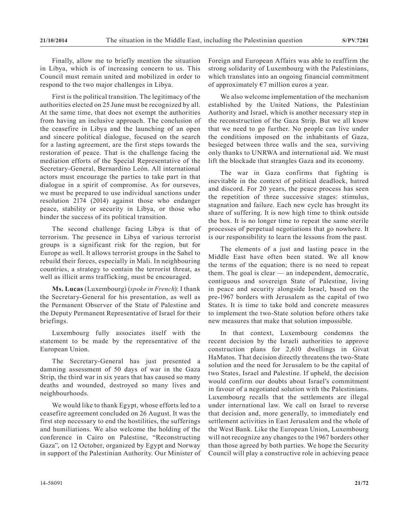Finally, allow me to briefly mention the situation in Libya, which is of increasing concern to us. This Council must remain united and mobilized in order to respond to the two major challenges in Libya.

First is the political transition. The legitimacy of the authorities elected on 25 June must be recognized by all. At the same time, that does not exempt the authorities from having an inclusive approach. The conclusion of the ceasefire in Libya and the launching of an open and sincere political dialogue, focused on the search for a lasting agreement, are the first steps towards the restoration of peace. That is the challenge facing the mediation efforts of the Special Representative of the Secretary-General, Bernardino León. All international actors must encourage the parties to take part in that dialogue in a spirit of compromise. As for ourseves, we must be prepared to use individual sanctions under resolution 2174 (2014) against those who endanger peace, stability or security in Libya, or those who hinder the success of its political transition.

The second challenge facing Libya is that of terrorism. The presence in Libya of various terrorist groups is a significant risk for the region, but for Europe as well. It allows terrorist groups in the Sahel to rebuild their forces, especially in Mali. In neighbouring countries, a strategy to contain the terrorist threat, as well as illicit arms trafficking, must be encouraged.

**Ms. Lucas** (Luxembourg) (*spoke in French*): I thank the Secretary-General for his presentation, as well as the Permanent Observer of the State of Palestine and the Deputy Permanent Representative of Israel for their briefings.

Luxembourg fully associates itself with the statement to be made by the representative of the European Union.

The Secretary-General has just presented a damning assessment of 50 days of war in the Gaza Strip, the third war in six years that has caused so many deaths and wounded, destroyed so many lives and neighbourhoods.

We would like to thank Egypt, whose efforts led to a ceasefire agreement concluded on 26 August. It was the first step necessary to end the hostilities, the sufferings and humiliations. We also welcome the holding of the conference in Cairo on Palestine, "Reconstructing Gaza", on 12 October, organized by Egypt and Norway in support of the Palestinian Authority. Our Minister of Foreign and European Affairs was able to reaffirm the strong solidarity of Luxembourg with the Palestinians, which translates into an ongoing financial commitment of approximately  $E$ 7 million euros a year.

We also welcome implementation of the mechanism established by the United Nations, the Palestinian Authority and Israel, which is another necessary step in the reconstruction of the Gaza Strip. But we all know that we need to go further. No people can live under the conditions imposed on the inhabitants of Gaza, besieged between three walls and the sea, surviving only thanks to UNRWA and international aid. We must lift the blockade that strangles Gaza and its economy.

The war in Gaza confirms that fighting is inevitable in the context of political deadlock, hatred and discord. For 20 years, the peace process has seen the repetition of three successive stages: stimulus, stagnation and failure. Each new cycle has brought its share of suffering. It is now high time to think outside the box. It is no longer time to repeat the same sterile processes of perpetual negotiations that go nowhere. It is our responsibility to learn the lessons from the past.

The elements of a just and lasting peace in the Middle East have often been stated. We all know the terms of the equation; there is no need to repeat them. The goal is clear — an independent, democratic, contiguous and sovereign State of Palestine, living in peace and security alongside Israel, based on the pre-1967 borders with Jerusalem as the capital of two States. It is time to take bold and concrete measures to implement the two-State solution before others take new measures that make that solution impossible.

In that context, Luxembourg condemns the recent decision by the Israeli authorities to approve construction plans for 2,610 dwellings in Givat HaMatos. That decision directly threatens the two-State solution and the need for Jerusalem to be the capital of two States, Israel and Palestine. If upheld, the decision would confirm our doubts about Israel's commitment in favour of a negotiated solution with the Palestinians. Luxembourg recalls that the settlements are illegal under international law. We call on Israel to reverse that decision and, more generally, to immediately end settlement activities in East Jerusalem and the whole of the West Bank. Like the European Union, Luxembourg will not recognize any changes to the 1967 borders other than those agreed by both parties. We hope the Security Council will play a constructive role in achieving peace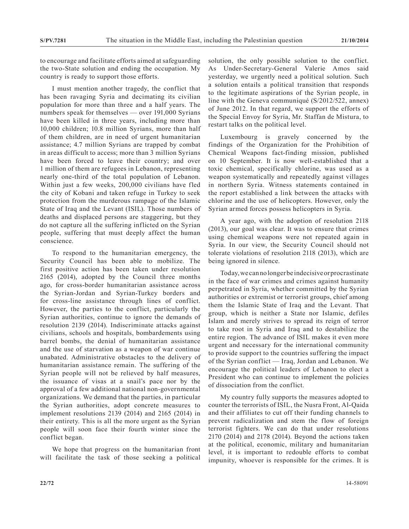to encourage and facilitate efforts aimed at safeguarding the two-State solution and ending the occupation. My country is ready to support those efforts.

I must mention another tragedy, the conflict that has been ravaging Syria and decimating its civilian population for more than three and a half years. The numbers speak for themselves — over 191,000 Syrians have been killed in three years, including more than 10,000 children; 10.8 million Syrians, more than half of them children, are in need of urgent humanitarian assistance; 4.7 million Syrians are trapped by combat in areas difficult to access; more than 3 million Syrians have been forced to leave their country; and over 1 million of them are refugees in Lebanon, representing nearly one-third of the total population of Lebanon. Within just a few weeks, 200,000 civilians have fled the city of Kobani and taken refuge in Turkey to seek protection from the murderous rampage of the Islamic State of Iraq and the Levant (ISIL). Those numbers of deaths and displaced persons are staggering, but they do not capture all the suffering inflicted on the Syrian people, suffering that must deeply affect the human conscience.

To respond to the humanitarian emergency, the Security Council has been able to mobilize. The first positive action has been taken under resolution 2165 (2014), adopted by the Council three months ago, for cross-border humanitarian assistance across the Syrian-Jordan and Syrian-Turkey borders and for cross-line assistance through lines of conflict. However, the parties to the conflict, particularly the Syrian authorities, continue to ignore the demands of resolution 2139 (2014). Indiscrimiпate attacks against civilians, schools and hospitals, bombardements using barrel bombs, the denial of humanitarian assistance and the use of starvation as a weapon of war continue unabated. Administrative obstacles to the delivery of humanitarian assistance remain. The suffering of the Syrian people will not be relieved by half measures, the issuance of visas at a snail's pace nor by the approval of a few additional national non-governmental organizations. We demand that the parties, in particular the Syrian authorities, adopt concrete measures to implement resolutions 2139 (2014) and 2165 (2014) in their entirety. This is all the more urgent as the Syrian people will soon face their fourth winter since the conflict began.

We hope that progress on the humanitarian front will facilitate the task of those seeking a political solution, the only possible solution to the conflict. As Under-Secretary-General Valerie Amos said yesterday, we urgently need a political solution. Such a solution entails a political transition that responds to the legitimate aspirations of the Syrian people, in line with the Geneva communiqué (S/2012/522, annex) of June 2012. In that regard, we support the efforts of the Special Envoy for Syria, Mr. Staffan de Mistura, to restart talks on the political level.

Luxembourg is gravely concerned by the findings of the Organization for the Prohibition of Chemical Weapons fact-finding mission, published on 10 September. It is now well-established that a toxic chemical, specifically chlorine, was used as a weapon systematically and repeatedly against villages in northern Syria. Witness statements contained in the report established a link between the attacks with chlorine and the use of helicopters. However, only the Syrian armed forces possess helicopters in Syria.

A year ago, with the adoption of resolution 2118 (2013), our goal was clear. It was to ensure that crimes using chemical weapons were not repeated again in Syria. In our view, the Security Council should not tolerate violations of resolution 2118 (2013), which are being ignored in silence.

Today, we can no longer be indecisive or procrastinate in the face of war crimes and crimes against humanity perpetrated in Syria, whether committed by the Syrian authorities or extremist or terrorist groups, chief among them the Islamic State of Iraq and the Levant. That group, which is neither a State nor Islamic, defiles Islam and merely strives to spread its reign of terror to take root in Syria and Iraq and to destabilize the entire region. The advance of ISIL makes it even more urgent and necessary for the international community to provide support to the countries suffering the impact of the Syrian conflict — Iraq, Jordan and Lebanon. We encourage the political leaders of Lebanon to elect a President who can continue to implement the policies of dissociation from the conflict.

My country fully supports the measures adopted to counter the terrorists of ISIL, the Nusra Front, Al-Qaida and their affiliates to cut off their funding channels to prevent radicalization and stem the flow of foreign terrorist fighters. We can do that under resolutions 2170 (2014) and 2178 (2014). Beyond the actions taken at the political, economic, military and humanitarian level, it is important to redouble efforts to combat impunity, whoever is responsible for the crimes. It is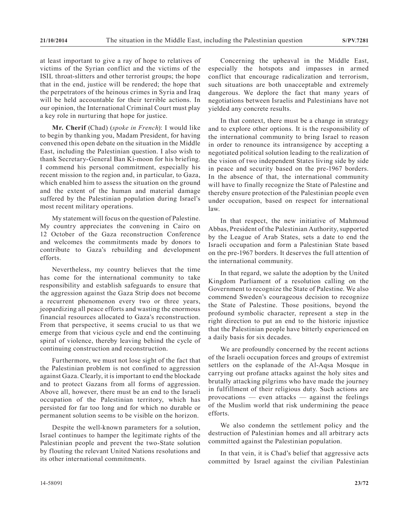at least important to give a ray of hope to relatives of victims of the Syrian conflict and the victims of the ISIL throat-slitters and other terrorist groups; the hope that in the end, justice will be rendered; the hope that the perpetrators of the heinous crimes in Syria and Iraq will be held accountable for their terrible actions. In our opinion, the International Criminal Court must play a key role in nurturing that hope for justice.

**Mr. Cherif** (Chad) (*spoke in French*): I would like to begin by thanking you, Madam President, for having convened this open debate on the situation in the Middle East, including the Palestinian question. I also wish to thank Secretary-General Ban Ki-moon for his briefing. I commend his personal commitment, especially his recent mission to the region and, in particular, to Gaza, which enabled him to assess the situation on the ground and the extent of the human and material damage suffered by the Palestinian population during Israel's most recent military operations.

My statement will focus on the question of Palestine. My country appreciates the convening in Cairo on 12 October of the Gaza reconstruction Conference and welcomes the commitments made by donors to contribute to Gaza's rebuilding and development efforts.

Nevertheless, my country believes that the time has come for the international community to take responsibility and establish safeguards to ensure that the aggression against the Gaza Strip does not become a recurrent phenomenon every two or three years, jeopardizing all peace efforts and wasting the enormous financial resources allocated to Gaza's reconstruction. From that perspective, it seems crucial to us that we emerge from that vicious cycle and end the continuing spiral of violence, thereby leaving behind the cycle of continuing construction and reconstruction.

Furthermore, we must not lose sight of the fact that the Palestinian problem is not confined to aggression against Gaza. Clearly, it is important to end the blockade and to protect Gazans from all forms of aggression. Above all, however, there must be an end to the Israeli occupation of the Palestinian territory, which has persisted for far too long and for which no durable or permanent solution seems to be visible on the horizon.

Despite the well-known parameters for a solution, Israel continues to hamper the legitimate rights of the Palestinian people and prevent the two-State solution by flouting the relevant United Nations resolutions and its other international commitments.

Concerning the upheaval in the Middle East, especially the hotspots and impasses in armed conflict that encourage radicalization and terrorism, such situations are both unacceptable and extremely dangerous. We deplore the fact that many years of negotiations between Israelis and Palestinians have not yielded any concrete results.

In that context, there must be a change in strategy and to explore other options. It is the responsibility of the international community to bring Israel to reason in order to renounce its intransigence by accepting a negotiated political solution leading to the realization of the vision of two independent States living side by side in peace and security based on the pre-1967 borders. In the absence of that, the international community will have to finally recognize the State of Palestine and thereby ensure protection of the Palestinian people even under occupation, based on respect for international law.

In that respect, the new initiative of Mahmoud Abbas, President of the Palestinian Authority, supported by the League of Arab States, sets a date to end the Israeli occupation and form a Palestinian State based on the pre-1967 borders. It deserves the full attention of the international community.

In that regard, we salute the adoption by the United Kingdom Parliament of a resolution calling on the Government to recognize the State of Palestine. We also commend Sweden's courageous decision to recognize the State of Palestine. Those positions, beyond the profound symbolic character, represent a step in the right direction to put an end to the historic injustice that the Palestinian people have bitterly experienced on a daily basis for six decades.

We are profoundly concerned by the recent actions of the Israeli occupation forces and groups of extremist settlers on the esplanade of the Al-Aqsa Mosque in carrying out profane attacks against the holy sites and brutally attacking pilgrims who have made the journey in fulfillment of their religious duty. Such actions are provocations — even attacks — against the feelings of the Muslim world that risk undermining the peace efforts.

We also condemn the settlement policy and the destruction of Palestinian homes and all arbitrary acts committed against the Palestinian population.

In that vein, it is Chad's belief that aggressive acts committed by Israel against the civilian Palestinian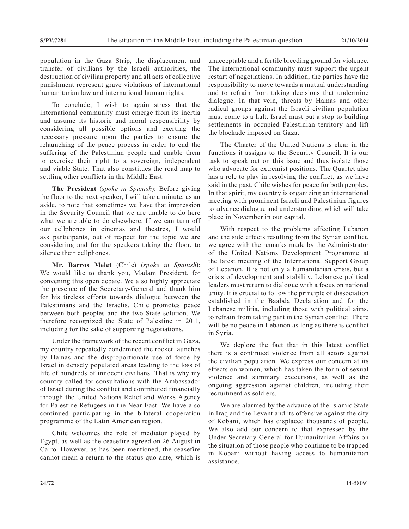population in the Gaza Strip, the displacement and transfer of civilians by the Israeli authorities, the destruction of civilian property and all acts of collective punishment represent grave violations of international humanitarian law and international human rights.

To conclude, I wish to again stress that the international community must emerge from its inertia and assume its historic and moral responsibility by considering all possible options and exerting the necessary pressure upon the parties to ensure the relaunching of the peace process in order to end the suffering of the Palestinian people and enable them to exercise their right to a sovereign, independent and viable State. That also constitues the road map to settling other conflicts in the Middle East.

**The President** (*spoke in Spanish*): Before giving the floor to the next speaker, I will take a minute, as an aside, to note that sometimes we have that impression in the Security Council that we are unable to do here what we are able to do elsewhere. If we can turn off our cellphones in cinemas and theatres, I would ask participants, out of respect for the topic we are considering and for the speakers taking the floor, to silence their cellphones.

**Mr. Barros Melet** (Chile) (*spoke in Spanish*): We would like to thank you, Madam President, for convening this open debate. We also highly appreciate the presence of the Secretary-General and thank him for his tireless efforts towards dialogue between the Palestinians and the Israelis. Chile promotes peace between both peoples and the two-State solution. We therefore recognized the State of Palestine in 2011, including for the sake of supporting negotiations.

Under the framework of the recent conflict in Gaza, my country repeatedly condemned the rocket launches by Hamas and the disproportionate use of force by Israel in densely populated areas leading to the loss of life of hundreds of innocent civilians. That is why my country called for consultations with the Ambassador of Israel during the conflict and contributed financially through the United Nations Relief and Works Agency for Palestine Refugees in the Near East. We have also continued participating in the bilateral cooperation programme of the Latin American region.

Chile welcomes the role of mediator played by Egypt, as well as the ceasefire agreed on 26 August in Cairo. However, as has been mentioned, the ceasefire cannot mean a return to the status quo ante, which is unacceptable and a fertile breeding ground for violence. The international community must support the urgent restart of negotiations. In addition, the parties have the responsibility to move towards a mutual understanding and to refrain from taking decisions that undermine dialogue. In that vein, threats by Hamas and other radical groups against the Israeli civilian population must come to a halt. Israel must put a stop to building settlements in occupied Palestinian territory and lift the blockade imposed on Gaza.

The Charter of the United Nations is clear in the functions it assigns to the Security Council. It is our task to speak out on this issue and thus isolate those who advocate for extremist positions. The Quartet also has a role to play in resolving the conflict, as we have said in the past. Chile wishes for peace for both peoples. In that spirit, my country is organizing an international meeting with prominent Israeli and Palestinian figures to advance dialogue and understanding, which will take place in November in our capital.

With respect to the problems affecting Lebanon and the side effects resulting from the Syrian conflict, we agree with the remarks made by the Administrator of the United Nations Development Programme at the latest meeting of the International Support Group of Lebanon. It is not only a humanitarian crisis, but a crisis of development and stability. Lebanese political leaders must return to dialogue with a focus on national unity. It is crucial to follow the principle of dissociation established in the Baabda Declaration and for the Lebanese militia, including those with political aims, to refrain from taking part in the Syrian conflict. There will be no peace in Lebanon as long as there is conflict in Syria.

We deplore the fact that in this latest conflict there is a continued violence from all actors against the civilian population. We express our concern at its effects on women, which has taken the form of sexual violence and summary executions, as well as the ongoing aggression against children, including their recruitment as soldiers.

We are alarmed by the advance of the Islamic State in Iraq and the Levant and its offensive against the city of Kobani, which has displaced thousands of people. We also add our concern to that expressed by the Under-Secretary-General for Humanitarian Affairs on the situation of those people who continue to be trapped in Kobani without having access to humanitarian assistance.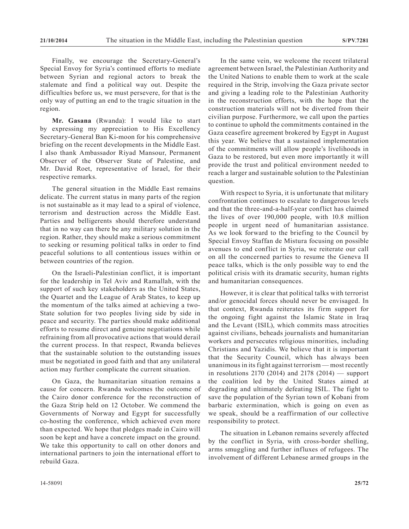Finally, we encourage the Secretary-General's Special Envoy for Syria's continued efforts to mediate between Syrian and regional actors to break the stalemate and find a political way out. Despite the difficulties before us, we must persevere, for that is the only way of putting an end to the tragic situation in the region.

**Mr. Gasana** (Rwanda): I would like to start by expressing my appreciation to His Excellency Secretary-General Ban Ki-moon for his comprehensive briefing on the recent developments in the Middle East. I also thank Ambassador Riyad Mansour, Permanent Observer of the Observer State of Palestine, and Mr. David Roet, representative of Israel, for their respective remarks.

The general situation in the Middle East remains delicate. The current status in many parts of the region is not sustainable as it may lead to a spiral of violence, terrorism and destruction across the Middle East. Parties and belligerents should therefore understand that in no way can there be any military solution in the region. Rather, they should make a serious commitment to seeking or resuming political talks in order to find peaceful solutions to all contentious issues within or between countries of the region.

On the Israeli-Palestinian conflict, it is important for the leadership in Tel Aviv and Ramallah, with the support of such key stakeholders as the United States, the Quartet and the League of Arab States, to keep up the momentum of the talks aimed at achieving a two-State solution for two peoples living side by side in peace and security. The parties should make additional efforts to resume direct and genuine negotiations while refraining from all provocative actions that would derail the current process. In that respect, Rwanda believes that the sustainable solution to the outstanding issues must be negotiated in good faith and that any unilateral action may further complicate the current situation.

On Gaza, the humanitarian situation remains a cause for concern. Rwanda welcomes the outcome of the Cairo donor conference for the reconstruction of the Gaza Strip held on 12 October. We commend the Governments of Norway and Egypt for successfully co-hosting the conference, which achieved even more than expected. We hope that pledges made in Cairo will soon be kept and have a concrete impact on the ground. We take this opportunity to call on other donors and international partners to join the international effort to rebuild Gaza.

In the same vein, we welcome the recent trilateral agreement between Israel, the Palestinian Authority and the United Nations to enable them to work at the scale required in the Strip, involving the Gaza private sector and giving a leading role to the Palestinian Authority in the reconstruction efforts, with the hope that the construction materials will not be diverted from their civilian purpose. Furthermore, we call upon the parties to continue to uphold the commitments contained in the Gaza ceasefire agreement brokered by Egypt in August this year. We believe that a sustained implementation of the commitments will allow people's livelihoods in Gaza to be restored, but even more importantly it will provide the trust and political environment needed to reach a larger and sustainable solution to the Palestinian question.

With respect to Syria, it is unfortunate that military confrontation continues to escalate to dangerous levels and that the three-and-a-half-year conflict has claimed the lives of over 190,000 people, with 10.8 million people in urgent need of humanitarian assistance. As we look forward to the briefing to the Council by Special Envoy Staffan de Mistura focusing on possible avenues to end conflict in Syria, we reiterate our call on all the concerned parties to resume the Geneva II peace talks, which is the only possible way to end the political crisis with its dramatic security, human rights and humanitarian consequences.

However, it is clear that political talks with terrorist and/or genocidal forces should never be envisaged. In that context, Rwanda reiterates its firm support for the ongoing fight against the Islamic State in Iraq and the Levant (ISIL), which commits mass atrocities against civilians, beheads journalists and humanitarian workers and persecutes religious minorities, including Christians and Yazidis. We believe that it is important that the Security Council, which has always been unanimous in its fight against terrorism — most recently in resolutions 2170 (2014) and 2178 (2014) — support the coalition led by the United States aimed at degrading and ultimately defeating ISIL. The fight to save the population of the Syrian town of Kobani from barbaric extermination, which is going on even as we speak, should be a reaffirmation of our collective responsibility to protect.

The situation in Lebanon remains severely affected by the conflict in Syria, with cross-border shelling, arms smuggling and further influxes of refugees. The involvement of different Lebanese armed groups in the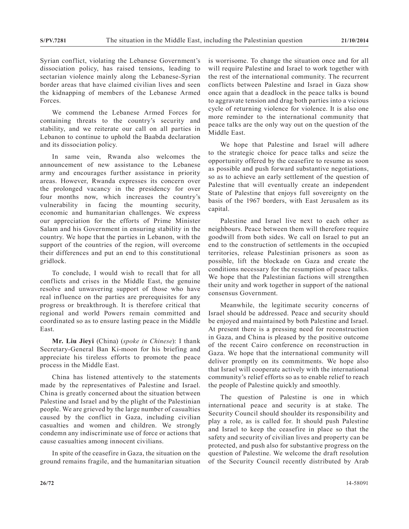Syrian conflict, violating the Lebanese Government's dissociation policy, has raised tensions, leading to sectarian violence mainly along the Lebanese-Syrian border areas that have claimed civilian lives and seen the kidnapping of members of the Lebanese Armed Forces.

We commend the Lebanese Armed Forces for containing threats to the country's security and stability, and we reiterate our call on all parties in Lebanon to continue to uphold the Baabda declaration and its dissociation policy.

In same vein, Rwanda also welcomes the announcement of new assistance to the Lebanese army and encourages further assistance in priority areas. However, Rwanda expresses its concern over the prolonged vacancy in the presidency for over four months now, which increases the country's vulnerability in facing the mounting security, economic and humanitarian challenges. We express our appreciation for the efforts of Prime Minister Salam and his Government in ensuring stability in the country. We hope that the parties in Lebanon, with the support of the countries of the region, will overcome their differences and put an end to this constitutional gridlock.

To conclude, I would wish to recall that for all conflicts and crises in the Middle East, the genuine resolve and unwavering support of those who have real influence on the parties are prerequisites for any progress or breakthrough. It is therefore critical that regional and world Powers remain committed and coordinated so as to ensure lasting peace in the Middle East.

**Mr. Liu Jieyi** (China) (*spoke in Chinese*): I thank Secretary-General Ban Ki-moon for his briefing and appreciate his tireless efforts to promote the peace process in the Middle East.

China has listened attentively to the statements made by the representatives of Palestine and Israel. China is greatly concerned about the situation between Palestine and Israel and by the plight of the Palestinian people. We are grieved by the large number of casualties caused by the conflict in Gaza, including civilian casualties and women and children. We strongly condemn any indiscriminate use of force or actions that cause casualties among innocent civilians.

In spite of the ceasefire in Gaza, the situation on the ground remains fragile, and the humanitarian situation is worrisome. To change the situation once and for all will require Palestine and Israel to work together with the rest of the international community. The recurrent conflicts between Palestine and Israel in Gaza show once again that a deadlock in the peace talks is bound to aggravate tension and drag both parties into a vicious cycle of returning violence for violence. It is also one more reminder to the international community that peace talks are the only way out on the question of the Middle East.

We hope that Palestine and Israel will adhere to the strategic choice for peace talks and seize the opportunity offered by the ceasefire to resume as soon as possible and push forward substantive negotiations, so as to achieve an early settlement of the question of Palestine that will eventually create an independent State of Palestine that enjoys full sovereignty on the basis of the 1967 borders, with East Jerusalem as its capital.

Palestine and Israel live next to each other as neighbours. Peace between them will therefore require goodwill from both sides. We call on Israel to put an end to the construction of settlements in the occupied territories, release Palestinian prisoners as soon as possible, lift the blockade on Gaza and create the conditions necessary for the resumption of peace talks. We hope that the Palestinian factions will strengthen their unity and work together in support of the national consensus Government.

Meanwhile, the legitimate security concerns of Israel should be addressed. Peace and security should be enjoyed and maintained by both Palestine and Israel. At present there is a pressing need for reconstruction in Gaza, and China is pleased by the positive outcome of the recent Cairo conference on reconstruction in Gaza. We hope that the international community will deliver promptly on its commitments. We hope also that Israel will cooperate actively with the international community's relief efforts so as to enable relief to reach the people of Palestine quickly and smoothly.

The question of Palestine is one in which international peace and security is at stake. The Security Council should shoulder its responsibility and play a role, as is called for. It should push Palestine and Israel to keep the ceasefire in place so that the safety and security of civilian lives and property can be protected, and push also for substantive progress on the question of Palestine. We welcome the draft resolution of the Security Council recently distributed by Arab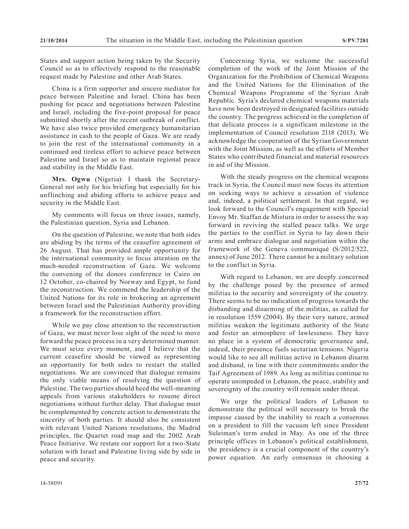States and support action being taken by the Security Council so as to effectively respond to the reasonable request made by Palestine and other Arab States.

China is a firm supporter and sincere mediator for peace between Palestine and Israel. China has been pushing for peace and negotiations between Palestine and Israel, including the five-point proposal for peace submitted shortly after the recent outbreak of conflict. We have also twice provided emergency humanitarian assistance in cash to the people of Gaza. We are ready to join the rest of the international community in a continued and tireless effort to achieve peace between Palestine and Israel so as to maintain regional peace and stability in the Middle East.

**Mrs. Ogwu** (Nigeria): I thank the Secretary-General not only for his briefing but especially for his unflinching and abiding efforts to achieve peace and security in the Middle East.

My comments will focus on three issues, namely, the Palestinian question, Syria and Lebanon.

On the question of Palestine, we note that both sides are abiding by the terms of the ceasefire agreement of 26 August. That has provided ample opportunity for the international community to focus attention on the much-needed reconstruction of Gaza. We welcome the convening of the donors conference in Cairo on 12 October, co-chaired by Norway and Egypt, to fund the reconstruction. We commend the leadership of the United Nations for its role in brokering an agreement between Israel and the Palestinian Authority providing a framework for the reconstruction effort.

While we pay close attention to the reconstruction of Gaza, we must never lose sight of the need to move forward the peace process in a very determined manner. We must seize every moment, and I believe that the current ceasefire should be viewed as representing an opportunity for both sides to restart the stalled negotiations. We are convinced that dialogue remains the only viable means of resolving the question of Palestine. The two parties should heed the well-meaning appeals from various stakeholders to resume direct negotiations without further delay. That dialogue must be complemented by concrete action to demonstrate the sincerity of both parties. It should also be consistent with relevant United Nations resolutions, the Madrid principles, the Quartet road map and the 2002 Arab Peace Initiative. We restate our support for a two-State solution with Israel and Palestine living side by side in peace and security.

Concerning Syria, we welcome the successful completion of the work of the Joint Mission of the Organization for the Prohibition of Chemical Weapons and the United Nations for the Elimination of the Chemical Weapons Programme of the Syrian Arab Republic. Syria's declared chemical weapons materials have now been destroyed in designated facilities outside the country. The progress achieved in the completion of that delicate process is a significant milestone in the implementation of Council resolution 2118 (2013). We acknowledge the cooperation of the Syrian Government with the Joint Mission, as well as the efforts of Member States who contributed financial and material resources in aid of the Mission.

With the steady progress on the chemical weapons track in Syria, the Council must now focus its attention on seeking ways to achieve a cessation of violence and, indeed, a political settlement. In that regard, we look forward to the Council's engagement with Special Envoy Mr. Staffan de Mistura in order to assess the way forward in reviving the stalled peace talks. We urge the parties to the conflict in Syria to lay down their arms and embrace dialogue and negotiation within the framework of the Geneva communiqué (S/2012/522, annex) of June 2012. There cannot be a military solution to the conflict in Syria.

With regard to Lebanon, we are deeply concerned by the challenge posed by the presence of armed militias to the security and sovereignty of the country. There seems to be no indication of progress towards the disbanding and disarming of the militias, as called for in resolution 1559 (2004). By their very nature, armed militias weaken the legitimate authority of the State and foster an atmosphere of lawlessness. They have no place in a system of democratic governance and, indeed, their presence fuels sectarian tensions. Nigeria would like to see all militias active in Lebanon disarm and disband, in line with their commitments under the Taif Agreement of 1989. As long as militias continue to operate unimpeded in Lebanon, the peace, stability and sovereignty of the country will remain under threat.

We urge the political leaders of Lebanon to demonstrate the political will necessary to break the impasse caused by the inability to reach a consensus on a president to fill the vacuum left since President Suleiman's term ended in May. As one of the three principle offices in Lebanon's political establishment, the presidency is a crucial component of the country's power equation. An early consensus in choosing a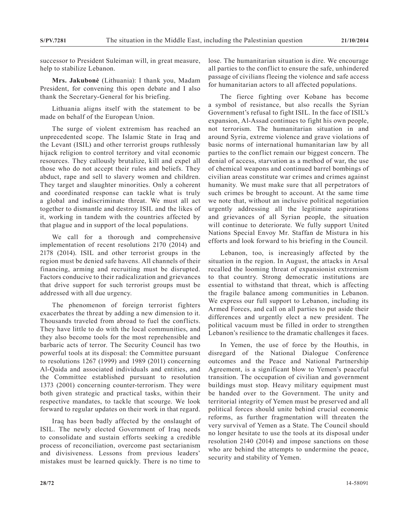successor to President Suleiman will, in great measure, help to stabilize Lebanon.

**Mrs. Jakubonė** (Lithuania): I thank you, Madam President, for convening this open debate and I also thank the Secretary-General for his briefing.

Lithuania aligns itself with the statement to be made on behalf of the European Union.

The surge of violent extremism has reached an unprecedented scope. The Islamic State in Iraq and the Levant (ISIL) and other terrorist groups ruthlessly hijack religion to control territory and vital economic resources. They callously brutalize, kill and expel all those who do not accept their rules and beliefs. They abduct, rape and sell to slavery women and children. They target and slaughter minorities. Only a coherent and coordinated response can tackle what is truly a global and indiscriminate threat. We must all act together to dismantle and destroy ISIL and the likes of it, working in tandem with the countries affected by that plague and in support of the local populations.

We call for a thorough and comprehensive implementation of recent resolutions 2170 (2014) and 2178 (2014). ISIL and other terrorist groups in the region must be denied safe havens. All channels of their financing, arming and recruiting must be disrupted. Factors conducive to their radicalization and grievances that drive support for such terrorist groups must be addressed with all due urgency.

The phenomenon of foreign terrorist fighters exacerbates the threat by adding a new dimension to it. Thousands traveled from abroad to fuel the conflicts. They have little to do with the local communities, and they also become tools for the most reprehensible and barbaric acts of terror. The Security Council has two powerful tools at its disposal: the Committee pursuant to resolutions 1267 (1999) and 1989 (2011) concerning Al-Qaida and associated individuals and entities, and the Committee established pursuant to resolution 1373 (2001) concerning counter-terrorism. They were both given strategic and practical tasks, within their respective mandates, to tackle that scourge. We look forward to regular updates on their work in that regard.

Iraq has been badly affected by the onslaught of ISIL. The newly elected Government of Iraq needs to consolidate and sustain efforts seeking a credible process of reconciliation, overcome past sectarianism and divisiveness. Lessons from previous leaders' mistakes must be learned quickly. There is no time to

lose. The humanitarian situation is dire. We encourage all parties to the conflict to ensure the safe, unhindered passage of civilians fleeing the violence and safe access for humanitarian actors to all affected populations.

The fierce fighting over Kobane has become a symbol of resistance, but also recalls the Syrian Government's refusal to fight ISIL. In the face of ISIL's expansion, Al-Assad continues to fight his own people, not terrorism. The humanitarian situation in and around Syria, extreme violence and grave violations of basic norms of international humanitarian law by all parties to the conflict remain our biggest concern. The denial of access, starvation as a method of war, the use of chemical weapons and continued barrel bombings of civilian areas constitute war crimes and crimes against humanity. We must make sure that all perpetrators of such crimes be brought to account. At the same time we note that, without an inclusive political negotiation urgently addressing all the legitimate aspirations and grievances of all Syrian people, the situation will continue to deteriorate. We fully support United Nations Special Envoy Mr. Staffan de Mistura in his efforts and look forward to his briefing in the Council.

Lebanon, too, is increasingly affected by the situation in the region. In August, the attacks in Arsal recalled the looming threat of expansionist extremism to that country. Strong democratic institutions are essential to withstand that threat, which is affecting the fragile balance among communities in Lebanon. We express our full support to Lebanon, including its Armed Forces, and call on all parties to put aside their differences and urgently elect a new president. The political vacuum must be filled in order to strengthen Lebanon's resilience to the dramatic challenges it faces.

In Yemen, the use of force by the Houthis, in disregard of the National Dialogue Conference outcomes and the Peace and National Partnership Agreement, is a significant blow to Yemen's peaceful transition. The occupation of civilian and government buildings must stop. Heavy military equipment must be handed over to the Government. The unity and territorial integrity of Yemen must be preserved and all political forces should unite behind crucial economic reforms, as further fragmentation will threaten the very survival of Yemen as a State. The Council should no longer hesitate to use the tools at its disposal under resolution 2140 (2014) and impose sanctions on those who are behind the attempts to undermine the peace, security and stability of Yemen.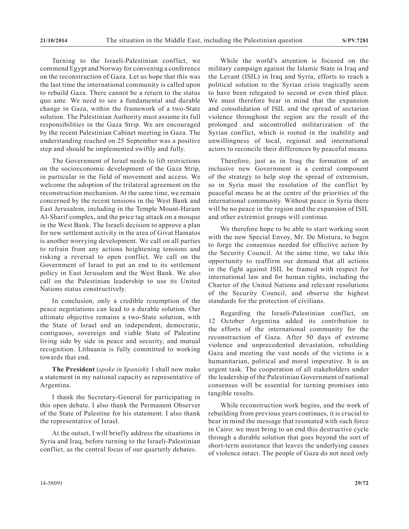Turning to the Israeli-Palestinian conflict, we commend Egypt and Norway for convening a conference on the reconstruction of Gaza. Let us hope that this was the last time the international community is called upon to rebuild Gaza. There cannot be a return to the status quo ante. We need to see a fundamental and durable change in Gaza, within the framework of a two-State solution. The Palestinian Authority must assume its full responsibilities in the Gaza Strip. We are encouraged by the recent Palestinian Cabinet meeting in Gaza. The understanding reached on 25 September was a positive step and should be implemented swiftly and fully.

The Government of Israel needs to lift restrictions on the socioeconomic development of the Gaza Strip, in particular in the field of movement and access. We welcome the adoption of the trilateral agreement on the reconstruction mechanism. At the same time, we remain concerned by the recent tensions in the West Bank and East Jerusalem, including in the Temple Mount-Haram Al-Sharif complex, and the price tag attack on a mosque in the West Bank. The Israeli decision to approve a plan for new settlement activity in the area of Givat Hamatos is another worrying development. We call on all parties to refrain from any actions heightening tensions and risking a reversal to open conflict. We call on the Government of Israel to put an end to its settlement policy in East Jerusalem and the West Bank. We also call on the Palestinian leadership to use its United Nations status constructively.

In conclusion, only a credible resumption of the peace negotiations can lead to a durable solution. Our ultimate objective remains a two-State solution, with the State of Israel and an independent, democratic, contiguous, sovereign and viable State of Palestine living side by side in peace and security, and mutual recognition. Lithuania is fully committed to working towards that end.

**The President** (*spoke in Spanish*): I shall now make a statement in my national capacity as representative of Argentina.

I thank the Secretary-General for participating in this open debate. I also thank the Permanent Observer of the State of Palestine for his statement. I also thank the representative of Israel.

At the outset, I will briefly address the situations in Syria and Iraq, before turning to the Israeli-Palestinian conflict, as the central focus of our quarterly debates.

While the world's attention is focused on the military campaign against the Islamic State in Iraq and the Levant (ISIL) in Iraq and Syria, efforts to reach a political solution to the Syrian crisis tragically seem to have been relegated to second or even third place. We must therefore bear in mind that the expansion and consolidation of ISIL and the spread of sectarian violence throughout the region are the result of the prolonged and uncontrolled militarization of the Syrian conflict, which is rooted in the inability and unwillingness of local, regional and international actors to reconcile their differences by peaceful means.

Therefore, just as in Iraq the formation of an inclusive new Government is a central component of the strategy to help stop the spread of extremism, so in Syria must the resolution of the conflict by peaceful means be at the centre of the priorities of the international community. Without peace in Syria there will be no peace in the region and the expansion of ISIL and other extremist groups will continue.

We therefore hope to be able to start working soon with the new Special Envoy, Mr. De Mistura, to begin to forge the consensus needed for effective action by the Security Council. At the same time, we take this opportunity to reaffirm our demand that all actions in the fight against ISIL be framed with respect for international law and for human rights, including the Charter of the United Nations and relevant resolutions of the Security Council, and observe the highest standards for the protection of civilians.

Regarding the Israeli-Palestinian conflict, on 12 October Argentina added its contribution to the efforts of the international community for the reconstruction of Gaza. After 50 days of extreme violence and unprecedented devastation, rebuilding Gaza and meeting the vast needs of the victims is a humanitarian, political and moral imperative. It is an urgent task. The cooperation of all stakeholders under the leadership of the Palestinian Government of national consensus will be essential for turning promises into tangible results.

While reconstruction work begins, and the work of rebuilding from previous years continues, it is crucial to bear in mind the message that resonated with such force in Cairo: we must bring to an end this destructive cycle through a durable solution that goes beyond the sort of short-term assistance that leaves the underlying causes of violence intact. The people of Gaza do not need only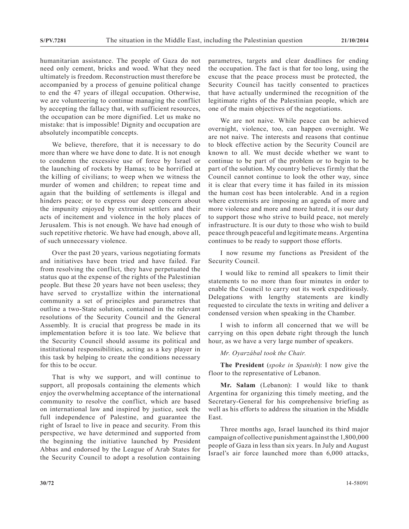humanitarian assistance. The people of Gaza do not need only cement, bricks and wood. What they need ultimately is freedom. Reconstruction must therefore be accompanied by a process of genuine political change to end the 47 years of illegal occupation. Otherwise, we are volunteering to continue managing the conflict by accepting the fallacy that, with sufficient resources, the occupation can be more dignified. Let us make no mistake: that is impossible! Dignity and occupation are absolutely incompatible concepts.

We believe, therefore, that it is necessary to do more than where we have done to date. It is not enough to condemn the excessive use of force by Israel or the launching of rockets by Hamas; to be horrified at the killing of civilians; to weep when we witness the murder of women and children; to repeat time and again that the building of settlements is illegal and hinders peace; or to express our deep concern about the impunity enjoyed by extremist settlers and their acts of incitement and violence in the holy places of Jerusalem. This is not enough. We have had enough of such repetitive rhetoric. We have had enough, above all, of such unnecessary violence.

Over the past 20 years, various negotiating formats and initiatives have been tried and have failed. Far from resolving the conflict, they have perpetuated the status quo at the expense of the rights of the Palestinian people. But these 20 years have not been useless; they have served to crystallize within the international community a set of principles and parametres that outline a two-State solution, contained in the relevant resolutions of the Security Council and the General Assembly. It is crucial that progress be made in its implementation before it is too late. We believe that the Security Council should assume its political and institutional responsibilities, acting as a key player in this task by helping to create the conditions necessary for this to be occur.

That is why we support, and will continue to support, all proposals containing the elements which enjoy the overwhelming acceptance of the international community to resolve the conflict, which are based on international law and inspired by justice, seek the full independence of Palestine, and guarantee the right of Israel to live in peace and security. From this perspective, we have determined and supported from the beginning the initiative launched by President Abbas and endorsed by the League of Arab States for the Security Council to adopt a resolution containing

parametres, targets and clear deadlines for ending the occupation. The fact is that for too long, using the excuse that the peace process must be protected, the Security Council has tacitly consented to practices that have actually undermined the recognition of the legitimate rights of the Palestinian people, which are one of the main objectives of the negotiations.

We are not naive. While peace can be achieved overnight, violence, too, can happen overnight. We are not naive. The interests and reasons that continue to block effective action by the Security Council are known to all. We must decide whether we want to continue to be part of the problem or to begin to be part of the solution. My country believes firmly that the Council cannot continue to look the other way, since it is clear that every time it has failed in its mission the human cost has been intolerable. And in a region where extremists are imposing an agenda of more and more violence and more and more hatred, it is our duty to support those who strive to build peace, not merely infrastructure. It is our duty to those who wish to build peace through peaceful and legitimate means. Argentina continues to be ready to support those efforts.

I now resume my functions as President of the Security Council.

I would like to remind all speakers to limit their statements to no more than four minutes in order to enable the Council to carry out its work expeditiously. Delegations with lengthy statements are kindly requested to circulate the texts in writing and deliver a condensed version when speaking in the Chamber.

I wish to inform all concerned that we will be carrying on this open debate right through the lunch hour, as we have a very large number of speakers.

## *Mr. Oyarzábal took the Chair.*

**The President** (*spoke in Spanish*): I now give the floor to the representative of Lebanon.

**Mr. Salam** (Lebanon): I would like to thank Argentina for organizing this timely meeting, and the Secretary-General for his comprehensive briefing as well as his efforts to address the situation in the Middle East.

Three months ago, Israel launched its third major campaign of collective punishment against the 1,800,000 people of Gaza in less than six years. In July and August Israel's air force launched more than 6,000 attacks,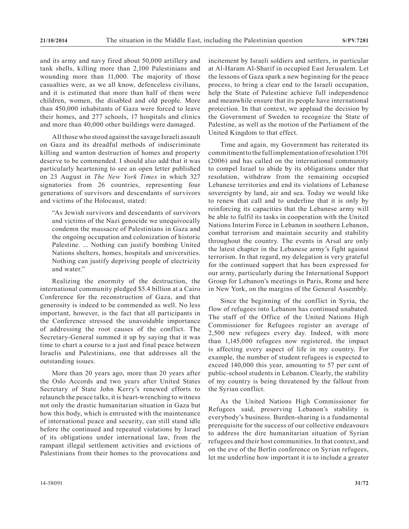and its army and navy fired about 50,000 artillery and tank shells, killing more than 2,100 Palestinians and wounding more than 11,000. The majority of those casualties were, as we all know, defenceless civilians, and it is estimated that more than half of them were children, women, the disabled and old people. More than 450,000 inhabitants of Gaza were forced to leave their homes, and 277 schools, 17 hospitals and clinics and more than 40,000 other buildings were damaged.

All those who stood against the savage Israeli assault on Gaza and its dreadful methods of indiscriminate killing and wanton destruction of homes and property deserve to be commended. I should also add that it was particularly heartening to see an open letter published on 23 August in *The New York Times* in which 327 signatories from 26 countries, representing four generations of survivors and descendants of survivors and victims of the Holocaust, stated:

"As Jewish survivors and descendants of survivors and victims of the Nazi genocide we unequivocally condemn the massacre of Palestinians in Gaza and the ongoing occupation and colonization of historic Palestine. ... Nothing can justify bombing United Nations shelters, homes, hospitals and universities. Nothing can justify depriving people of electricity and water."

Realizing the enormity of the destruction, the international community pledged \$5.4 billion at a Cairo Conference for the reconstruction of Gaza, and that generosity is indeed to be commended as well. No less important, however, is the fact that all participants in the Conference stressed the unavoidable importance of addressing the root causes of the conflict. The Secretary-General summed it up by saying that it was time to chart a course to a just and final peace between Israelis and Palestinians, one that addresses all the outstanding issues.

More than 20 years ago, more than 20 years after the Oslo Accords and two years after United States Secretary of State John Kerry's renewed efforts to relaunch the peace talks, it is heart-wrenching to witness not only the drastic humanitarian situation in Gaza but how this body, which is entrusted with the maintenance of international peace and security, can still stand idle before the continued and repeated violations by Israel of its obligations under international law, from the rampant illegal settlement activities and evictions of Palestinians from their homes to the provocations and

incitement by Israeli soldiers and settlers, in particular at Al-Haram Al-Sharif in occupied East Jerusalem. Let the lessons of Gaza spark a new beginning for the peace process, to bring a clear end to the Israeli occupation, help the State of Palestine achieve full independence and meanwhile ensure that its people have international protection. In that context, we applaud the decision by the Government of Sweden to recognize the State of Palestine, as well as the motion of the Parliament of the United Kingdom to that effect.

Time and again, my Government has reiterated its commitment to the full implementation of resolution 1701 (2006) and has called on the international community to compel Israel to abide by its obligations under that resolution, withdraw from the remaining occupied Lebanese territories and end its violations of Lebanese sovereignty by land, air and sea. Today we would like to renew that call and to underline that it is only by reinforcing its capacities that the Lebanese army will be able to fulfil its tasks in cooperation with the United Nations Interim Force in Lebanon in southern Lebanon, combat terrorism and maintain security and stability throughout the country. The events in Arsal are only the latest chapter in the Lebanese army's fight against terrorism. In that regard, my delegation is very grateful for the continued support that has been expressed for our army, particularly during the International Support Group for Lebanon's meetings in Paris, Rome and here in New York, on the margins of the General Assembly.

Since the beginning of the conflict in Syria, the flow of refugees into Lebanon has continued unabated. The staff of the Office of the United Nations High Commissioner for Refugees register an average of 2,500 new refugees every day. Indeed, with more than 1,145,000 refugees now registered, the impact is affecting every aspect of life in my country. For example, the number of student refugees is expected to exceed 140,000 this year, amounting to 57 per cent of public-school students in Lebanon. Clearly, the stability of my country is being threatened by the fallout from the Syrian conflict.

As the United Nations High Commissioner for Refugees said, preserving Lebanon's stability is everybody's business. Burden-sharing is a fundamental prerequisite for the success of our collective endeavours to address the dire humanitarian situation of Syrian refugees and their host communities. In that context, and on the eve of the Berlin conference on Syrian refugees, let me underline how important it is to include a greater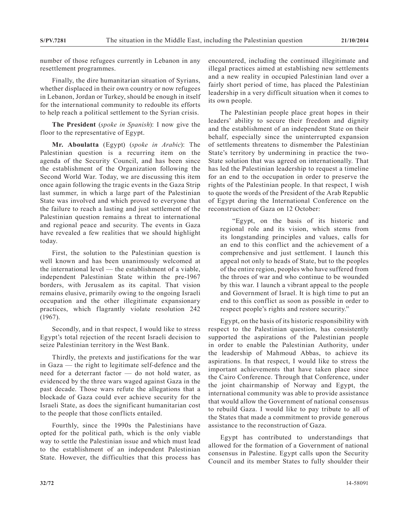number of those refugees currently in Lebanon in any resettlement programmes.

Finally, the dire humanitarian situation of Syrians, whether displaced in their own country or now refugees in Lebanon, Jordan or Turkey, should be enough in itself for the international community to redouble its efforts to help reach a political settlement to the Syrian crisis.

**The President** (*spoke in Spanish*): I now give the floor to the representative of Egypt.

**Mr. Aboulatta** (Egypt) (*spoke in Arabic*): The Palestinian question is a recurring item on the agenda of the Security Council, and has been since the establishment of the Organization following the Second World War. Today, we are discussing this item once again following the tragic events in the Gaza Strip last summer, in which a large part of the Palestinian State was involved and which proved to everyone that the failure to reach a lasting and just settlement of the Palestinian question remains a threat to international and regional peace and security. The events in Gaza have revealed a few realities that we should highlight today.

First, the solution to the Palestinian question is well known and has been unanimously welcomed at the international level — the establishment of a viable, independent Palestinian State within the pre-1967 borders, with Jerusalem as its capital. That vision remains elusive, primarily owing to the ongoing Israeli occupation and the other illegitimate expansionary practices, which flagrantly violate resolution 242 (1967).

Secondly, and in that respect, I would like to stress Egypt's total rejection of the recent Israeli decision to seize Palestinian territory in the West Bank.

Thirdly, the pretexts and justifications for the war in Gaza — the right to legitimate self-defence and the need for a deterrant factor — do not hold water, as evidenced by the three wars waged against Gaza in the past decade. Those wars refute the allegations that a blockade of Gaza could ever achieve security for the Israeli State, as does the significant humanitarian cost to the people that those conflicts entailed.

Fourthly, since the 1990s the Palestinians have opted for the political path, which is the only viable way to settle the Palestinian issue and which must lead to the establishment of an independent Palestinian State. However, the difficulties that this process has

encountered, including the continued illegitimate and illegal practices aimed at establishing new settlements and a new reality in occupied Palestinian land over a fairly short period of time, has placed the Palestinian leadership in a very difficult situation when it comes to its own people.

The Palestinian people place great hopes in their leaders' ability to secure their freedom and dignity and the establishment of an independent State on their behalf, especially since the uninterrupted expansion of settlements threatens to dismember the Palestinian State's territory by undermining in practice the two-State solution that was agreed on internationally. That has led the Palestinian leadership to request a timeline for an end to the occupation in order to preserve the rights of the Palestinian people. In that respect, I wish to quote the words of the President of the Arab Republic of Egypt during the International Conference on the reconstruction of Gaza on 12 October:

"Egypt, on the basis of its historic and regional role and its vision, which stems from its longstanding principles and values, calls for an end to this conflict and the achievement of a comprehensive and just settlement. I launch this appeal not only to heads of State, but to the peoples of the entire region, peoples who have suffered from the throes of war and who continue to be wounded by this war. I launch a vibrant appeal to the people and Government of Israel. It is high time to put an end to this conflict as soon as possible in order to respect people's rights and restore security."

Egypt, on the basis of its historic responsibility with respect to the Palestinian question, has consistently supported the aspirations of the Palestinian people in order to enable the Palestinian Authority, under the leadership of Mahmoud Abbas, to achieve its aspirations. In that respect, I would like to stress the important achievements that have taken place since the Cairo Conference. Through that Conference, under the joint chairmanship of Norway and Egypt, the international community was able to provide assistance that would allow the Government of national consensus to rebuild Gaza. I would like to pay tribute to all of the States that made a commitment to provide generous assistance to the reconstruction of Gaza.

Egypt has contributed to understandings that allowed for the formation of a Government of national consensus in Palestine. Egypt calls upon the Security Council and its member States to fully shoulder their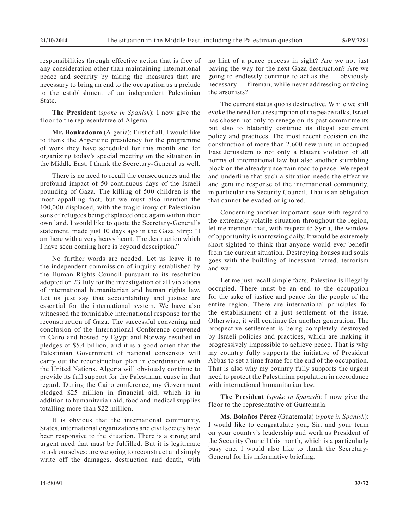responsibilities through effective action that is free of any consideration other than maintaining international peace and security by taking the measures that are necessary to bring an end to the occupation as a prelude to the establishment of an independent Palestinian State.

**The President** (*spoke in Spanish*): I now give the floor to the representative of Algeria.

**Mr. Boukadoum** (Algeria): First of all, I would like to thank the Argentine presidency for the programme of work they have scheduled for this month and for organizing today's special meeting on the situation in the Middle East. I thank the Secretary-General as well.

There is no need to recall the consequences and the profound impact of 50 continuous days of the Israeli pounding of Gaza. The killing of 500 children is the most appalling fact, but we must also mention the 100,000 displaced, with the tragic irony of Palestinian sons of refugees being displaced once again within their own land. I would like to quote the Secretary-General's statement, made just 10 days ago in the Gaza Strip: "I am here with a very heavy heart. The destruction which I have seen coming here is beyond description."

No further words are needed. Let us leave it to the independent commission of inquiry established by the Human Rights Council pursuant to its resolution adopted on 23 July for the investigation of all violations of international humanitarian and human rights law. Let us just say that accountability and justice are essential for the international system. We have also witnessed the formidable international response for the reconstruction of Gaza. The successful convening and conclusion of the International Conference convened in Cairo and hosted by Egypt and Norway resulted in pledges of \$5.4 billion, and it is a good omen that the Palestinian Government of national consensus will carry out the reconstruction plan in coordination with the United Nations. Algeria will obviously continue to provide its full support for the Palestinian cause in that regard. During the Cairo conference, my Government pledged \$25 million in financial aid, which is in addition to humanitarian aid, food and medical supplies totalling more than \$22 million.

It is obvious that the international community, States, international organizations and civil society have been responsive to the situation. There is a strong and urgent need that must be fulfilled. But it is legitimate to ask ourselves: are we going to reconstruct and simply write off the damages, destruction and death, with

The current status quo is destructive. While we still evoke the need for a resumption of the peace talks, Israel has chosen not only to renege on its past commitments but also to blatantly continue its illegal settlement policy and practices. The most recent decision on the construction of more than 2,600 new units in occupied East Jerusalem is not only a blatant violation of all norms of international law but also another stumbling block on the already uncertain road to peace. We repeat and underline that such a situation needs the effective and genuine response of the international community, in particular the Security Council. That is an obligation that cannot be evaded or ignored.

Concerning another important issue with regard to the extremely volatile situation throughout the region, let me mention that, with respect to Syria, the window of opportunity is narrowing daily. It would be extremely short-sighted to think that anyone would ever benefit from the current situation. Destroying houses and souls goes with the building of incessant hatred, terrorism and war.

Let me just recall simple facts. Palestine is illegally occupied. There must be an end to the occupation for the sake of justice and peace for the people of the entire region. There are international principles for the establishment of a just settlement of the issue. Otherwise, it will continue for another generation. The prospective settlement is being completely destroyed by Israeli policies and practices, which are making it progressively impossible to achieve peace. That is why my country fully supports the initiative of President Abbas to set a time frame for the end of the occupation. That is also why my country fully supports the urgent need to protect the Palestinian population in accordance with international humanitarian law.

**The President** (*spoke in Spanish*): I now give the floor to the representative of Guatemala.

**Ms. Bolaños Pérez** (Guatemala) (*spoke in Spanish*): I would like to congratulate you, Sir, and your team on your country's leadership and work as President of the Security Council this month, which is a particularly busy one. I would also like to thank the Secretary-General for his informative briefing.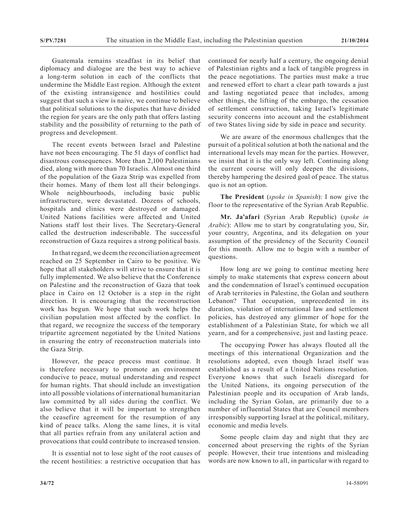Guatemala remains steadfast in its belief that diplomacy and dialogue are the best way to achieve a long-term solution in each of the conflicts that undermine the Middle East region. Although the extent of the existing intransigence and hostilities could suggest that such a view is naive, we continue to believe that political solutions to the disputes that have divided the region for years are the only path that offers lasting stability and the possibility of returning to the path of progress and development.

The recent events between Israel and Palestine have not been encouraging. The 51 days of conflict had disastrous consequences. More than 2,100 Palestinians died, along with more than 70 Israelis. Almost one third of the population of the Gaza Strip was expelled from their homes. Many of them lost all their belongings. Whole neighbourhoods, including basic public infrastructure, were devastated. Dozens of schools, hospitals and clinics were destroyed or damaged. United Nations facilities were affected and United Nations staff lost their lives. The Secretary-General called the destruction indescribable. The successful reconstruction of Gaza requires a strong political basis.

In that regard, we deem the reconciliation agreement reached on 25 September in Cairo to be positive. We hope that all stakeholders will strive to ensure that it is fully implemented. We also believe that the Conference on Palestine and the reconstruction of Gaza that took place in Cairo on 12 October is a step in the right direction. It is encouraging that the reconstruction work has begun. We hope that such work helps the civilian population most affected by the conflict. In that regard, we recognize the success of the temporary tripartite agreement negotiated by the United Nations in ensuring the entry of reconstruction materials into the Gaza Strip.

However, the peace process must continue. It is therefore necessary to promote an environment conducive to peace, mutual understanding and respect for human rights. That should include an investigation into all possible violations of international humanitarian law committed by all sides during the conflict. We also believe that it will be important to strengthen the ceasefire agreement for the resumption of any kind of peace talks. Along the same lines, it is vital that all parties refrain from any unilateral action and provocations that could contribute to increased tension.

It is essential not to lose sight of the root causes of the recent hostilities: a restrictive occupation that has

continued for nearly half a century, the ongoing denial of Palestinian rights and a lack of tangible progress in the peace negotiations. The parties must make a true and renewed effort to chart a clear path towards a just and lasting negotiated peace that includes, among other things, the lifting of the embargo, the cessation of settlement construction, taking Israel's legitimate security concerns into account and the establishment of two States living side by side in peace and security.

We are aware of the enormous challenges that the pursuit of a political solution at both the national and the international levels may mean for the parties. However, we insist that it is the only way left. Continuing along the current course will only deepen the divisions, thereby hampering the desired goal of peace. The status quo is not an option.

**The President** (*spoke in Spanish*): I now give the floor to the representative of the Syrian Arab Republic.

**Mr. Ja'afari** (Syrian Arab Republic) (*spoke in Arabic*): Allow me to start by congratulating you, Sir, your country, Argentina, and its delegation on your assumption of the presidency of the Security Council for this month. Allow me to begin with a number of questions.

How long are we going to continue meeting here simply to make statements that express concern about and the condemnation of Israel's continued occupation of Arab territories in Palestine, the Golan and southern Lebanon? That occupation, unprecedented in its duration, violation of international law and settlement policies, has destroyed any glimmer of hope for the establishment of a Palestinian State, for which we all yearn, and for a comprehensive, just and lasting peace.

The occupying Power has always flouted all the meetings of this international Organization and the resolutions adopted, even though Israel itself was established as a result of a United Nations resolution. Everyone knows that such Israeli disregard for the United Nations, its ongoing persecution of the Palestinian people and its occupation of Arab lands, including the Syrian Golan, are primarily due to a number of influential States that are Council members irresponsibly supporting Israel at the political, military, economic and media levels.

Some people claim day and night that they are concerned about preserving the rights of the Syrian people. However, their true intentions and misleading words are now known to all, in particular with regard to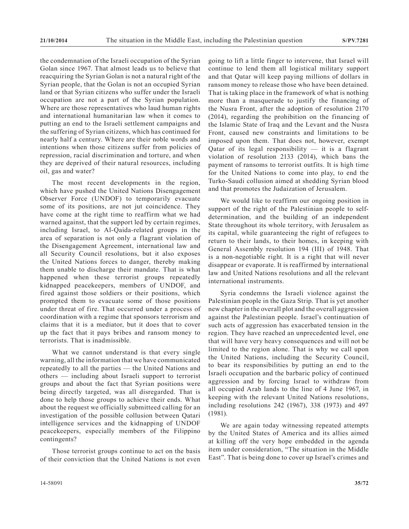the condemnation of the Israeli occupation of the Syrian Golan since 1967. That almost leads us to believe that reacquiring the Syrian Golan is not a natural right of the Syrian people, that the Golan is not an occupied Syrian land or that Syrian citizens who suffer under the Israeli occupation are not a part of the Syrian population. Where are those representatives who laud human rights and international humanitarian law when it comes to putting an end to the Israeli settlement campaigns and the suffering of Syrian citizens, which has continued for nearly half a century. Where are their noble words and intentions when those citizens suffer from policies of repression, racial discrimination and torture, and when they are deprived of their natural resources, including oil, gas and water?

The most recent developments in the region, which have pushed the United Nations Disengagement Observer Force (UNDOF) to temporarily evacuate some of its positions, are not jut coincidence. They have come at the right time to reaffirm what we had warned against, that the support led by certain regimes, including Israel, to Al-Qaida-related groups in the area of separation is not only a flagrant violation of the Disengagement Agreement, international law and all Security Council resolutions, but it also exposes the United Nations forces to danger, thereby making them unable to discharge their mandate. That is what happened when these terrorist groups repeatedly kidnapped peacekeepers, members of UNDOF, and fired against those soldiers or their positions, which prompted them to evacuate some of those positions under threat of fire. That occurred under a process of coordination with a regime that sponsors terrorism and claims that it is a mediator, but it does that to cover up the fact that it pays bribes and ransom money to terrorists. That is inadmissible.

What we cannot understand is that every single warning, all the information that we have communicated repeatedly to all the parties — the United Nations and others — including about Israeli support to terrorist groups and about the fact that Syrian positions were being directly targeted, was all disregarded. That is done to help those groups to achieve their ends. What about the request we officially submitteed calling for an investigation of the possible collusion between Qatari intelligence services and the kidnapping of UNDOF peacekeepers, especially members of the Filippino contingents?

Those terrorist groups continue to act on the basis of their conviction that the United Nations is not even

going to lift a little finger to intervene, that Israel will continue to lend them all logistical military support and that Qatar will keep paying millions of dollars in ransom money to release those who have been detained. That is taking place in the framework of what is nothing more than a masquerade to justify the financing of the Nusra Front, after the adoption of resolution 2170 (2014), regarding the prohibition on the financing of the Islamic State of Iraq and the Levant and the Nusra Front, caused new constraints and limitations to be imposed upon them. That does not, however, exempt Qatar of its legal responsibility  $-$  it is a flagrant violation of resolution 2133 (2014), which bans the payment of ransoms to terrorist outfits. It is high time for the United Nations to come into play, to end the Turko-Saudi collusion aimed at shedding Syrian blood and that promotes the Judaization of Jerusalem.

We would like to reaffirm our ongoing position in support of the right of the Palestinian people to selfdetermination, and the building of an independent State throughout its whole territory, with Jerusalem as its capital, while guaranteeing the right of refugees to return to their lands, to their homes, in keeping with General Assembly resolution 194 (III) of 1948. That is a non-negotiable right. It is a right that will never disappear or evaporate. It is reaffirmed by international law and United Nations resolutions and all the relevant international instruments.

Syria condemns the Israeli violence against the Palestinian people in the Gaza Strip. That is yet another new chapter in the overall plot and the overall aggression against the Palestinian people. Israel's continuation of such acts of aggression has exacerbated tension in the region. They have reached an unprecedented level, one that will have very heavy consequences and will not be limited to the region alone. That is why we call upon the United Nations, including the Security Council, to bear its responsibilities by putting an end to the Israeli occupation and the barbaric policy of continued aggression and by forcing Israel to withdraw from all occupied Arab lands to the line of 4 June 1967, in keeping with the relevant United Nations resolutions, including resolutions 242 (1967), 338 (1973) and 497 (1981).

We are again today witnessing repeated attempts by the United States of America and its allies aimed at killing off the very hope embedded in the agenda item under consideration, "The situation in the Middle East". That is being done to cover up Israel's crimes and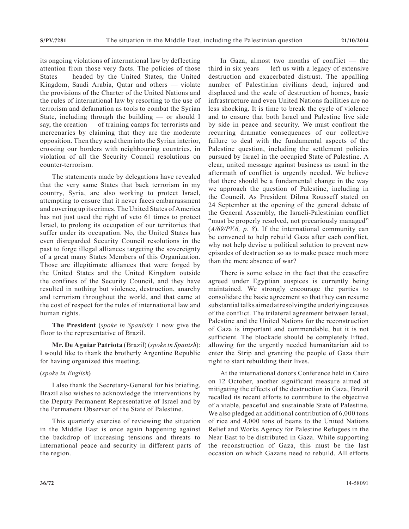its ongoing violations of international law by deflecting attention from those very facts. The policies of those States — headed by the United States, the United Kingdom, Saudi Arabia, Qatar and others — violate the provisions of the Charter of the United Nations and the rules of international law by resorting to the use of terrorism and defamation as tools to combat the Syrian State, including through the building — or should I say, the creation — of training camps for terrorists and mercenaries by claiming that they are the moderate opposition. Then they send them into the Syrian interior, crossing our borders with neighbouring countries, in violation of all the Security Council resolutions on counter-terrorism.

The statements made by delegations have revealed that the very same States that back terrorism in my country, Syria, are also working to protect Israel, attempting to ensure that it never faces embarrassment and covering up its crimes. The United States of America has not just used the right of veto 61 times to protect Israel, to prolong its occupation of our territories that suffer under its occupation. No, the United States has even disregarded Security Council resolutions in the past to forge illegal alliances targeting the sovereignty of a great many States Members of this Organization. Those are illegitimate alliances that were forged by the United States and the United Kingdom outside the confines of the Security Council, and they have resulted in nothing but violence, destruction, anarchy and terrorism throughout the world, and that came at the cost of respect for the rules of international law and human rights.

**The President** (*spoke in Spanish*): I now give the floor to the representative of Brazil.

**Mr. De Aguiar Patriota** (Brazil) (*spoke in Spanish*): I would like to thank the brotherly Argentine Republic for having organized this meeting.

### (*spoke in English*)

I also thank the Secretary-General for his briefing. Brazil also wishes to acknowledge the interventions by the Deputy Permanent Representative of Israel and by the Permanent Observer of the State of Palestine.

This quarterly exercise of reviewing the situation in the Middle East is once again happening against the backdrop of increasing tensions and threats to international peace and security in different parts of the region.

In Gaza, almost two months of conflict — the third in six years — left us with a legacy of extensive destruction and exacerbated distrust. The appalling number of Palestinian civilians dead, injured and displaced and the scale of destruction of homes, basic infrastructure and even United Nations facilities are no less shocking. It is time to break the cycle of violence and to ensure that both Israel and Palestine live side by side in peace and security. We must confront the recurring dramatic consequences of our collective failure to deal with the fundamental aspects of the Palestine question, including the settlement policies pursued by Israel in the occupied State of Palestine. A clear, united message against business as usual in the aftermath of conflict is urgently needed. We believe that there should be a fundamental change in the way we approach the question of Palestine, including in the Council. As President Dilma Rousseff stated on 24 September at the opening of the general debate of the General Assembly, the Israeli-Palestinian conflict "must be properly resolved, not precariously managed" (*A/69/PV.6, p. 8*). If the international community can be convened to help rebuild Gaza after each conflict, why not help devise a political solution to prevent new episodes of destruction so as to make peace much more than the mere absence of war?

There is some solace in the fact that the ceasefire agreed under Egyptian auspices is currently being maintained. We strongly encourage the parties to consolidate the basic agreement so that they can resume substantial talks aimed at resolving the underlying causes of the conflict. The trilateral agreement between Israel, Palestine and the United Nations for the reconstruction of Gaza is important and commendable, but it is not sufficient. The blockade should be completely lifted, allowing for the urgently needed humanitarian aid to enter the Strip and granting the people of Gaza their right to start rebuilding their lives.

At the international donors Conference held in Cairo on 12 October, another significant measure aimed at mitigating the effects of the destruction in Gaza, Brazil recalled its recent efforts to contribute to the objective of a viable, peaceful and sustainable State of Palestine. We also pledged an additional contribution of 6,000 tons of rice and 4,000 tons of beans to the United Nations Relief and Works Agency for Palestine Refugees in the Near East to be distributed in Gaza. While supporting the reconstruction of Gaza, this must be the last occasion on which Gazans need to rebuild. All efforts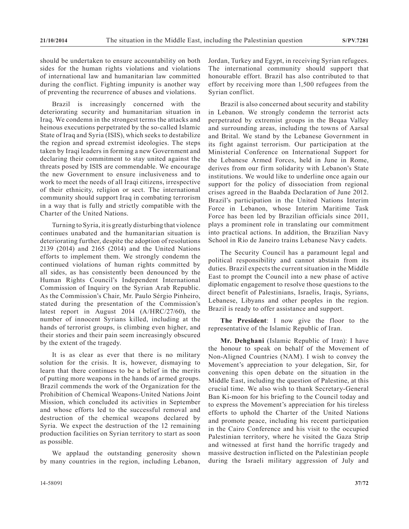should be undertaken to ensure accountability on both sides for the human rights violations and violations of international law and humanitarian law committed during the conflict. Fighting impunity is another way of preventing the recurrence of abuses and violations.

Brazil is increasingly concerned with the deteriorating security and humanitarian situation in Iraq. We condemn in the strongest terms the attacks and heinous executions perpetrated by the so-called Islamic State of Iraq and Syria (ISIS), which seeks to destabilize the region and spread extremist ideologies. The steps taken by Iraqi leaders in forming a new Government and declaring their commitment to stay united against the threats posed by ISIS are commendable. We encourage the new Government to ensure inclusiveness and to work to meet the needs of all Iraqi citizens, irrespective of their ethnicity, religion or sect. The international community should support Iraq in combating terrorism in a way that is fully and strictly compatible with the Charter of the United Nations.

Turning to Syria, it is greatly disturbing that violence continues unabated and the humanitarian situation is deteriorating further, despite the adoption of resolutions 2139 (2014) and 2165 (2014) and the United Nations efforts to implement them. We strongly condemn the continued violations of human rights committed by all sides, as has consistently been denounced by the Human Rights Council's Independent International Commission of Inquiry on the Syrian Arab Republic. As the Commission's Chair, Mr. Paulo Sérgio Pinheiro, stated during the presentation of the Commission's latest report in August 2014 (A/HRC/27/60), the number of innocent Syrians killed, including at the hands of terrorist groups, is climbing even higher, and their stories and their pain seem increasingly obscured by the extent of the tragedy.

It is as clear as ever that there is no military solution for the crisis. It is, however, dismaying to learn that there continues to be a belief in the merits of putting more weapons in the hands of armed groups. Brazil commends the work of the Organization for the Prohibition of Chemical Weapons-United Nations Joint Mission, which concluded its activities in September and whose efforts led to the successful removal and destruction of the chemical weapons declared by Syria. We expect the destruction of the 12 remaining production facilities on Syrian territory to start as soon as possible.

We applaud the outstanding generosity shown by many countries in the region, including Lebanon, Jordan, Turkey and Egypt, in receiving Syrian refugees. The international community should support that honourable effort. Brazil has also contributed to that effort by receiving more than 1,500 refugees from the Syrian conflict.

Brazil is also concerned about security and stability in Lebanon. We strongly condemn the terrorist acts perpetrated by extremist groups in the Beqaa Valley and surrounding areas, including the towns of Aarsal and Brital. We stand by the Lebanese Government in its fight against terrorism. Our participation at the Ministerial Conference on International Support for the Lebanese Armed Forces, held in June in Rome, derives from our firm solidarity with Lebanon's State institutions. We would like to underline once again our support for the policy of dissociation from regional crises agreed in the Baabda Declaration of June 2012. Brazil's participation in the United Nations Interim Force in Lebanon, whose Interim Maritime Task Force has been led by Brazilian officials since 2011, plays a prominent role in translating our commitment into practical actions. In addition, the Brazilian Navy School in Rio de Janeiro trains Lebanese Navy cadets.

The Security Council has a paramount legal and political responsibility and cannot abstain from its duties. Brazil expects the current situation in the Middle East to prompt the Council into a new phase of active diplomatic engagement to resolve those questions to the direct benefit of Palestinians, Israelis, Iraqis, Syrians, Lebanese, Libyans and other peoples in the region. Brazil is ready to offer assistance and support.

**The President**: I now give the floor to the representative of the Islamic Republic of Iran.

**Mr. Dehghani** (Islamic Republic of Iran): I have the honour to speak on behalf of the Movement of Non-Aligned Countries (NAM). I wish to convey the Movement's appreciation to your delegation, Sir, for convening this open debate on the situation in the Middle East, including the question of Palestine, at this crucial time. We also wish to thank Secretary-General Ban Ki-moon for his briefing to the Council today and to express the Movement's appreciation for his tireless efforts to uphold the Charter of the United Nations and promote peace, including his recent participation in the Cairo Conference and his visit to the occupied Palestinian territory, where he visited the Gaza Strip and witnessed at first hand the horrific tragedy and massive destruction inflicted on the Palestinian people during the Israeli military aggression of July and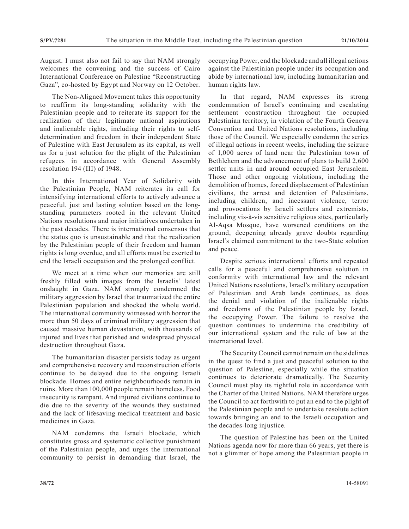August. I must also not fail to say that NAM strongly welcomes the convening and the success of Cairo International Conference on Palestine "Reconstructing Gaza", co-hosted by Egypt and Norway on 12 October.

The Non-Aligned Movement takes this opportunity to reaffirm its long-standing solidarity with the Palestinian people and to reiterate its support for the realization of their legitimate national aspirations and inalienable rights, including their rights to selfdetermination and freedom in their independent State of Palestine with East Jerusalem as its capital, as well as for a just solution for the plight of the Palestinian refugees in accordance with General Assembly resolution 194 (III) of 1948.

In this International Year of Solidarity with the Palestinian People, NAM reiterates its call for intensifying international efforts to actively advance a peaceful, just and lasting solution based on the longstanding parameters rooted in the relevant United Nations resolutions and major initiatives undertaken in the past decades. There is international consensus that the status quo is unsustainable and that the realization by the Palestinian people of their freedom and human rights is long overdue, and all efforts must be exerted to end the Israeli occupation and the prolonged conflict.

We meet at a time when our memories are still freshly filled with images from the Israelis' latest onslaught in Gaza. NAM strongly condemned the military aggression by Israel that traumatized the entire Palestinian population and shocked the whole world. The international community witnessed with horror the more than 50 days of criminal military aggression that caused massive human devastation, with thousands of injured and lives that perished and widespread physical destruction throughout Gaza.

The humanitarian disaster persists today as urgent and comprehensive recovery and reconstruction efforts continue to be delayed due to the ongoing Israeli blockade. Homes and entire neighbourhoods remain in ruins. More than 100,000 people remain homeless. Food insecurity is rampant. And injured civilians continue to die due to the severity of the wounds they sustained and the lack of lifesaving medical treatment and basic medicines in Gaza.

NAM condemns the Israeli blockade, which constitutes gross and systematic collective punishment of the Palestinian people, and urges the international community to persist in demanding that Israel, the occupying Power, end the blockade and all illegal actions against the Palestinian people under its occupation and abide by international law, including humanitarian and human rights law.

In that regard, NAM expresses its strong condemnation of Israel's continuing and escalating settlement construction throughout the occupied Palestinian territory, in violation of the Fourth Geneva Convention and United Nations resolutions, including those of the Council. We especially condemn the series of illegal actions in recent weeks, including the seizure of 1,000 acres of land near the Palestinian town of Bethlehem and the advancement of plans to build 2,600 settler units in and around occupied East Jerusalem. Those and other ongoing violations, including the demolition of homes, forced displacement of Palestinian civilians, the arrest and detention of Palestinians, including children, and incessant violence, terror and provocations by Israeli settlers and extremists, including vis-à-vis sensitive religious sites, particularly Al-Aqsa Mosque, have worsened conditions on the ground, deepening already grave doubts regarding Israel's claimed commitment to the two-State solution and peace.

Despite serious international efforts and repeated calls for a peaceful and comprehensive solution in conformity with international law and the relevant United Nations resolutions, Israel's military occupation of Palestinian and Arab lands continues, as does the denial and violation of the inalienable rights and freedoms of the Palestinian people by Israel, the occupying Power. The failure to resolve the question continues to undermine the credibility of our international system and the rule of law at the international level.

The Security Council cannot remain on the sidelines in the quest to find a just and peaceful solution to the question of Palestine, especially while the situation continues to deteriorate dramatically. The Security Council must play its rightful role in accordance with the Charter of the United Nations. NAM therefore urges the Council to act forthwith to put an end to the plight of the Palestinian people and to undertake resolute action towards bringing an end to the Israeli occupation and the decades-long injustice.

The question of Palestine has been on the United Nations agenda now for more than 66 years, yet there is not a glimmer of hope among the Palestinian people in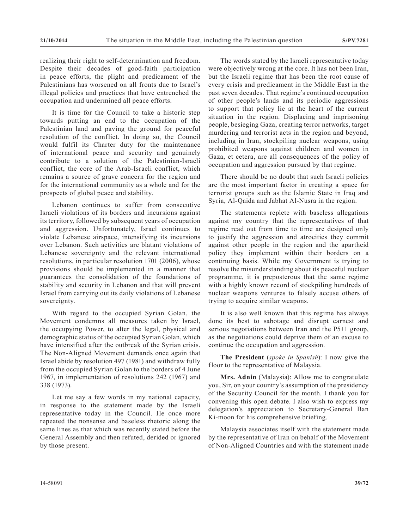realizing their right to self-determination and freedom. Despite their decades of good-faith participation in peace efforts, the plight and predicament of the Palestinians has worsened on all fronts due to Israel's illegal policies and practices that have entrenched the occupation and undermined all peace efforts.

It is time for the Council to take a historic step towards putting an end to the occupation of the Palestinian land and paving the ground for peaceful resolution of the conflict. In doing so, the Council would fulfil its Charter duty for the maintenance of international peace and security and genuinely contribute to a solution of the Palestinian-Israeli conflict, the core of the Arab-Israeli conflict, which remains a source of grave concern for the region and for the international community as a whole and for the prospects of global peace and stability.

Lebanon continues to suffer from consecutive Israeli violations of its borders and incursions against its territory, followed by subsequent years of occupation and aggression. Unfortunately, Israel continues to violate Lebanese airspace, intensifying its incursions over Lebanon. Such activities are blatant violations of Lebanese sovereignty and the relevant international resolutions, in particular resolution 1701 (2006), whose provisions should be implemented in a manner that guarantees the consolidation of the foundations of stability and security in Lebanon and that will prevent Israel from carrying out its daily violations of Lebanese sovereignty.

With regard to the occupied Syrian Golan, the Movement condemns all measures taken by Israel, the occupying Power, to alter the legal, physical and demographic status of the occupied Syrian Golan, which have intensified after the outbreak of the Syrian crisis. The Non-Aligned Movement demands once again that Israel abide by resolution 497 (1981) and withdraw fully from the occupied Syrian Golan to the borders of 4 June 1967, in implementation of resolutions 242 (1967) and 338 (1973).

Let me say a few words in my national capacity, in response to the statement made by the Israeli representative today in the Council. He once more repeated the nonsense and baseless rhetoric along the same lines as that which was recently stated before the General Assembly and then refuted, derided or ignored by those present.

The words stated by the Israeli representative today were objectively wrong at the core. It has not been Iran, but the Israeli regime that has been the root cause of every crisis and predicament in the Middle East in the past seven decades. That regime's continued occupation of other people's lands and its periodic aggressions to support that policy lie at the heart of the current situation in the region. Displacing and imprisoning people, besieging Gaza, creating terror networks, target murdering and terrorist acts in the region and beyond, including in Iran, stockpiling nuclear weapons, using prohibited weapons against children and women in Gaza, et cetera, are all consequences of the policy of occupation and aggression pursued by that regime.

There should be no doubt that such Israeli policies are the most important factor in creating a space for terrorist groups such as the Islamic State in Iraq and Syria, Al-Qaida and Jabhat Al-Nusra in the region.

The statements replete with baseless allegations against my country that the representatives of that regime read out from time to time are designed only to justify the aggression and atrocities they commit against other people in the region and the apartheid policy they implement within their borders on a continuing basis. While my Government is trying to resolve the misunderstanding about its peaceful nuclear programme, it is preposterous that the same regime with a highly known record of stockpiling hundreds of nuclear weapons ventures to falsely accuse others of trying to acquire similar weapons.

It is also well known that this regime has always done its best to sabotage and disrupt earnest and serious negotiations between Iran and the P5+1 group, as the negotiations could deprive them of an excuse to continue the occupation and aggression.

**The President** (*spoke in Spanish*): I now give the floor to the representative of Malaysia.

**Mrs. Adnin** (Malaysia): Allow me to congratulate you, Sir, on your country's assumption of the presidency of the Security Council for the month. I thank you for convening this open debate. I also wish to express my delegation's appreciation to Secretary-General Ban Ki-moon for his comprehensive briefing.

Malaysia associates itself with the statement made by the representative of Iran on behalf of the Movement of Non-Aligned Countries and with the statement made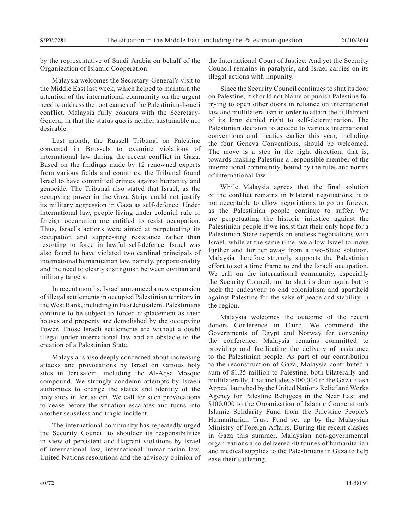by the representative of Saudi Arabia on behalf of the Organization of Islamic Cooperation.

Malaysia welcomes the Secretary-General's visit to the Middle East last week, which helped to maintain the attention of the international community on the urgent need to address the root causes of the Palestinian-Israeli conflict. Malaysia fully concurs with the Secretary-General in that the status quo is neither sustainable nor desirable.

Last month, the Russell Tribunal on Palestine convened in Brussels to examine violations of international law during the recent conflict in Gaza. Based on the findings made by 12 renowned experts from various fields and countries, the Tribunal found Israel to have committed crimes against humanity and genocide. The Tribunal also stated that Israel, as the occupying power in the Gaza Strip, could not justify its military aggression in Gaza as self-defence. Under international law, people living under colonial rule or foreign occupation are entitled to resist occupation. Thus, Israel's actions were aimed at perpetuating its occupation and suppressing resistance rather than resorting to force in lawful self-defence. Israel was also found to have violated two cardinal principals of international humanitarian law, namely, proportionality and the need to clearly distinguish between civilian and military targets.

In recent months, Israel announced a new expansion of illegal settlements in occupied Palestinian territory in the West Bank, including in East Jerusalem. Palestinians continue to be subject to forced displacement as their houses and property are demolished by the occupying Power. Those Israeli settlements are without a doubt illegal under international law and an obstacle to the creation of a Palestinian State.

Malaysia is also deeply concerned about increasing attacks and provocations by Israel on various holy sites in Jerusalem, including the Al-Aqsa Mosque compound. We strongly condemn attempts by Israeli authorities to change the status and identity of the holy sites in Jerusalem. We call for such provocations to cease before the situation escalates and turns into another senseless and tragic incident.

The international community has repeatedly urged the Security Council to shoulder its responsibilities in view of persistent and flagrant violations by Israel of international law, international humanitarian law, United Nations resolutions and the advisory opinion of the International Court of Justice. And yet the Security Council remains in paralysis, and Israel carries on its illegal actions with impunity.

Since the Security Council continues to shut its door on Palestine, it should not blame or punish Palestine for trying to open other doors in reliance on international law and multilateralism in order to attain the fulfilment of its long denied right to self-determination. The Palestinian decision to accede to various international conventions and treaties earlier this year, including the four Geneva Conventions, should be welcomed. The move is a step in the right direction, that is, towards making Palestine a responsible member of the international community, bound by the rules and norms of international law.

While Malaysia agrees that the final solution of the conflict remains in bilateral negotiations, it is not acceptable to allow negotiations to go on forever, as the Palestinian people continue to suffer. We are perpetuating the historic injustice against the Palestinian people if we insist that their only hope for a Palestinian State depends on endless negotiations with Israel, while at the same time, we allow Israel to move further and further away from a two-State solution. Malaysia therefore strongly supports the Palestinian effort to set a time frame to end the Israeli occupation. We call on the international community, especially the Security Council, not to shut its door again but to back the endeavour to end colonialism and apartheid against Palestine for the sake of peace and stability in the region.

Malaysia welcomes the outcome of the recent donors Conference in Cairo. We commend the Governments of Egypt and Norway for convening the conference. Malaysia remains committed to providing and facilitating the delivery of assistance to the Palestinian people. As part of our contribution to the reconstruction of Gaza, Malaysia contributed a sum of \$1.35 million to Palestine, both bilaterally and multilaterally. That includes \$100,000 to the Gaza Flash Appeal launched by the United Nations Relief and Works Agency for Palestine Refugees in the Near East and \$100,000 to the Organization of Islamic Cooperation's Islamic Solidarity Fund from the Palestine People's Humanitarian Trust Fund set up by the Malaysian Ministry of Foreign Affairs. During the recent clashes in Gaza this summer, Malaysian non-governmental organizations also delivered 40 tonnes of humanitarian and medical supplies to the Palestinians in Gaza to help ease their suffering.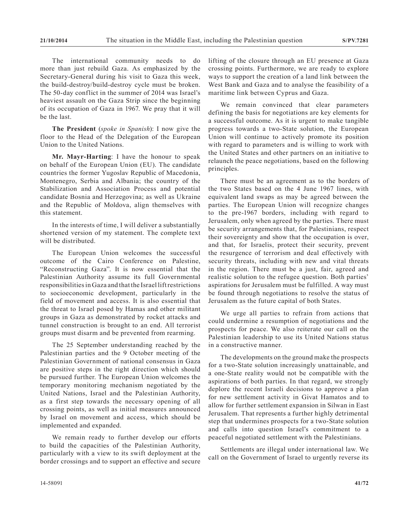The international community needs to do more than just rebuild Gaza. As emphasized by the Secretary-General during his visit to Gaza this week, the build-destroy/build-destroy cycle must be broken. The 50-day conflict in the summer of 2014 was Israel's heaviest assault on the Gaza Strip since the beginning of its occupation of Gaza in 1967. We pray that it will be the last.

**The President** (*spoke in Spanish*): I now give the floor to the Head of the Delegation of the European Union to the United Nations.

**Mr. Mayr-Harting**: I have the honour to speak on behalf of the European Union (EU). The candidate countries the former Yugoslav Republic of Macedonia, Montenegro, Serbia and Albania; the country of the Stabilization and Association Process and potential candidate Bosnia and Herzegovina; as well as Ukraine and the Republic of Moldova, align themselves with this statement.

In the interests of time, I will deliver a substantially shortened version of my statement. The complete text will be distributed.

The European Union welcomes the successful outcome of the Cairo Conference on Palestine, "Reconstructing Gaza". It is now essential that the Palestinian Authority assume its full Governmental responsibilities in Gaza and that the Israel lift restrictions to socioeconomic development, particularly in the field of movement and access. It is also essential that the threat to Israel posed by Hamas and other militant groups in Gaza as demonstrated by rocket attacks and tunnel construction is brought to an end. All terrorist groups must disarm and be prevented from rearming.

The 25 September understanding reached by the Palestinian parties and the 9 October meeting of the Palestinian Government of national consensus in Gaza are positive steps in the right direction which should be pursued further. The European Union welcomes the temporary monitoring mechanism negotiated by the United Nations, Israel and the Palestinian Authority, as a first step towards the necessary opening of all crossing points, as well as initial measures announced by Israel on movement and access, which should be implemented and expanded.

We remain ready to further develop our efforts to build the capacities of the Palestinian Authority, particularly with a view to its swift deployment at the border crossings and to support an effective and secure lifting of the closure through an EU presence at Gaza crossing points. Furthermore, we are ready to explore ways to support the creation of a land link between the West Bank and Gaza and to analyse the feasibility of a maritime link between Cyprus and Gaza.

We remain convinced that clear parameters defining the basis for negotiations are key elements for a successful outcome. As it is urgent to make tangible progress towards a two-State solution, the European Union will continue to actively promote its position with regard to parameters and is willing to work with the United States and other partners on an initiative to relaunch the peace negotiations, based on the following principles.

There must be an agreement as to the borders of the two States based on the 4 June 1967 lines, with equivalent land swaps as may be agreed between the parties. The European Union will recognize changes to the pre-1967 borders, including with regard to Jerusalem, only when agreed by the parties. There must be security arrangements that, for Palestinians, respect their sovereignty and show that the occupation is over, and that, for Israelis, protect their security, prevent the resurgence of terrorism and deal effectively with security threats, including with new and vital threats in the region. There must be a just, fair, agreed and realistic solution to the refugee question. Both parties' aspirations for Jerusalem must be fulfilled. A way must be found through negotiations to resolve the status of Jerusalem as the future capital of both States.

We urge all parties to refrain from actions that could undermine a resumption of negotiations and the prospects for peace. We also reiterate our call on the Palestinian leadership to use its United Nations status in a constructive manner.

The developments on the ground make the prospects for a two-State solution increasingly unattainable, and a one-State reality would not be compatible with the aspirations of both parties. In that regard, we strongly deplore the recent Israeli decisions to approve a plan for new settlement activity in Givat Hamatos and to allow for further settlement expansion in Silwan in East Jerusalem. That represents a further highly detrimental step that undermines prospects for a two-State solution and calls into question Israel's commitment to a peaceful negotiated settlement with the Palestinians.

Settlements are illegal under international law. We call on the Government of Israel to urgently reverse its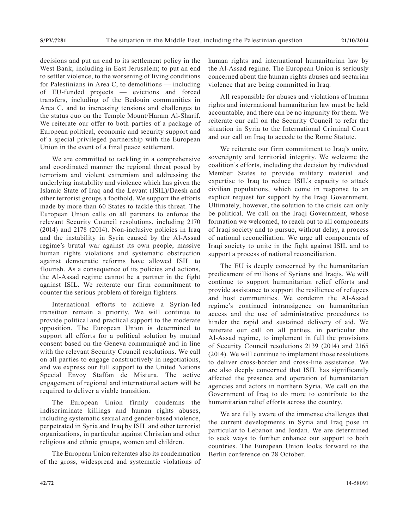decisions and put an end to its settlement policy in the West Bank, including in East Jerusalem; to put an end to settler violence, to the worsening of living conditions for Palestinians in Area C, to demolitions — including of EU-funded projects — evictions and forced transfers, including of the Bedouin communities in Area C, and to increasing tensions and challenges to the status quo on the Temple Mount/Haram Al-Sharif. We reiterate our offer to both parties of a package of European political, economic and security support and of a special privileged partnership with the European Union in the event of a final peace settlement.

We are committed to tackling in a comprehensive and coordinated manner the regional threat posed by terrorism and violent extremism and addressing the underlying instability and violence which has given the Islamic State of Iraq and the Levant (ISIL)/Daesh and other terrorist groups a foothold. We support the efforts made by more than 60 States to tackle this threat. The European Union calls on all partners to enforce the relevant Security Council resolutions, including 2170 (2014) and 2178 (2014). Non-inclusive policies in Iraq and the instability in Syria caused by the Al-Assad regime's brutal war against its own people, massive human rights violations and systematic obstruction against democratic reforms have allowed ISIL to flourish. As a consequence of its policies and actions, the Al-Assad regime cannot be a partner in the fight against ISIL. We reiterate our firm commitment to counter the serious problem of foreign fighters.

International efforts to achieve a Syrian-led transition remain a priority. We will continue to provide political and practical support to the moderate opposition. The European Union is determined to support all efforts for a political solution by mutual consent based on the Geneva communiqué and in line with the relevant Security Council resolutions. We call on all parties to engage constructively in negotiations, and we express our full support to the United Nations Special Envoy Staffan de Mistura. The active engagement of regional and international actors will be required to deliver a viable transition.

The European Union firmly condemns the indiscriminate killings and human rights abuses, including systematic sexual and gender-based violence, perpetrated in Syria and Iraq by ISIL and other terrorist organizations, in particular against Christian and other religious and ethnic groups, women and children.

The European Union reiterates also its condemnation of the gross, widespread and systematic violations of human rights and international humanitarian law by the Al-Assad regime. The European Union is seriously concerned about the human rights abuses and sectarian violence that are being committed in Iraq.

All responsible for abuses and violations of human rights and international humanitarian law must be held accountable, and there can be no impunity for them. We reiterate our call on the Security Council to refer the situation in Syria to the International Criminal Court and our call on Iraq to accede to the Rome Statute.

We reiterate our firm commitment to Iraq's unity, sovereignty and territorial integrity. We welcome the coalition's efforts, including the decision by individual Member States to provide military material and expertise to Iraq to reduce ISIL's capacity to attack civilian populations, which come in response to an explicit request for support by the Iraqi Government. Ultimately, however, the solution to the crisis can only be political. We call on the Iraqi Government, whose formation we welcomed, to reach out to all components of Iraqi society and to pursue, without delay, a process of national reconciliation. We urge all components of Iraqi society to unite in the fight against ISIL and to support a process of national reconciliation.

The EU is deeply concerned by the humanitarian predicament of millions of Syrians and Iraqis. We will continue to support humanitarian relief efforts and provide assistance to support the resilience of refugees and host communities. We condemn the Al-Assad regime's continued intransigence on humanitarian access and the use of administrative procedures to hinder the rapid and sustained delivery of aid. We reiterate our call on all parties, in particular the Al-Assad regime, to implement in full the provisions of Security Council resolutions 2139 (2014) and 2165 (2014). We will continue to implement those resolutions to deliver cross-border and cross-line assistance. We are also deeply concerned that ISIL has significantly affected the presence and operation of humanitarian agencies and actors in northern Syria. We call on the Government of Iraq to do more to contribute to the humanitarian relief efforts across the country.

We are fully aware of the immense challenges that the current developments in Syria and Iraq pose in particular to Lebanon and Jordan. We are determined to seek ways to further enhance our support to both countries. The European Union looks forward to the Berlin conference on 28 October.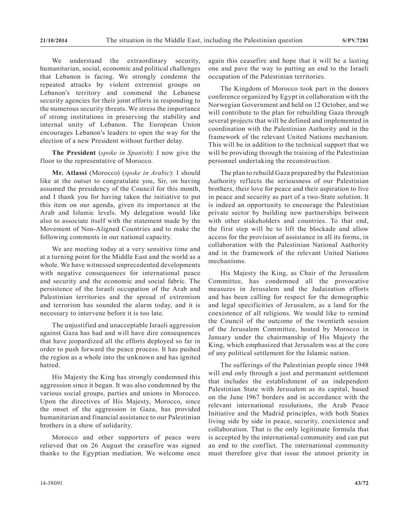We understand the extraordinary security, humanitarian, social, economic and political challenges that Lebanon is facing. We strongly condemn the repeated attacks by violent extremist groups on Lebanon's territory and commend the Lebanese security agencies for their joint efforts in responding to the numerous security threats. We stress the importance of strong institutions in preserving the stability and internal unity of Lebanon. The European Union encourages Lebanon's leaders to open the way for the election of a new President without further delay.

**The President** (*spoke in Spanish*): I now give the floor to the representative of Morocco.

**Mr. Atlassi** (Morocco) (*spoke in Arabic*): I should like at the outset to congratulate you, Sir, on having assumed the presidency of the Council for this month, and I thank you for having taken the initiative to put this item on our agenda, given its importance at the Arab and Islamic levels. My delegation would like also to associate itself with the statement made by the Movement of Non-Aligned Countries and to make the following comments in our national capacity.

We are meeting today at a very sensitive time and at a turning point for the Middle East and the world as a whole. We have witnessed unprecedented developments with negative consequences for international peace and security and the economic and social fabric. The persistence of the Israeli occupation of the Arab and Palestinian territories and the spread of extremism and terrorism has sounded the alarm today, and it is necessary to intervene before it is too late.

The unjustified and unacceptable Israeli aggression against Gaza has had and will have dire consequences that have jeopardized all the efforts deployed so far in order to push forward the peace process. It has pushed the region as a whole into the unknown and has ignited hatred.

His Majesty the King has strongly condemned this aggression since it began. It was also condemned by the various social groups, parties and unions in Morocco. Upon the directives of His Majesty, Morocco, since the onset of the aggression in Gaza, has provided humanitarian and financial assistance to our Palestinian brothers in a show of solidarity.

Morocco and other supporters of peace were relieved that on 26 August the ceasefire was signed thanks to the Egyptian mediation. We welcome once

The Kingdom of Morocco took part in the donors conference organized by Egypt in collaboration with the Norwegian Government and held on 12 October, and we will contribute to the plan for rebuilding Gaza through several projects that will be defined and implemented in coordination with the Palestinian Authority and in the framework of the relevant United Nations mechanism. This will be in addition to the technical support that we will be providing through the training of the Palestinian personnel undertaking the reconstruction.

The plan to rebuild Gaza prepared by the Palestinian Authority reflects the seriousness of our Palestinian brothers, their love for peace and their aspiration to live in peace and security as part of a two-State solution. It is indeed an opportunity to encourage the Palestinian private sector by building new partnerships between with other stakeholders and countries. To that end, the first step will be to lift the blockade and allow access for the provision of assistance in all its forms, in collaboration with the Palestinian National Authority and in the framework of the relevant United Nations mechanisms.

His Majesty the King, as Chair of the Jerusalem Committee, has condemned all the provocative measures in Jerusalem and the Judaization efforts and has been calling for respect for the demographic and legal specificities of Jerusalem, as a land for the coexistence of all religions. We would like to remind the Council of the outcome of the twentieth session of the Jerusalem Committee, hosted by Morocco in January under the chairmanship of His Majesty the King, which emphasized that Jerusalem was at the core of any political settlement for the Islamic nation.

The sufferings of the Palestinian people since 1948 will end only through a just and permanent settlement that includes the establishment of an independent Palestinian State with Jerusalem as its capital, based on the June 1967 borders and in accordance with the relevant international resolutions, the Arab Peace Initiative and the Madrid principles, with both States living side by side in peace, security, coexistence and collaboration. That is the only legitimate formula that is accepted by the international community and can put an end to the conflict. The international community must therefore give that issue the utmost priority in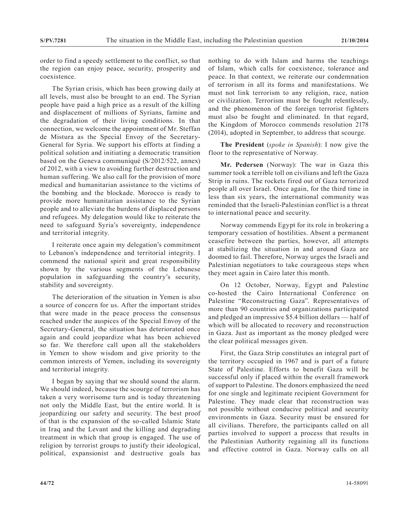order to find a speedy settlement to the conflict, so that the region can enjoy peace, security, prosperity and coexistence.

The Syrian crisis, which has been growing daily at all levels, must also be brought to an end. The Syrian people have paid a high price as a result of the killing and displacement of millions of Syrians, famine and the degradation of their living conditions. In that connection, we welcome the appointment of Mr. Steffan de Mistura as the Special Envoy of the Secretary-General for Syria. We support his efforts at finding a political solution and initiating a democratic transition based on the Geneva communiqué (S/2012/522, annex) of 2012, with a view to avoiding further destruction and human suffering. We also call for the provision of more medical and humanitarian assistance to the victims of the bombing and the blockade. Morocco is ready to provide more humanitarian assistance to the Syrian people and to alleviate the burdens of displaced persons and refugees. My delegation would like to reiterate the need to safeguard Syria's sovereignty, independence and territorial integrity.

I reiterate once again my delegation's commitment to Lebanon's independence and territorial integrity. I commend the national spirit and great responsibility shown by the various segments of the Lebanese population in safeguarding the country's security, stability and sovereignty.

The deterioration of the situation in Yemen is also a source of concern for us. After the important strides that were made in the peace process the consensus reached under the auspices of the Special Envoy of the Secretary-General, the situation has deteriorated once again and could jeopardize what has been achieved so far. We therefore call upon all the stakeholders in Yemen to show wisdom and give priority to the common interests of Yemen, including its sovereignty and territorial integrity.

I began by saying that we should sound the alarm. We should indeed, because the scourge of terrorism has taken a very worrisome turn and is today threatening not only the Middle East, but the entire world. It is jeopardizing our safety and security. The best proof of that is the expansion of the so-called Islamic State in Iraq and the Levant and the killing and degrading treatment in which that group is engaged. The use of religion by terrorist groups to justify their ideological, political, expansionist and destructive goals has

nothing to do with Islam and harms the teachings of Islam, which calls for coexistence, tolerance and peace. In that context, we reiterate our condemnation of terrorism in all its forms and manifestations. We must not link terrorism to any religion, race, nation or civilization. Terrorism must be fought relentlessly, and the phenomenon of the foreign terrorist fighters must also be fought and eliminated. In that regard, the Kingdom of Morocco commends resolution 2178 (2014), adopted in September, to address that scourge.

**The President** (*spoke in Spanish*): I now give the floor to the representative of Norway.

**Mr. Pedersen** (Norway): The war in Gaza this summer took a terrible toll on civilians and left the Gaza Strip in ruins. The rockets fired out of Gaza terrorized people all over Israel. Once again, for the third time in less than six years, the international community was reminded that the Israeli-Palestinian conflict is a threat to international peace and security.

Norway commends Egypt for its role in brokering a temporary cessation of hostilities. Absent a permanent ceasefire between the parties, however, all attempts at stabilizing the situation in and around Gaza are doomed to fail. Therefore, Norway urges the Israeli and Palestinian negotiators to take courageous steps when they meet again in Cairo later this month.

On 12 October, Norway, Egypt and Palestine co-hosted the Cairo International Conference on Palestine "Reconstructing Gaza". Representatives of more than 90 countries and organizations participated and pledged an impressive \$5.4 billion dollars — half of which will be allocated to recovery and reconstruction in Gaza. Just as important as the money pledged were the clear political messages given.

First, the Gaza Strip constitutes an integral part of the territory occupied in 1967 and is part of a future State of Palestine. Efforts to benefit Gaza will be successful only if placed within the overall framework of support to Palestine. The donors emphasized the need for one single and legitimate recipient Government for Palestine. They made clear that reconstruction was not possible without conducive political and security environments in Gaza. Security must be ensured for all civilians. Therefore, the participants called on all parties involved to support a process that results in the Palestinian Authority regaining all its functions and effective control in Gaza. Norway calls on all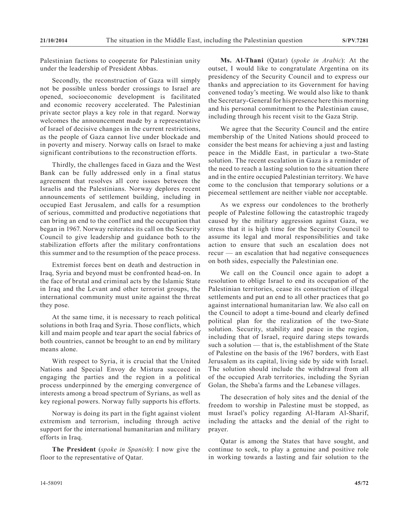Palestinian factions to cooperate for Palestinian unity under the leadership of President Abbas.

Secondly, the reconstruction of Gaza will simply not be possible unless border crossings to Israel are opened, socioeconomic development is facilitated and economic recovery accelerated. The Palestinian private sector plays a key role in that regard. Norway welcomes the announcement made by a representative of Israel of decisive changes in the current restrictions, as the people of Gaza cannot live under blockade and in poverty and misery. Norway calls on Israel to make significant contributions to the reconstruction efforts.

Thirdly, the challenges faced in Gaza and the West Bank can be fully addressed only in a final status agreement that resolves all core issues between the Israelis and the Palestinians. Norway deplores recent announcements of settlement building, including in occupied East Jerusalem, and calls for a resumption of serious, committed and productive negotiations that can bring an end to the conflict and the occupation that began in 1967. Norway reiterates its call on the Security Council to give leadership and guidance both to the stabilization efforts after the military confrontations this summer and to the resumption of the peace process.

Extremist forces bent on death and destruction in Iraq, Syria and beyond must be confronted head-on. In the face of brutal and criminal acts by the Islamic State in Iraq and the Levant and other terrorist groups, the international community must unite against the threat they pose.

At the same time, it is necessary to reach political solutions in both Iraq and Syria. Those conflicts, which kill and maim people and tear apart the social fabrics of both countries, cannot be brought to an end by military means alone.

With respect to Syria, it is crucial that the United Nations and Special Envoy de Mistura succeed in engaging the parties and the region in a political process underpinned by the emerging convergence of interests among a broad spectrum of Syrians, as well as key regional powers. Norway fully supports his efforts.

Norway is doing its part in the fight against violent extremism and terrorism, including through active support for the international humanitarian and military efforts in Iraq.

**The President** (*spoke in Spanish*): I now give the floor to the representative of Qatar.

**Ms. Al-Thani** (Qatar) (*spoke in Arabic*): At the outset, I would like to congratulate Argentina on its presidency of the Security Council and to express our thanks and appreciation to its Government for having convened today's meeting. We would also like to thank the Secretary-General for his presence here this morning and his personal commitment to the Palestinian cause, including through his recent visit to the Gaza Strip.

We agree that the Security Council and the entire membership of the United Nations should proceed to consider the best means for achieving a just and lasting peace in the Middle East, in particular a two-State solution. The recent escalation in Gaza is a reminder of the need to reach a lasting solution to the situation there and in the entire occupied Palestinian territory. We have come to the conclusion that temporary solutions or a piecemeal settlement are neither viable nor acceptable.

As we express our condolences to the brotherly people of Palestine following the catastrophic tragedy caused by the military aggression against Gaza, we stress that it is high time for the Security Council to assume its legal and moral responsibilities and take action to ensure that such an escalation does not recur — an escalation that had negative consequences on both sides, especially the Palestinian one.

We call on the Council once again to adopt a resolution to oblige Israel to end its occupation of the Palestinian territories, cease its construction of illegal settlements and put an end to all other practices that go against international humanitarian law. We also call on the Council to adopt a time-bound and clearly defined political plan for the realization of the two-State solution. Security, stability and peace in the region, including that of Israel, require daring steps towards such a solution — that is, the establishment of the State of Palestine on the basis of the 1967 borders, with East Jerusalem as its capital, living side by side with Israel. The solution should include the withdrawal from all of the occupied Arab territories, including the Syrian Golan, the Sheba'a farms and the Lebanese villages.

The desecration of holy sites and the denial of the freedom to worship in Palestine must be stopped, as must Israel's policy regarding Al-Haram Al-Sharif, including the attacks and the denial of the right to prayer.

Qatar is among the States that have sought, and continue to seek, to play a genuine and positive role in working towards a lasting and fair solution to the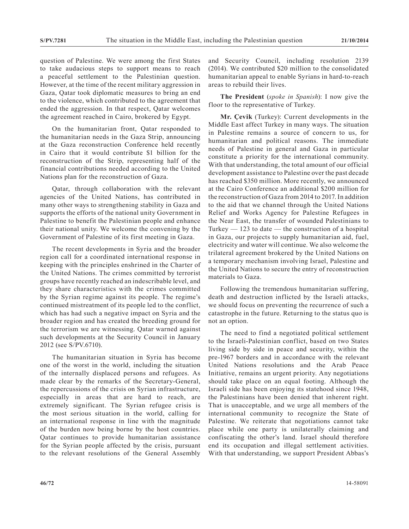question of Palestine. We were among the first States to take audacious steps to support means to reach a peaceful settlement to the Palestinian question. However, at the time of the recent military aggression in Gaza, Qatar took diplomatic measures to bring an end to the violence, which contributed to the agreement that ended the aggression. In that respect, Qatar welcomes the agreement reached in Cairo, brokered by Egypt.

On the humanitarian front, Qatar responded to the humanitarian needs in the Gaza Strip, announcing at the Gaza reconstruction Conference held recently in Cairo that it would contribute \$1 billion for the reconstruction of the Strip, representing half of the financial contributions needed according to the United Nations plan for the reconstruction of Gaza.

Qatar, through collaboration with the relevant agencies of the United Nations, has contributed in many other ways to strengthening stability in Gaza and supports the efforts of the national unity Government in Palestine to benefit the Palestinian people and enhance their national unity. We welcome the convening by the Government of Palestine of its first meeting in Gaza.

The recent developments in Syria and the broader region call for a coordinated international response in keeping with the principles enshrined in the Charter of the United Nations. The crimes committed by terrorist groups have recently reached an indescribable level, and they share characteristics with the crimes committed by the Syrian regime against its people. The regime's continued mistreatment of its people led to the conflict, which has had such a negative impact on Syria and the broader region and has created the breeding ground for the terrorism we are witnessing. Qatar warned against such developments at the Security Council in January 2012 (see S/PV.6710).

The humanitarian situation in Syria has become one of the worst in the world, including the situation of the internally displaced persons and refugees. As made clear by the remarks of the Secretary-General, the repercussions of the crisis on Syrian infrastructure, especially in areas that are hard to reach, are extremely significant. The Syrian refugee crisis is the most serious situation in the world, calling for an international response in line with the magnitude of the burden now being borne by the host countries. Qatar continues to provide humanitarian assistance for the Syrian people affected by the crisis, pursuant to the relevant resolutions of the General Assembly and Security Council, including resolution 2139 (2014). We contributed \$20 million to the consolidated humanitarian appeal to enable Syrians in hard-to-reach areas to rebuild their lives.

**The President** (*spoke in Spanish*): I now give the floor to the representative of Turkey.

**Mr. Çevik** (Turkey): Current developments in the Middle East affect Turkey in many ways. The situation in Palestine remains a source of concern to us, for humanitarian and political reasons. The immediate needs of Palestine in general and Gaza in particular constitute a priority for the international community. With that understanding, the total amount of our official development assistance to Palestine over the past decade has reached \$350 million. More recently, we announced at the Cairo Conference an additional \$200 million for the reconstruction of Gaza from 2014 to 2017. In addition to the aid that we channel through the United Nations Relief and Works Agency for Palestine Refugees in the Near East, the transfer of wounded Palestinians to Turkey  $-123$  to date  $-$  the construction of a hospital in Gaza, our projects to supply humanitarian aid, fuel, electricity and water will continue. We also welcome the trilateral agreement brokered by the United Nations on a temporary mechanism involving Israel, Palestine and the United Nations to secure the entry of reconstruction materials to Gaza.

Following the tremendous humanitarian suffering, death and destruction inflicted by the Israeli attacks, we should focus on preventing the recurrence of such a catastrophe in the future. Returning to the status quo is not an option.

The need to find a negotiated political settlement to the Israeli-Palestinian conflict, based on two States living side by side in peace and security, within the pre-1967 borders and in accordance with the relevant United Nations resolutions and the Arab Peace Initiative, remains an urgent priority. Any negotiations should take place on an equal footing. Although the Israeli side has been enjoying its statehood since 1948, the Palestinians have been denied that inherent right. That is unacceptable, and we urge all members of the international community to recognize the State of Palestine. We reiterate that negotiations cannot take place while one party is unilaterally claiming and confiscating the other's land. Israel should therefore end its occupation and illegal settlement activities. With that understanding, we support President Abbas's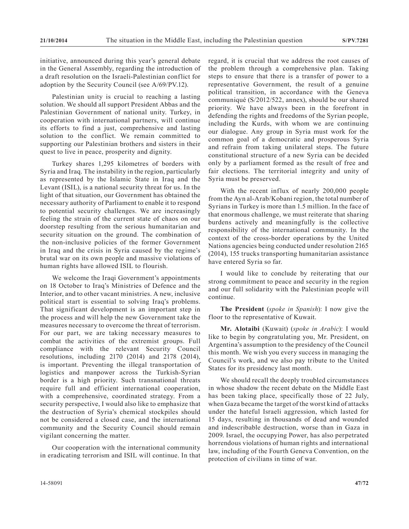initiative, announced during this year's general debate in the General Assembly, regarding the introduction of a draft resolution on the Israeli-Palestinian conflict for adoption by the Security Council (see A/69/PV.12).

Palestinian unity is crucial to reaching a lasting solution. We should all support President Abbas and the Palestinian Government of national unity. Turkey, in cooperation with international partners, will continue its efforts to find a just, comprehensive and lasting solution to the conflict. We remain committed to supporting our Palestinian brothers and sisters in their quest to live in peace, prosperity and dignity.

Turkey shares 1,295 kilometres of borders with Syria and Iraq. The instability in the region, particularly as represented by the Islamic State in Iraq and the Levant (ISIL), is a national security threat for us. In the light of that situation, our Government has obtained the necessary authority of Parliament to enable it to respond to potential security challenges. We are increasingly feeling the strain of the current state of chaos on our doorstep resulting from the serious humanitarian and security situation on the ground. The combination of the non-inclusive policies of the former Government in Iraq and the crisis in Syria caused by the regime's brutal war on its own people and massive violations of human rights have allowed ISIL to flourish.

We welcome the Iraqi Government's appointments on 18 October to Iraq's Ministries of Defence and the Interior, and to other vacant ministries. A new, inclusive political start is essential to solving Iraq's problems. That significant development is an important step in the process and will help the new Government take the measures necessary to overcome the threat of terrorism. For our part, we are taking necessary measures to combat the activities of the extremist groups. Full compliance with the relevant Security Council resolutions, including 2170 (2014) and 2178 (2014), is important. Preventing the illegal transportation of logistics and manpower across the Turkish-Syrian border is a high priority. Such transnational threats require full and efficient international cooperation, with a comprehensive, coordinated strategy. From a security perspective, I would also like to emphasize that the destruction of Syria's chemical stockpiles should not be considered a closed case, and the international community and the Security Council should remain vigilant concerning the matter.

Our cooperation with the international community in eradicating terrorism and ISIL will continue. In that regard, it is crucial that we address the root causes of the problem through a comprehensive plan. Taking steps to ensure that there is a transfer of power to a representative Government, the result of a genuine political transition, in accordance with the Geneva communiqué (S/2012/522, annex), should be our shared priority. We have always been in the forefront in defending the rights and freedoms of the Syrian people, including the Kurds, with whom we are continuing our dialogue. Any group in Syria must work for the common goal of a democratic and prosperous Syria and refrain from taking unilateral steps. The future constitutional structure of a new Syria can be decided only by a parliament formed as the result of free and fair elections. The territorial integrity and unity of Syria must be preserved.

With the recent influx of nearly 200,000 people from the Ayn al-Arab/Kobani region, the total number of Syrians in Turkey is more than 1.5 million. In the face of that enormous challenge, we must reiterate that sharing burdens actively and meaningfully is the collective responsibility of the international community. In the context of the cross-border operations by the United Nations agencies being conducted under resolution 2165 (2014), 155 trucks transporting humanitarian assistance have entered Syria so far.

I would like to conclude by reiterating that our strong commitment to peace and security in the region and our full solidarity with the Palestinian people will continue.

**The President** (*spoke in Spanish*): I now give the floor to the representative of Kuwait.

**Mr. Alotaibi** (Kuwait) (*spoke in Arabic*): I would like to begin by congratulating you, Mr. President, on Argentina's assumption to the presidency of the Council this month. We wish you every success in managing the Council's work, and we also pay tribute to the United States for its presidency last month.

We should recall the deeply troubled circumstances in whose shadow the recent debate on the Middle East has been taking place, specifically those of 22 July, when Gaza became the target of the worst kind of attacks under the hateful Israeli aggression, which lasted for 15 days, resulting in thousands of dead and wounded and indescribable destruction, worse than in Gaza in 2009. Israel, the occupying Power, has also perpetrated horrendous violations of human rights and international law, including of the Fourth Geneva Convention, on the protection of civilians in time of war.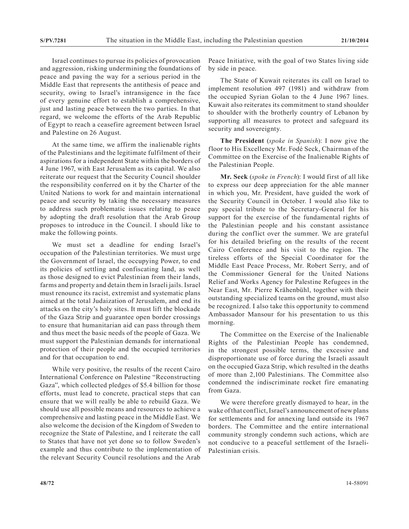Israel continues to pursue its policies of provocation and aggression, risking undermining the foundations of peace and paving the way for a serious period in the Middle East that represents the antithesis of peace and security, owing to Israel's intransigence in the face of every genuine effort to establish a comprehensive, just and lasting peace between the two parties. In that regard, we welcome the efforts of the Arab Republic of Egypt to reach a ceasefire agreement between Israel and Palestine on 26 August.

At the same time, we affirm the inalienable rights of the Palestinians and the legitimate fulfilment of their aspirations for a independent State within the borders of 4 June 1967, with East Jerusalem as its capital. We also reiterate our request that the Security Council shoulder the responsibility conferred on it by the Charter of the United Nations to work for and maintain international peace and security by taking the necessary measures to address such problematic issues relating to peace by adopting the draft resolution that the Arab Group proposes to introduce in the Council. I should like to make the following points.

We must set a deadline for ending Israel's occupation of the Palestinian territories. We must urge the Government of Israel, the occupying Power, to end its policies of settling and confiscating land, as well as those designed to evict Palestinian from their lands, farms and property and detain them in Israeli jails. Israel must renounce its racist, extremist and systematic plans aimed at the total Judaization of Jerusalem, and end its attacks on the city's holy sites. It must lift the blockade of the Gaza Strip and guarantee open border crossings to ensure that humanitarian aid can pass through them and thus meet the basic needs of the people of Gaza. We must support the Palestinian demands for international protection of their people and the occupied territories and for that occupation to end.

While very positive, the results of the recent Cairo International Conference on Palestine "Reconstructing Gaza", which collected pledges of \$5.4 billion for those efforts, must lead to concrete, practical steps that can ensure that we will really be able to rebuild Gaza. We should use all possible means and resources to achieve a comprehensive and lasting peace in the Middle East. We also welcome the decision of the Kingdom of Sweden to recognize the State of Palestine, and I reiterate the call to States that have not yet done so to follow Sweden's example and thus contribute to the implementation of the relevant Security Council resolutions and the Arab

Peace Initiative, with the goal of two States living side by side in peace.

The State of Kuwait reiterates its call on Israel to implement resolution 497 (1981) and withdraw from the occupied Syrian Golan to the 4 June 1967 lines. Kuwait also reiterates its commitment to stand shoulder to shoulder with the brotherly country of Lebanon by supporting all measures to protect and safeguard its security and sovereignty.

**The President** (*spoke in Spanish*): I now give the floor to His Excellency Mr. Fodé Seck, Chairman of the Committee on the Exercise of the Inalienable Rights of the Palestinian People.

**Mr. Seck** (*spoke in French*): I would first of all like to express our deep appreciation for the able manner in which you, Mr. President, have guided the work of the Security Council in October. I would also like to pay special tribute to the Secretary-General for his support for the exercise of the fundamental rights of the Palestinian people and his constant assistance during the conflict over the summer. We are grateful for his detailed briefing on the results of the recent Cairo Conference and his visit to the region. The tireless efforts of the Special Coordinator for the Middle East Peace Process, Mr. Robert Serry, and of the Commissioner General for the United Nations Relief and Works Agency for Palestine Refugees in the Near East, Mr. Pierre Krähenbühl, together with their outstanding specialized teams on the ground, must also be recognized. I also take this opportunity to commend Ambassador Mansour for his presentation to us this morning.

The Committee on the Exercise of the Inalienable Rights of the Palestinian People has condemned, in the strongest possible terms, the excessive and disproportionate use of force during the Israeli assault on the occupied Gaza Strip, which resulted in the deaths of more than 2,100 Palestinians. The Committee also condemned the indiscriminate rocket fire emanating from Gaza.

We were therefore greatly dismayed to hear, in the wake of that conflict, Israel's announcement of new plans for settlements and for annexing land outside its 1967 borders. The Committee and the entire international community strongly condemn such actions, which are not conducive to a peaceful settlement of the Israeli-Palestinian crisis.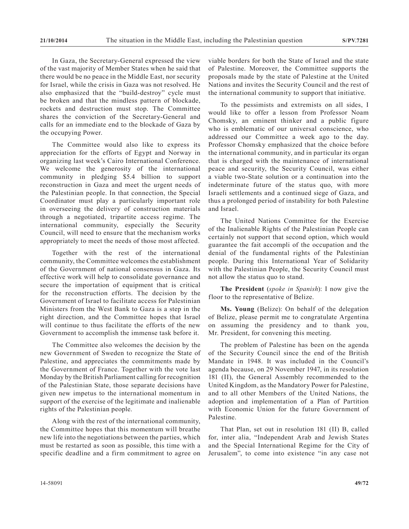In Gaza, the Secretary-General expressed the view of the vast majority of Member States when he said that there would be no peace in the Middle East, nor security for Israel, while the crisis in Gaza was not resolved. He also emphasized that the "build-destroy" cycle must be broken and that the mindless pattern of blockade, rockets and destruction must stop. The Committee shares the conviction of the Secretary-General and calls for an immediate end to the blockade of Gaza by the occupying Power.

The Committee would also like to express its appreciation for the efforts of Egypt and Norway in organizing last week's Cairo International Conference. We welcome the generosity of the international community in pledging \$5.4 billion to support reconstruction in Gaza and meet the urgent needs of the Palestinian people. In that connection, the Special Coordinator must play a particularly important role in overseeing the delivery of construction materials through a negotiated, tripartite access regime. The international community, especially the Security Council, will need to ensure that the mechanism works appropriately to meet the needs of those most affected.

Together with the rest of the international community, the Committee welcomes the establishment of the Government of national consensus in Gaza. Its effective work will help to consolidate governance and secure the importation of equipment that is critical for the reconstruction efforts. The decision by the Government of Israel to facilitate access for Palestinian Ministers from the West Bank to Gaza is a step in the right direction, and the Committee hopes that Israel will continue to thus facilitate the efforts of the new Government to accomplish the immense task before it.

The Committee also welcomes the decision by the new Government of Sweden to recognize the State of Palestine, and appreciates the commitments made by the Government of France. Together with the vote last Monday by the British Parliament calling for recognition of the Palestinian State, those separate decisions have given new impetus to the international momentum in support of the exercise of the legitimate and inalienable rights of the Palestinian people.

Along with the rest of the international community, the Committee hopes that this momentum will breathe new life into the negotiations between the parties, which must be restarted as soon as possible, this time with a specific deadline and a firm commitment to agree on viable borders for both the State of Israel and the state of Palestine. Moreover, the Committee supports the proposals made by the state of Palestine at the United Nations and invites the Security Council and the rest of the international community to support that initiative.

To the pessimists and extremists on all sides, I would like to offer a lesson from Professor Noam Chomsky, an eminent thinker and a public figure who is emblematic of our universal conscience, who addressed our Committee a week ago to the day. Professor Chomsky emphasized that the choice before the international community, and in particular its organ that is charged with the maintenance of international peace and security, the Security Council, was either a viable two-State solution or a continuation into the indeterminate future of the status quo, with more Israeli settlements and a continued siege of Gaza, and thus a prolonged period of instability for both Palestine and Israel.

The United Nations Committee for the Exercise of the Inalienable Rights of the Palestinian People can certainly not support that second option, which would guarantee the fait accompli of the occupation and the denial of the fundamental rights of the Palestinian people. During this International Year of Solidarity with the Palestinian People, the Security Council must not allow the status quo to stand.

**The President** (*spoke in Spanish*): I now give the floor to the representative of Belize.

**Ms. Young** (Belize): On behalf of the delegation of Belize, please permit me to congratulate Argentina on assuming the presidency and to thank you, Mr. President, for convening this meeting.

The problem of Palestine has been on the agenda of the Security Council since the end of the British Mandate in 1948. It was included in the Council's agenda because, on 29 November 1947, in its resolution 181 (II), the General Assembly recommended to the United Kingdom, as the Mandatory Power for Palestine, and to all other Members of the United Nations, the adoption and implementation of a Plan of Partition with Economic Union for the future Government of Palestine.

That Plan, set out in resolution 181 (II) B, called for, inter alia, "Independent Arab and Jewish States and the Special International Regime for the City of Jerusalem", to come into existence "in any case not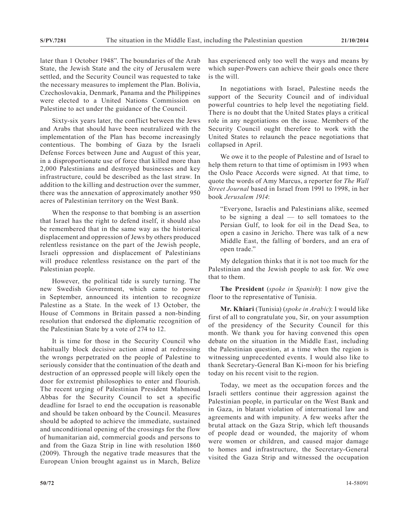later than 1 October 1948". The boundaries of the Arab State, the Jewish State and the city of Jerusalem were settled, and the Security Council was requested to take the necessary measures to implement the Plan. Bolivia, Czechoslovakia, Denmark, Panama and the Philippines were elected to a United Nations Commission on Palestine to act under the guidance of the Council.

Sixty-six years later, the conflict between the Jews and Arabs that should have been neutralized with the implementation of the Plan has become increasingly contentious. The bombing of Gaza by the Israeli Defense Forces between June and August of this year, in a disproportionate use of force that killed more than 2,000 Palestinians and destroyed businesses and key infrastructure, could be described as the last straw. In addition to the killing and destruction over the summer, there was the annexation of approximately another 950 acres of Palestinian territory on the West Bank.

When the response to that bombing is an assertion that Israel has the right to defend itself, it should also be remembered that in the same way as the historical displacement and oppression of Jews by others produced relentless resistance on the part of the Jewish people, Israeli oppression and displacement of Palestinians will produce relentless resistance on the part of the Palestinian people.

However, the political tide is surely turning. The new Swedish Government, which came to power in September, announced its intention to recognize Palestine as a State. In the week of 13 October, the House of Commons in Britain passed a non-binding resolution that endorsed the diplomatic recognition of the Palestinian State by a vote of 274 to 12.

It is time for those in the Security Council who habitually block decisive action aimed at redressing the wrongs perpetrated on the people of Palestine to seriously consider that the continuation of the death and destruction of an oppressed people will likely open the door for extremist philosophies to enter and flourish. The recent urging of Palestinian President Mahmoud Abbas for the Security Council to set a specific deadline for Israel to end the occupation is reasonable and should be taken onboard by the Council. Measures should be adopted to achieve the immediate, sustained and unconditional opening of the crossings for the flow of humanitarian aid, commercial goods and persons to and from the Gaza Strip in line with resolution 1860 (2009). Through the negative trade measures that the European Union brought against us in March, Belize

has experienced only too well the ways and means by which super-Powers can achieve their goals once there is the will.

In negotiations with Israel, Palestine needs the support of the Security Council and of individual powerful countries to help level the negotiating field. There is no doubt that the United States plays a critical role in any negotiations on the issue. Members of the Security Council ought therefore to work with the United States to relaunch the peace negotiations that collapsed in April.

We owe it to the people of Palestine and of Israel to help them return to that time of optimism in 1993 when the Oslo Peace Accords were signed. At that time, to quote the words of Amy Marcus, a reporter for *The Wall Street Journal* based in Israel from 1991 to 1998, in her book *Jerusalem 1914*:

"Everyone, Israelis and Palestinians alike, seemed to be signing a deal — to sell tomatoes to the Persian Gulf, to look for oil in the Dead Sea, to open a casino in Jericho. There was talk of a new Middle East, the falling of borders, and an era of open trade."

My delegation thinks that it is not too much for the Palestinian and the Jewish people to ask for. We owe that to them.

**The President** (*spoke in Spanish*): I now give the floor to the representative of Tunisia.

**Mr. Khiari** (Tunisia) (*spoke in Arabic*): I would like first of all to congratulate you, Sir, on your assumption of the presidency of the Security Council for this month. We thank you for having convened this open debate on the situation in the Middle East, including the Palestinian question, at a time when the region is witnessing unprecedented events. I would also like to thank Secretary-General Ban Ki-moon for his briefing today on his recent visit to the region.

Today, we meet as the occupation forces and the Israeli settlers continue their aggression against the Palestinian people, in particular on the West Bank and in Gaza, in blatant violation of international law and agreements and with impunity. A few weeks after the brutal attack on the Gaza Strip, which left thousands of people dead or wounded, the majority of whom were women or children, and caused major damage to homes and infrastructure, the Secretary-General visited the Gaza Strip and witnessed the occupation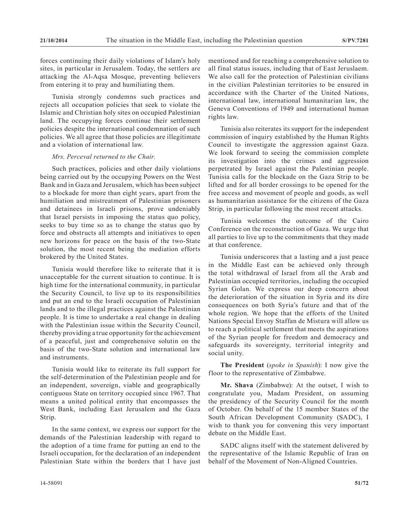forces continuing their daily violations of Islam's holy sites, in particular in Jerusalem. Today, the settlers are attacking the Al-Aqsa Mosque, preventing believers from entering it to pray and humiliating them.

Tunisia strongly condemns such practices and rejects all occupation policies that seek to violate the Islamic and Christian holy sites on occupied Palestinian land. The occupying forces continue their settlement policies despite the international condemnation of such policies. We all agree that those policies are illegitimate and a violation of international law.

## *Mrs. Perceval returned to the Chair.*

Such practices, policies and other daily violations being carried out by the occupying Powers on the West Bank and in Gaza and Jerusalem, which has been subject to a blockade for more than eight years, apart from the humiliation and mistreatment of Palestinian prisoners and detainees in Israeli prisons, prove undeniably that Israel persists in imposing the status quo policy, seeks to buy time so as to change the status quo by force and obstructs all attempts and initiatives to open new horizons for peace on the basis of the two-State solution, the most recent being the mediation efforts brokered by the United States.

Tunisia would therefore like to reiterate that it is unacceptable for the current situation to continue. It is high time for the international community, in particular the Security Council, to live up to its responsibilities and put an end to the Israeli occupation of Palestinian lands and to the illegal practices against the Palestinian people. It is time to undertake a real change in dealing with the Palestinian issue within the Security Council, thereby providing a true opportunity for the achievement of a peaceful, just and comprehensive solutin on the basis of the two-State solution and international law and instruments.

Tunisia would like to reiterate its full support for the self-determination of the Palestinian people and for an independent, sovereign, viable and geographically contiguous State on territory occupied since 1967. That means a united political entity that encompasses the West Bank, including East Jerusalem and the Gaza Strip.

In the same context, we express our support for the demands of the Palestinian leadership with regard to the adoption of a time frame for putting an end to the Israeli occupation, for the declaration of an independent Palestinian State within the borders that I have just mentioned and for reaching a comprehensive solution to all final status issues, including that of East Jeruslaem. We also call for the protection of Palestinian civilians in the civilian Palestinian territories to be ensured in accordance with the Charter of the United Nations, international law, international humanitarian law, the Geneva Conventions of 1949 and international human rights law.

Tunisia also reiterates its support for the independent commission of inquiry established by the Human Rights Council to investigate the aggression against Gaza. We look forward to seeing the commission complete its investigation into the crimes and aggression perpetrated by Israel against the Palestinian people. Tunisia calls for the blockade on the Gaza Strip to be lifted and for all border crossings to be opened for the free access and movement of people and goods, as well as humanitarian assistance for the citizens of the Gaza Strip, in particular following the most recent attacks.

Tunisia welcomes the outcome of the Cairo Conference on the reconstruction of Gaza. We urge that all parties to live up to the commitments that they made at that conference.

Tunisia underscores that a lasting and a just peace in the Middle East can be achieved only through the total withdrawal of Israel from all the Arab and Palestinian occupied territories, including the occupied Syrian Golan. We express our deep concern about the deterioration of the situation in Syria and its dire consequences on both Syria's future and that of the whole region. We hope that the efforts of the United Nations Special Envoy Staffan de Mistura will allow us to reach a political settlement that meets the aspirations of the Syrian people for freedom and democracy and safeguards its sovereignty, territorial integrity and social unity.

**The President** (*spoke in Spanish*): I now give the floor to the representative of Zimbabwe.

**Mr. Shava** (Zimbabwe): At the outset, I wish to congratulate you, Madam President, on assuming the presidency of the Security Council for the month of October. On behalf of the 15 member States of the South African Development Community (SADC), I wish to thank you for convening this very important debate on the Middle East.

SADC aligns itself with the statement delivered by the representative of the Islamic Republic of Iran on behalf of the Movement of Non-Aligned Countries.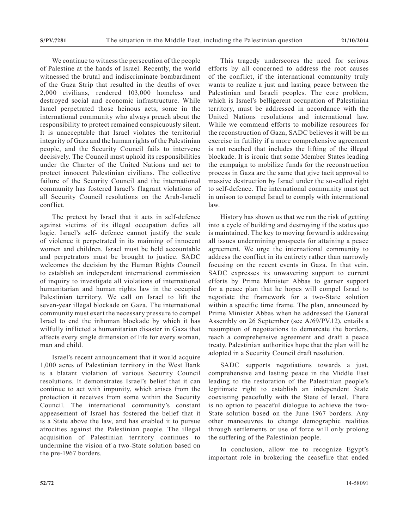We continue to witness the persecution of the people of Palestine at the hands of Israel. Recently, the world witnessed the brutal and indiscriminate bombardment of the Gaza Strip that resulted in the deaths of over 2,000 civilians, rendered 103,000 homeless and destroyed social and economic infrastructure. While Israel perpetrated those heinous acts, some in the international community who always preach about the responsibility to protect remained conspicuously silent. It is unacceptable that Israel violates the territorial integrity of Gaza and the human rights of the Palestinian people, and the Security Council fails to intervene decisively. The Council must uphold its responsibilities under the Charter of the United Nations and act to protect innocent Palestinian civilians. The collective failure of the Security Council and the international community has fostered Israel's flagrant violations of all Security Council resolutions on the Arab-Israeli conflict.

The pretext by Israel that it acts in self-defence against victims of its illegal occupation defies all logic. Israel's self- defence cannot justify the scale of violence it perpetrated in its maiming of innocent women and children. Israel must be held accountable and perpetrators must be brought to justice. SADC welcomes the decision by the Human Rights Council to establish an independent international commission of inquiry to investigate all violations of international humanitarian and human rights law in the occupied Palestinian territory. We call on Israel to lift the seven-year illegal blockade on Gaza. The international community must exert the necessary pressure to compel Israel to end the inhuman blockade by which it has wilfully inflicted a humanitarian disaster in Gaza that affects every single dimension of life for every woman, man and child.

Israel's recent announcement that it would acquire 1,000 acres of Palestinian territory in the West Bank is a blatant violation of various Security Council resolutions. It demonstrates Israel's belief that it can continue to act with impunity, which arises from the protection it receives from some within the Security Council. The international community's constant appeasement of Israel has fostered the belief that it is a State above the law, and has enabled it to pursue atrocities against the Palestinian people. The illegal acquisition of Palestinian territory continues to undermine the vision of a two-State solution based on the pre-1967 borders.

This tragedy underscores the need for serious efforts by all concerned to address the root causes of the conflict, if the international community truly wants to realize a just and lasting peace between the Palestinian and Israeli peoples. The core problem, which is Israel's belligerent occupation of Palestinian territory, must be addressed in accordance with the United Nations resolutions and international law. While we commend efforts to mobilize resources for the reconstruction of Gaza, SADC believes it will be an exercise in futility if a more comprehensive agreement is not reached that includes the lifting of the illegal blockade. It is ironic that some Member States leading the campaign to mobilize funds for the reconstruction process in Gaza are the same that give tacit approval to massive destruction by Israel under the so-called right to self-defence. The international community must act in unison to compel Israel to comply with international law.

History has shown us that we run the risk of getting into a cycle of building and destroying if the status quo is maintained. The key to moving forward is addressing all issues undermining prospects for attaining a peace agreement. We urge the international community to address the conflict in its entirety rather than narrowly focusing on the recent events in Gaza. In that vein, SADC expresses its unwavering support to current efforts by Prime Minister Abbas to garner support for a peace plan that he hopes will compel Israel to negotiate the framework for a two-State solution within a specific time frame. The plan, announced by Prime Minister Abbas when he addressed the General Assembly on 26 September (see A/69/PV.12), entails a resumption of negotiations to demarcate the borders, reach a comprehensive agreement and draft a peace treaty. Palestinian authorities hope that the plan will be adopted in a Security Council draft resolution.

SADC supports negotiations towards a just, comprehensive and lasting peace in the Middle East leading to the restoration of the Palestinian people's legitimate right to establish an independent State coexisting peacefully with the State of Israel. There is no option to peaceful dialogue to achieve the two-State solution based on the June 1967 borders. Any other manoeuvres to change demographic realities through settlements or use of force will only prolong the suffering of the Palestinian people.

In conclusion, allow me to recognize Egypt's important role in brokering the ceasefire that ended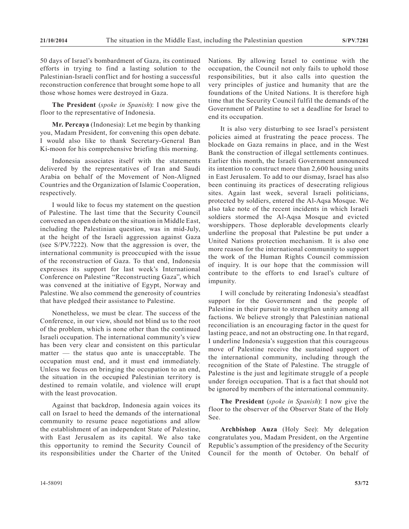50 days of Israel's bombardment of Gaza, its continued efforts in trying to find a lasting solution to the Palestinian-Israeli conflict and for hosting a successful reconstruction conference that brought some hope to all those whose homes were destroyed in Gaza.

**The President** (*spoke in Spanish*): I now give the floor to the representative of Indonesia.

**Mr. Percaya** (Indonesia): Let me begin by thanking you, Madam President, for convening this open debate. I would also like to thank Secretary-General Ban Ki-moon for his comprehensive briefing this morning.

Indonesia associates itself with the statements delivered by the representatives of Iran and Saudi Arabia on behalf of the Movement of Non-Aligned Countries and the Organization of Islamic Cooperation, respectively.

I would like to focus my statement on the question of Palestine. The last time that the Security Council convened an open debate on the situation in Middle East, including the Palestinian question, was in mid-July, at the height of the Israeli aggression against Gaza (see S/PV.7222). Now that the aggression is over, the international community is preoccupied with the issue of the reconstruction of Gaza. To that end, Indonesia expresses its support for last week's International Conference on Palestine "Reconstructing Gaza", which was convened at the initiative of Egypt, Norway and Palestine. We also commend the generosity of countries that have pledged their assistance to Palestine.

Nonetheless, we must be clear. The success of the Conference, in our view, should not blind us to the root of the problem, which is none other than the continued Israeli occupation. The international community's view has been very clear and consistent on this particular matter — the status quo ante is unacceptable. The occupation must end, and it must end immediately. Unless we focus on bringing the occupation to an end, the situation in the occupied Palestinian territory is destined to remain volatile, and violence will erupt with the least provocation.

Against that backdrop, Indonesia again voices its call on Israel to heed the demands of the international community to resume peace negotiations and allow the establishment of an independent State of Palestine, with East Jerusalem as its capital. We also take this opportunity to remind the Security Council of its responsibilities under the Charter of the United

Nations. By allowing Israel to continue with the occupation, the Council not only fails to uphold those responsibilities, but it also calls into question the very principles of justice and humanity that are the foundations of the United Nations. It is therefore high time that the Security Council fulfil the demands of the Government of Palestine to set a deadline for Israel to end its occupation.

It is also very disturbing to see Israel's persistent policies aimed at frustrating the peace process. The blockade on Gaza remains in place, and in the West Bank the construction of illegal settlements continues. Earlier this month, the Israeli Government announced its intention to construct more than 2,600 housing units in East Jerusalem. To add to our dismay, Israel has also been continuing its practices of desecrating religious sites. Again last week, several Israeli politicians, protected by soldiers, entered the Al-Aqsa Mosque. We also take note of the recent incidents in which Israeli soldiers stormed the Al-Aqsa Mosque and evicted worshippers. Those deplorable developments clearly underline the proposal that Palestine be put under a United Nations protection mechanism. It is also one more reason for the international community to support the work of the Human Rights Council commission of inquiry. It is our hope that the commission will contribute to the efforts to end Israel's culture of impunity.

I will conclude by reiterating Indonesia's steadfast support for the Government and the people of Palestine in their pursuit to strengthen unity among all factions. We believe strongly that Palestinian national reconciliation is an encouraging factor in the quest for lasting peace, and not an obstructing one. In that regard, I underline Indonesia's suggestion that this courageous move of Palestine receive the sustained support of the international community, including through the recognition of the State of Palestine. The struggle of Palestine is the just and legitimate struggle of a people under foreign occupation. That is a fact that should not be ignored by members of the international community.

**The President** (*spoke in Spanish*): I now give the floor to the observer of the Observer State of the Holy See.

**Archbishop Auza** (Holy See): My delegation congratulates you, Madam President, on the Argentine Republic's assumption of the presidency of the Security Council for the month of October. On behalf of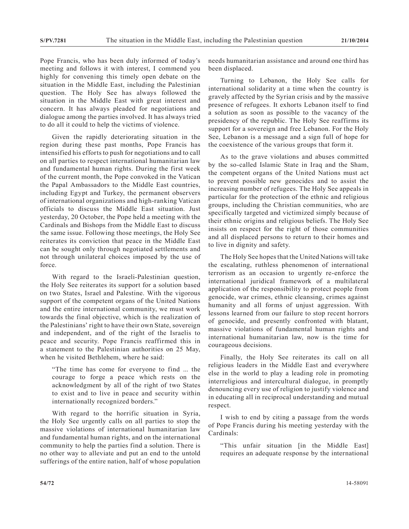Pope Francis, who has been duly informed of today's meeting and follows it with interest, I commend you highly for convening this timely open debate on the situation in the Middle East, including the Palestinian question. The Holy See has always followed the situation in the Middle East with great interest and concern. It has always pleaded for negotiations and dialogue among the parties involved. It has always tried to do all it could to help the victims of violence.

Given the rapidly deteriorating situation in the region during these past months, Pope Francis has intensified his efforts to push for negotiations and to call on all parties to respect international humanitarian law and fundamental human rights. During the first week of the current month, the Pope convoked in the Vatican the Papal Ambassadors to the Middle East countries, including Egypt and Turkey, the permanent observers of international organizations and high-ranking Vatican officials to discuss the Middle East situation. Just yesterday, 20 October, the Pope held a meeting with the Cardinals and Bishops from the Middle East to discuss the same issue. Following those meetings, the Holy See reiterates its conviction that peace in the Middle East can be sought only through negotiated settlements and not through unilateral choices imposed by the use of force.

With regard to the Israeli-Palestinian question, the Holy See reiterates its support for a solution based on two States, Israel and Palestine. With the vigorous support of the competent organs of the United Nations and the entire international community, we must work towards the final objective, which is the realization of the Palestinians' right to have their own State, sovereign and independent, and of the right of the Israelis to peace and security. Pope Francis reaffirmed this in a statement to the Palestinian authorities on 25 May, when he visited Bethlehem, where he said:

"The time has come for everyone to find ... the courage to forge a peace which rests on the acknowledgment by all of the right of two States to exist and to live in peace and security within internationally recognized borders."

With regard to the horrific situation in Syria, the Holy See urgently calls on all parties to stop the massive violations of international humanitarian law and fundamental human rights, and on the international community to help the parties find a solution. There is no other way to alleviate and put an end to the untold sufferings of the entire nation, half of whose population needs humanitarian assistance and around one third has been displaced.

Turning to Lebanon, the Holy See calls for international solidarity at a time when the country is gravely affected by the Syrian crisis and by the massive presence of refugees. It exhorts Lebanon itself to find a solution as soon as possible to the vacancy of the presidency of the republic. The Holy See reaffirms its support for a sovereign and free Lebanon. For the Holy See, Lebanon is a message and a sign full of hope for the coexistence of the various groups that form it.

As to the grave violations and abuses committed by the so-called Islamic State in Iraq and the Sham, the competent organs of the United Nations must act to prevent possible new genocides and to assist the increasing number of refugees. The Holy See appeals in particular for the protection of the ethnic and religious groups, including the Christian communities, who are specifically targeted and victimized simply because of their ethnic origins and religious beliefs. The Holy See insists on respect for the right of those communities and all displaced persons to return to their homes and to live in dignity and safety.

The Holy See hopes that the United Nations will take the escalating, ruthless phenomenon of international terrorism as an occasion to urgently re-enforce the international juridical framework of a multilateral application of the responsibility to protect people from genocide, war crimes, ethnic cleansing, crimes against humanity and all forms of unjust aggression. With lessons learned from our failure to stop recent horrors of genocide, and presently confronted with blatant, massive violations of fundamental human rights and international humanitarian law, now is the time for courageous decisions.

Finally, the Holy See reiterates its call on all religious leaders in the Middle East and everywhere else in the world to play a leading role in promoting interreligious and intercultural dialogue, in promptly denouncing every use of religion to justify violence and in educating all in reciprocal understanding and mutual respect.

I wish to end by citing a passage from the words of Pope Francis during his meeting yesterday with the Cardinals:

"This unfair situation [in the Middle East] requires an adequate response by the international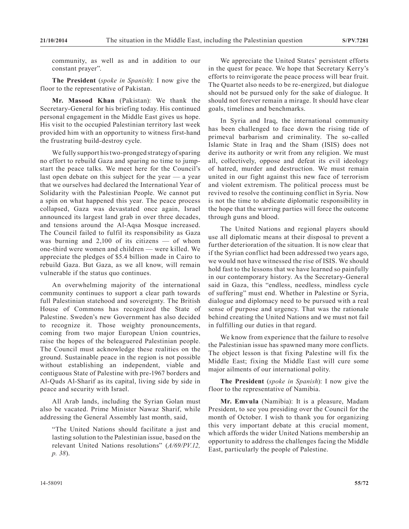community, as well as and in addition to our constant prayer".

**The President** (*spoke in Spanish*): I now give the floor to the representative of Pakistan.

**Mr. Masood Khan** (Pakistan): We thank the Secretary-General for his briefing today. His continued personal engagement in the Middle East gives us hope. His visit to the occupied Palestinian territory last week provided him with an opportunity to witness first-hand the frustrating build-destroy cycle.

We fully support his two-pronged strategy of sparing no effort to rebuild Gaza and sparing no time to jumpstart the peace talks. We meet here for the Council's last open debate on this subject for the year — a year that we ourselves had declared the International Year of Solidarity with the Palestinian People. We cannot put a spin on what happened this year. The peace process collapsed, Gaza was devastated once again, Israel announced its largest land grab in over three decades, and tensions around the Al-Aqsa Mosque increased. The Council failed to fulfil its responsibility as Gaza was burning and  $2,100$  of its citizens — of whom one-third were women and children — were killed. We appreciate the pledges of \$5.4 billion made in Cairo to rebuild Gaza. But Gaza, as we all know, will remain vulnerable if the status quo continues.

An overwhelming majority of the international community continues to support a clear path towards full Palestinian statehood and sovereignty. The British House of Commons has recognized the State of Palestine. Sweden's new Government has also decided to recognize it. Those weighty pronouncements, coming from two major European Union countries, raise the hopes of the beleaguered Palestinian people. The Council must acknowledge these realities on the ground. Sustainable peace in the region is not possible without establishing an independent, viable and contiguous State of Palestine with pre-1967 borders and Al-Quds Al-Sharif as its capital, living side by side in peace and security with Israel.

All Arab lands, including the Syrian Golan must also be vacated. Prime Minister Nawaz Sharif, while addressing the General Assembly last month, said,

"The United Nations should facilitate a just and lasting solution to the Palestinian issue, based on the relevant United Nations resolutions" (*A/69/PV.12, p. 38*).

We appreciate the United States' persistent efforts in the quest for peace. We hope that Secretary Kerry's efforts to reinvigorate the peace process will bear fruit. The Quartet also needs to be re-energized, but dialogue should not be pursued only for the sake of dialogue. It should not forever remain a mirage. It should have clear goals, timelines and benchmarks.

In Syria and Iraq, the international community has been challenged to face down the rising tide of primeval barbarism and criminality. The so-called Islamic State in Iraq and the Sham (ISIS) does not derive its authority or writ from any religion. We must all, collectively, oppose and defeat its evil ideology of hatred, murder and destruction. We must remain united in our fight against this new face of terrorism and violent extremism. The political process must be revived to resolve the continuing conflict in Syria. Now is not the time to abdicate diplomatic responsibility in the hope that the warring parties will force the outcome through guns and blood.

The United Nations and regional players should use all diplomatic means at their disposal to prevent a further deterioration of the situation. It is now clear that if the Syrian conflict had been addressed two years ago, we would not have witnessed the rise of ISIS. We should hold fast to the lessons that we have learned so painfully in our contemporary history. As the Secretary-General said in Gaza, this "endless, needless, mindless cycle of suffering" must end. Whether in Palestine or Syria, dialogue and diplomacy need to be pursued with a real sense of purpose and urgency. That was the rationale behind creating the United Nations and we must not fail in fulfilling our duties in that regard.

We know from experience that the failure to resolve the Palestinian issue has spawned many more conflicts. The object lesson is that fixing Palestine will fix the Middle East; fixing the Middle East will cure some major ailments of our international polity.

**The President** (*spoke in Spanish*): I now give the floor to the representative of Namibia.

**Mr. Emvula** (Namibia): It is a pleasure, Madam President, to see you presiding over the Council for the month of October. I wish to thank you for organizing this very important debate at this crucial moment, which affords the wider United Nations membership an opportunity to address the challenges facing the Middle East, particularly the people of Palestine.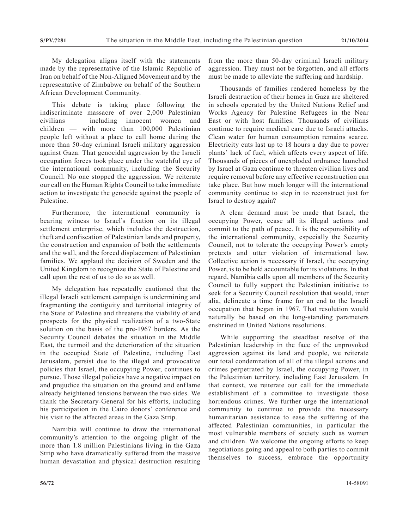My delegation aligns itself with the statements made by the representative of the Islamic Republic of Iran on behalf of the Non-Aligned Movement and by the representative of Zimbabwe on behalf of the Southern African Development Community.

This debate is taking place following the indiscriminate massacre of over 2,000 Palestinian civilians — including innocent women and children — with more than 100,000 Palestinian people left without a place to call home during the more than 50-day criminal Israeli military aggression against Gaza. That genocidal aggression by the Israeli occupation forces took place under the watchful eye of the international community, including the Security Council. No one stopped the aggression. We reiterate our call on the Human Rights Council to take immediate action to investigate the genocide against the people of Palestine.

Furthermore, the international community is bearing witness to Israel's fixation on its illegal settlement enterprise, which includes the destruction, theft and confiscation of Palestinian lands and property, the construction and expansion of both the settlements and the wall, and the forced displacement of Palestinian families. We applaud the decision of Sweden and the United Kingdom to recognize the State of Palestine and call upon the rest of us to do so as well.

My delegation has repeatedly cautioned that the illegal Israeli settlement campaign is undermining and fragmenting the contiguity and territorial integrity of the State of Palestine and threatens the viability of and prospects for the physical realization of a two-State solution on the basis of the pre-1967 borders. As the Security Council debates the situation in the Middle East, the turmoil and the deterioration of the situation in the occupied State of Palestine, including East Jerusalem, persist due to the illegal and provocative policies that Israel, the occupying Power, continues to pursue. Those illegal policies have a negative impact on and prejudice the situation on the ground and enflame already heightened tensions between the two sides. We thank the Secretary-General for his efforts, including his participation in the Cairo donors' conference and his visit to the affected areas in the Gaza Strip.

Namibia will continue to draw the international community's attention to the ongoing plight of the more than 1.8 million Palestinians living in the Gaza Strip who have dramatically suffered from the massive human devastation and physical destruction resulting

from the more than 50-day criminal Israeli military aggression. They must not be forgotten, and all efforts must be made to alleviate the suffering and hardship.

Thousands of families rendered homeless by the Israeli destruction of their homes in Gaza are sheltered in schools operated by the United Nations Relief and Works Agency for Palestine Refugees in the Near East or with host families. Thousands of civilians continue to require medical care due to Israeli attacks. Clean water for human consumption remains scarce. Electricity cuts last up to 18 hours a day due to power plants' lack of fuel, which affects every aspect of life. Thousands of pieces of unexploded ordnance launched by Israel at Gaza continue to threaten civilian lives and require removal before any effective reconstruction can take place. But how much longer will the international community continue to step in to reconstruct just for Israel to destroy again?

A clear demand must be made that Israel, the occupying Power, cease all its illegal actions and commit to the path of peace. It is the responsibility of the international community, especially the Security Council, not to tolerate the occupying Power's empty pretexts and utter violation of international law. Collective action is necessary if Israel, the occupying Power, is to be held accountable for its violations. In that regard, Namibia calls upon all members of the Security Council to fully support the Palestinian initiative to seek for a Security Council resolution that would, inter alia, delineate a time frame for an end to the Israeli occupation that began in 1967. That resolution would naturally be based on the long-standing parameters enshrined in United Nations resolutions.

While supporting the steadfast resolve of the Palestinian leadership in the face of the unprovoked aggression against its land and people, we reiterate our total condemnation of all of the illegal actions and crimes perpetrated by Israel, the occupying Power, in the Palestinian territory, including East Jerusalem. In that context, we reiterate our call for the immediate establishment of a committee to investigate those horrendous crimes. We further urge the international community to continue to provide the necessary humanitarian assistance to ease the suffering of the affected Palestinian communities, in particular the most vulnerable members of society such as women and children. We welcome the ongoing efforts to keep negotiations going and appeal to both parties to commit themselves to success, embrace the opportunity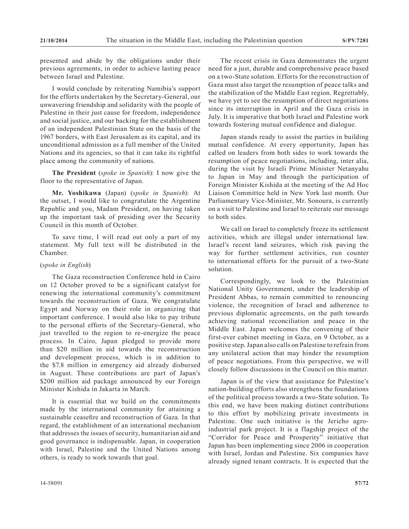presented and abide by the obligations under their previous agreements, in order to achieve lasting peace between Israel and Palestine.

I would conclude by reiterating Namibia's support for the efforts undertaken by the Secretary-General, our unwavering friendship and solidarity with the people of Palestine in their just cause for freedom, independence and social justice, and our backing for the establishment of an independent Palestinian State on the basis of the 1967 borders, with East Jerusalem as its capital, and its unconditional admission as a full member of the United Nations and its agencies, so that it can take its rightful place among the community of nations.

**The President** (*spoke in Spanish*): I now give the floor to the representative of Japan.

**Mr. Yoshikawa** (Japan) (*spoke in Spanish*): At the outset, I would like to congratulate the Argentine Republic and you, Madam President, on having taken up the important task of presiding over the Security Council in this month of October.

To save time, I will read out only a part of my statement. My full text will be distributed in the Chamber.

## (*spoke in English*)

The Gaza reconstruction Conference held in Cairo on 12 October proved to be a significant catalyst for renewing the international community's commitment towards the reconstruction of Gaza. We congratulate Egypt and Norway on their role in organizing that important conference. I would also like to pay tribute to the personal efforts of the Secretary-General, who just travelled to the region to re-energize the peace process. In Cairo, Japan pledged to provide more than \$20 million in aid towards the reconstruction and development process, which is in addition to the \$7.8 million in emergency aid already disbursed in August. These contributions are part of Japan's \$200 million aid package announced by our Foreign Minister Kishida in Jakarta in March.

It is essential that we build on the commitments made by the international community for attaining a sustainable ceasefire and reconstruction of Gaza. In that regard, the establishment of an international mechanism that addresses the issues of security, humanitarian aid and good governance is indispensable. Japan, in cooperation with Israel, Palestine and the United Nations among others, is ready to work towards that goal.

The recent crisis in Gaza demonstrates the urgent need for a just, durable and comprehensive peace based on a two-State solution. Efforts for the reconstruction of Gaza must also target the resumption of peace talks and the stabilization of the Middle East region. Regrettably, we have yet to see the resumption of direct negotiations since its interruption in April and the Gaza crisis in July. It is imperative that both Israel and Palestine work towards fostering mutual confidence and dialogue.

Japan stands ready to assist the parties in building mutual confidence. At every opportunity, Japan has called on leaders from both sides to work towards the resumption of peace negotiations, including, inter alia, during the visit by Israeli Prime Minister Netanyahu to Japan in May and through the participation of Foreign Minister Kishida at the meeting of the Ad Hoc Liaison Committee held in New York last month. Our Parliamentary Vice-Minister, Mr. Sonoura, is currently on a visit to Palestine and Israel to reiterate our message to both sides.

We call on Israel to completely freeze its settlement activities, which are illegal under international law. Israel's recent land seizures, which risk paving the way for further settlement activities, run counter to international efforts for the pursuit of a two-State solution.

Correspondingly, we look to the Palestinian National Unity Government, under the leadership of President Abbas, to remain committed to renouncing violence, the recognition of Israel and adherence to previous diplomatic agreements, on the path towards achieving national reconciliation and peace in the Middle East. Japan welcomes the convening of their first-ever cabinet meeting in Gaza, on 9 October, as a positive step. Japan also calls on Palestine to refrain from any unilateral action that may hinder the resumption of peace negotiations. From this perspective, we will closely follow discussions in the Council on this matter.

Japan is of the view that assistance for Palestine's nation-building efforts also strengthens the foundations of the political process towards a two-State solution. To this end, we have been making distinct contributions to this effort by mobilizing private investments in Palestine. One such initiative is the Jericho agroindustrial park project. It is a flagship project of the "Corridor for Peace and Prosperity" initiative that Japan has been implementing since 2006 in cooperation with Israel, Jordan and Palestine. Six companies have already signed tenant contracts. It is expected that the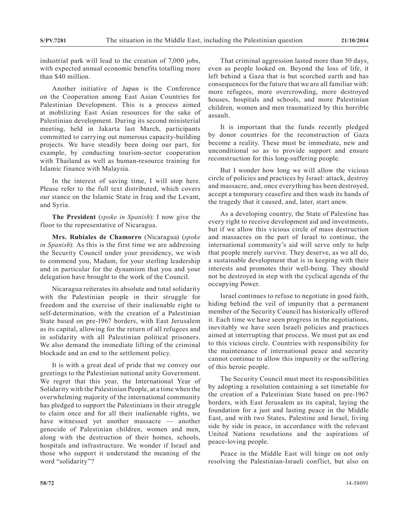industrial park will lead to the creation of 7,000 jobs, with expected annual economic benefits totalling more than \$40 million.

Another initiative of Japan is the Conference on the Cooperation among East Asian Countries for Palestinian Development. This is a process aimed at mobilizing East Asian resources for the sake of Palestinian development. During its second ministerial meeting, held in Jakarta last March, participants committed to carrying out numerous capacity-building projects. We have steadily been doing our part, for example, by conducting tourism-sector cooperation with Thailand as well as human-resource training for Islamic finance with Malaysia.

In the interest of saving time, I will stop here. Please refer to the full text distributed, which covers our stance on the Islamic State in Iraq and the Levant, and Syria.

**The President** (*spoke in Spanish*): I now give the floor to the representative of Nicaragua.

**Mrs. Rubiales de Chamorro** (Nicaragua) (*spoke in Spanish*): As this is the first time we are addressing the Security Council under your presidency, we wish to commend you, Madam, for your sterling leadership and in particular for the dynamism that you and your delegation have brought to the work of the Council.

Nicaragua reiterates its absolute and total solidarity with the Palestinian people in their struggle for freedom and the exercise of their inalienable right to self-determination, with the creation of a Palestinian State based on pre-1967 borders, with East Jerusalem as its capital, allowing for the return of all refugees and in solidarity with all Palestinian political prisoners. We also demand the immediate lifting of the criminal blockade and an end to the settlement policy.

It is with a great deal of pride that we convey our greetings to the Palestinian national unity Government. We regret that this year, the International Year of Solidarity with the Palestinian People, at a time when the overwhelming majority of the international community has pledged to support the Palestinians in their struggle to claim once and for all their inalienable rights, we have witnessed yet another massacre — another genocide of Palestinian children, women and men, along with the destruction of their homes, schools, hospitals and infrastructure. We wonder if Israel and those who support it understand the meaning of the word "solidarity"?

That criminal aggression lasted more than 50 days, even as people looked on. Beyond the loss of life, it left behind a Gaza that is but scorched earth and has consequences for the future that we are all familiar with: more refugees, more overcrowding, more destroyed houses, hospitals and schools, and more Palestinian children, women and men traumatized by this horrible assault.

It is important that the funds recently pledged by donor countries for the reconstruction of Gaza become a reality. These must be immediate, new and unconditional so as to provide support and ensure reconstruction for this long-suffering people.

But I wonder how long we will allow the vicious circle of policies and practices by Israel: attack, destroy and massacre, and, once everything has been destroyed, accept a temporary ceasefire and then wash its hands of the tragedy that it caused, and, later, start anew.

As a developing country, the State of Palestine has every right to receive development aid and investments, but if we allow this vicious circle of mass destruction and massacres on the part of Israel to continue, the international community's aid will serve only to help that people merely survive. They deserve, as we all do, a sustainable development that is in keeping with their interests and promotes their well-being. They should not be destroyed in step with the cyclical agenda of the occupying Power.

Israel continues to refuse to negotiate in good faith, hiding behind the veil of impunity that a permanent member of the Security Council has historically offered it. Each time we have seen progress in the negotiations, inevitably we have seen Israeli policies and practices aimed at interrupting that process. We must put an end to this vicious circle. Countries with responsibility for the maintenance of international peace and security cannot continue to allow this impunity or the suffering of this heroic people.

The Security Council must meet its responsibilities by adopting a resolution containing a set timetable for the creation of a Palestinian State based on pre-1967 borders, with East Jerusalem as its capital, laying the foundation for a just and lasting peace in the Middle East, and with two States, Palestine and Israel, living side by side in peace, in accordance with the relevant United Nations resolutions and the aspirations of peace-loving people.

Peace in the Middle East will hinge on not only resolving the Palestinian-Israeli conflict, but also on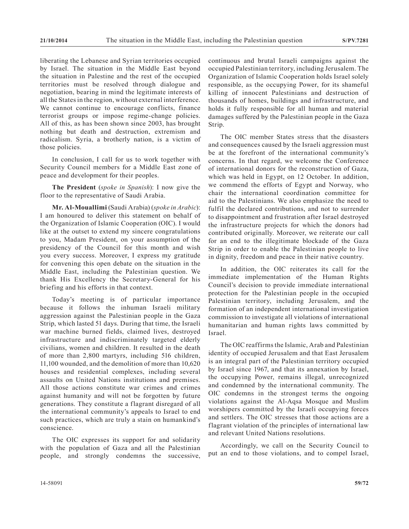liberating the Lebanese and Syrian territories occupied by Israel. The situation in the Middle East beyond the situation in Palestine and the rest of the occupied territories must be resolved through dialogue and negotiation, bearing in mind the legitimate interests of all the States in the region, without external interference. We cannot continue to encourage conflicts, finance terrorist groups or impose regime-change policies. All of this, as has been shown since 2003, has brought nothing but death and destruction, extremism and radicalism. Syria, a brotherly nation, is a victim of those policies.

In conclusion, I call for us to work together with Security Council members for a Middle East zone of peace and development for their peoples.

**The President** (*spoke in Spanish*): I now give the floor to the representative of Saudi Arabia.

**Mr. Al-Mouallimi** (Saudi Arabia) (*spoke in Arabic*): I am honoured to deliver this statement on behalf of the Organization of Islamic Cooperation (OIC). I would like at the outset to extend my sincere congratulations to you, Madam President, on your assumption of the presidency of the Council for this month and wish you every success. Moreover, I express my gratitude for convening this open debate on the situation in the Middle East, including the Palestinian question. We thank His Excellency the Secretary-General for his briefing and his efforts in that context.

Today's meeting is of particular importance because it follows the inhuman Israeli military aggression against the Palestinian people in the Gaza Strip, which lasted 51 days. During that time, the Israeli war machine burned fields, claimed lives, destroyed infrastructure and indiscriminately targeted elderly civilians, women and children. It resulted in the death of more than 2,800 martyrs, including 516 children, 11,100 wounded, and the demolition of more than 10,620 houses and residential complexes, including several assaults on United Nations institutions and premises. All those actions constitute war crimes and crimes against humanity and will not be forgotten by future generations. They constitute a flagrant disregard of all the international community's appeals to Israel to end such practices, which are truly a stain on humankind's conscience.

The OIC expresses its support for and solidarity with the population of Gaza and all the Palestinian people, and strongly condemns the successive, continuous and brutal Israeli campaigns against the occupied Palestinian territory, including Jerusalem. The Organization of Islamic Cooperation holds Israel solely responsible, as the occupying Power, for its shameful killing of innocent Palestinians and destruction of thousands of homes, buildings and infrastructure, and holds it fully responsible for all human and material damages suffered by the Palestinian people in the Gaza Strip.

The OIC member States stress that the disasters and consequences caused by the Israeli aggression must be at the forefront of the international community's concerns. In that regard, we welcome the Conference of international donors for the reconstruction of Gaza, which was held in Egypt, on 12 October. In addition, we commend the efforts of Egypt and Norway, who chair the international coordination committee for aid to the Palestinians. We also emphasize the need to fulfil the declared contributions, and not to surrender to disappointment and frustration after Israel destroyed the infrastructure projects for which the donors had contributed originally. Moreover, we reiterate our call for an end to the illegitimate blockade of the Gaza Strip in order to enable the Palestinian people to live in dignity, freedom and peace in their native country.

In addition, the OIC reiterates its call for the immediate implementation of the Human Rights Council's decision to provide immediate international protection for the Palestinian people in the occupied Palestinian territory, including Jerusalem, and the formation of an independent international investigation commission to investigate all violations of international humanitarian and human rights laws committed by Israel.

The OIC reaffirms the Islamic, Arab and Palestinian identity of occupied Jerusalem and that East Jerusalem is an integral part of the Palestinian territory occupied by Israel since 1967, and that its annexation by Israel, the occupying Power, remains illegal, unrecognized and condemned by the international community. The OIC condemns in the strongest terms the ongoing violations against the Al-Aqsa Mosque and Muslim worshipers committed by the Israeli occupying forces and settlers. The OIC stresses that those actions are a flagrant violation of the principles of international law and relevant United Nations resolutions.

Accordingly, we call on the Security Council to put an end to those violations, and to compel Israel,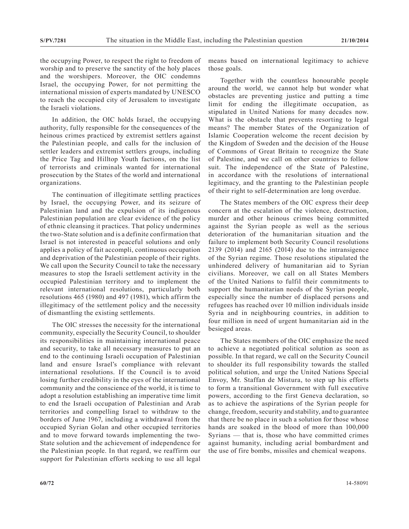the occupying Power, to respect the right to freedom of worship and to preserve the sanctity of the holy places and the worshipers. Moreover, the OIC condemns Israel, the occupying Power, for not permitting the international mission of experts mandated by UNESCO to reach the occupied city of Jerusalem to investigate the Israeli violations.

In addition, the OIC holds Israel, the occupying authority, fully responsible for the consequences of the heinous crimes practiced by extremist settlers against the Palestinian people, and calls for the inclusion of settler leaders and extremist settlers groups, including the Price Tag and Hilltop Youth factions, on the list of terrorists and criminals wanted for international prosecution by the States of the world and international organizations.

The continuation of illegitimate settling practices by Israel, the occupying Power, and its seizure of Palestinian land and the expulsion of its indigenous Palestinian population are clear evidence of the policy of ethnic cleansing it practices. That policy undermines the two-State solution and is a definite confirmation that Israel is not interested in peaceful solutions and only applies a policy of fait accompli, continuous occupation and deprivation of the Palestinian people of their rights. We call upon the Security Council to take the necessary measures to stop the Israeli settlement activity in the occupied Palestinian territory and to implement the relevant international resolutions, particularly both resolutions 465 (1980) and 497 (1981), which affirm the illegitimacy of the settlement policy and the necessity of dismantling the existing settlements.

The OIC stresses the necessity for the international community, especially the Security Council, to shoulder its responsibilities in maintaining international peace and security, to take all necessary measures to put an end to the continuing Israeli occupation of Palestinian land and ensure Israel's compliance with relevant international resolutions. If the Council is to avoid losing further credibility in the eyes of the international community and the conscience of the world, it is time to adopt a resolution establishing an imperative time limit to end the Israeli occupation of Palestinian and Arab territories and compelling Israel to withdraw to the borders of June 1967, including a withdrawal from the occupied Syrian Golan and other occupied territories and to move forward towards implementing the two-State solution and the achievement of independence for the Palestinian people. In that regard, we reaffirm our support for Palestinian efforts seeking to use all legal

means based on international legitimacy to achieve those goals.

Together with the countless honourable people around the world, we cannot help but wonder what obstacles are preventing justice and putting a time limit for ending the illegitimate occupation, as stipulated in United Nations for many decades now. What is the obstacle that prevents resorting to legal means? The member States of the Organization of Islamic Cooperation welcome the recent decision by the Kingdom of Sweden and the decision of the House of Commons of Great Britain to recognize the State of Palestine, and we call on other countries to follow suit. The independence of the State of Palestine, in accordance with the resolutions of international legitimacy, and the granting to the Palestinian people of their right to self-determination are long overdue.

The States members of the OIC express their deep concern at the escalation of the violence, destruction, murder and other heinous crimes being committed against the Syrian people as well as the serious deterioration of the humanitarian situation and the failure to implement both Security Council resolutions 2139 (2014) and 2165 (2014) due to the intransigence of the Syrian regime. Those resolutions stipulated the unhindered delivery of humanitarian aid to Syrian civilians. Moreover, we call on all States Members of the United Nations to fulfil their commitments to support the humanitarian needs of the Syrian people, especially since the number of displaced persons and refugees has reached over 10 million individuals inside Syria and in neighbouring countries, in addition to four million in need of urgent humanitarian aid in the besieged areas.

The States members of the OIC emphasize the need to achieve a negotiated political solution as soon as possible. In that regard, we call on the Security Council to shoulder its full responsibility towards the stalled political solution, and urge the United Nations Special Envoy, Mr. Staffan de Mistura, to step up his efforts to form a transitional Government with full executive powers, according to the first Geneva declaration, so as to achieve the aspirations of the Syrian people for change, freedom, security and stability, and to guarantee that there be no place in such a solution for those whose hands are soaked in the blood of more than 100,000 Syrians — that is, those who have committed crimes against humanity, including aerial bombardment and the use of fire bombs, missiles and chemical weapons.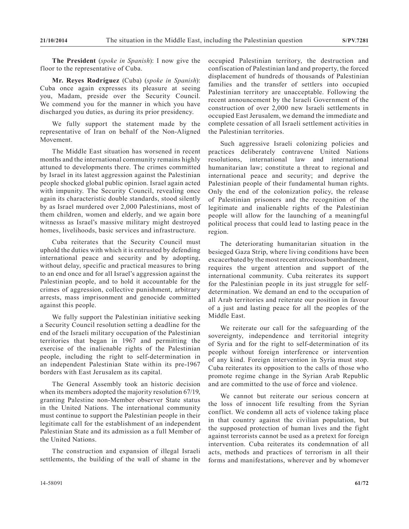**The President** (*spoke in Spanish*): I now give the floor to the representative of Cuba.

**Mr. Reyes Rodríguez** (Cuba) (*spoke in Spanish*): Cuba once again expresses its pleasure at seeing you, Madam, preside over the Security Council. We commend you for the manner in which you have discharged you duties, as during its prior presidency.

We fully support the statement made by the representative of Iran on behalf of the Non-Aligned Movement.

The Middle East situation has worsened in recent months and the international community remains highly attuned to developments there. The crimes committed by Israel in its latest aggression against the Palestinian people shocked global public opinion. Israel again acted with impunity. The Security Council, revealing once again its characteristic double standards, stood silently by as Israel murdered over 2,000 Palestinians, most of them children, women and elderly, and we again bore witnesss as Israel's massive military might destroyed homes, livelihoods, basic services and infrastructure.

Cuba reiterates that the Security Council must uphold the duties with which it is entrusted by defending international peace and security and by adopting, without delay, specific and practical measures to bring to an end once and for all Israel's aggression against the Palestinian people, and to hold it accountable for the crimes of aggression, collective punishment, arbitrary arrests, mass imprisonment and genocide committed against this people.

We fully support the Palestinian initiative seeking a Security Council resolution setting a deadline for the end of the Israeli military occupation of the Palestinian territories that began in 1967 and permitting the exercise of the inalienable rights of the Palestinian people, including the right to self-determination in an independent Palestinian State within its pre-1967 borders with East Jerusalem as its capital.

The General Assembly took an historic decision when its members adopted the majority resolution 67/19, granting Palestine non-Member observer State status in the United Nations. The international community must continue to support the Palestinian people in their legitimate call for the establishment of an independent Palestinian State and its admission as a full Member of the United Nations.

The construction and expansion of illegal Israeli settlements, the building of the wall of shame in the occupied Palestinian territory, the destruction and confiscation of Palestinian land and property, the forced displacement of hundreds of thousands of Palestinian families and the transfer of settlers into occupied Palestinian territory are unacceptable. Following the recent announcement by the Israeli Government of the construction of over 2,000 new Israeli settlements in occupied East Jerusalem, we demand the immediate and complete cessation of all Israeli settlement activities in the Palestinian territories.

Such aggressive Israeli colonizing policies and practices deliberately contravene United Nations resolutions, international law and international humanitarian law; constitute a threat to regional and international peace and security; and deprive the Palestinian people of their fundamental human rights. Only the end of the colonization policy, the release of Palestinian prisoners and the recognition of the legitimate and inalienable rights of the Palestinian people will allow for the launching of a meaningful political process that could lead to lasting peace in the region.

The deteriorating humanitarian situation in the besieged Gaza Strip, where living conditions have been excacerbated by the most recent atrocious bombardment, requires the urgent attention and support of the international community. Cuba reiterates its support for the Palestinian people in its just struggle for selfdetermination. We demand an end to the occupation of all Arab territories and reiterate our position in favour of a just and lasting peace for all the peoples of the Middle East.

We reiterate our call for the safeguarding of the sovereignty, independence and territorial integrity of Syria and for the right to self-determination of its people without foreign interference or intervention of any kind. Foreign intervention in Syria must stop. Cuba reiterates its opposition to the calls of those who promote regime change in the Syrian Arab Republic and are committed to the use of force and violence.

We cannot but reiterate our serious concern at the loss of innocent life resulting from the Syrian conflict. We condemn all acts of violence taking place in that country against the civilian population, but the supposed protection of human lives and the fight against terrorists cannot be used as a pretext for foreign intervention. Cuba reiterates its condemnation of all acts, methods and practices of terrorism in all their forms and manifestations, wherever and by whomever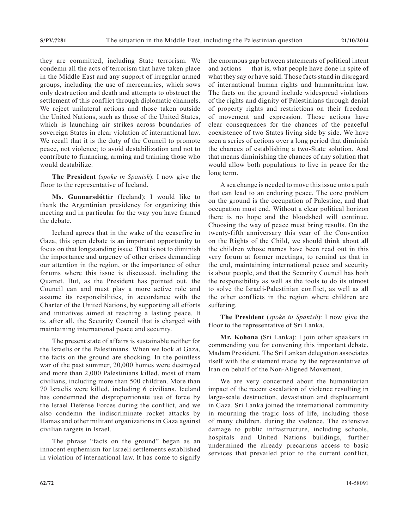they are committed, including State terrorism. We condemn all the acts of terrorism that have taken place in the Middle East and any support of irregular armed groups, including the use of mercenaries, which sows only destruction and death and attempts to obstruct the settlement of this conflict through diplomatic channels. We reject unilateral actions and those taken outside the United Nations, such as those of the United States, which is launching air strikes across boundaries of sovereign States in clear violation of international law. We recall that it is the duty of the Council to promote peace, not violence; to avoid destabilization and not to contribute to financing, arming and training those who would destabilize.

**The President** (*spoke in Spanish*): I now give the floor to the representative of Iceland.

**Ms. Gunnarsdóttir** (Iceland): I would like to thank the Argentinian presidency for organizing this meeting and in particular for the way you have framed the debate.

Iceland agrees that in the wake of the ceasefire in Gaza, this open debate is an important opportunity to focus on that longstanding issue. That is not to diminish the importance and urgency of other crises demanding our attention in the region, or the importance of other forums where this issue is discussed, including the Quartet. But, as the President has pointed out, the Council can and must play a more active role and assume its responsibilities, in accordance with the Charter of the United Nations, by supporting all efforts and initiatives aimed at reaching a lasting peace. It is, after all, the Security Council that is charged with maintaining international peace and security.

The present state of affairs is sustainable neither for the Israelis or the Palestinians. When we look at Gaza, the facts on the ground are shocking. In the pointless war of the past summer, 20,000 homes were destroyed and more than 2,000 Palestinians killed, most of them civilians, including more than 500 children. More than 70 Israelis were killed, including 6 civilians. Iceland has condemned the disproportionate use of force by the Israel Defense Forces during the conflict, and we also condemn the indiscriminate rocket attacks by Hamas and other militant organizations in Gaza against civilian targets in Israel.

The phrase "facts on the ground" began as an innocent euphemism for Israeli settlements established in violation of international law. It has come to signify the enormous gap between statements of political intent and actions — that is, what people have done in spite of what they say or have said. Those facts stand in disregard of international human rights and humanitarian law. The facts on the ground include widespread violations of the rights and dignity of Palestinians through denial of property rights and restrictions on their freedom of movement and expression. Those actions have clear consequences for the chances of the peaceful coexistence of two States living side by side. We have seen a series of actions over a long period that diminish the chances of establishing a two-State solution. And that means diminishing the chances of any solution that would allow both populations to live in peace for the long term.

A sea change is needed to move this issue onto a path that can lead to an enduring peace. The core problem on the ground is the occupation of Palestine, and that occupation must end. Without a clear political horizon there is no hope and the bloodshed will continue. Choosing the way of peace must bring results. On the twenty-fifth anniversary this year of the Convention on the Rights of the Child, we should think about all the children whose names have been read out in this very forum at former meetings, to remind us that in the end, maintaining international peace and security is about people, and that the Security Council has both the responsibility as well as the tools to do its utmost to solve the Israeli-Palestinian conflict, as well as all the other conflicts in the region where children are suffering.

**The President** (*spoke in Spanish*): I now give the floor to the representative of Sri Lanka.

**Mr. Kohona** (Sri Lanka): I join other speakers in commending you for convening this important debate, Madam President. The Sri Lankan delegation associates itself with the statement made by the representative of Iran on behalf of the Non-Aligned Movement.

We are very concerned about the humanitarian impact of the recent escalation of violence resulting in large-scale destruction, devastation and displacement in Gaza. Sri Lanka joined the international community in mourning the tragic loss of life, including those of many children, during the violence. The extensive damage to public infrastructure, including schools, hospitals and United Nations buildings, further undermined the already precarious access to basic services that prevailed prior to the current conflict,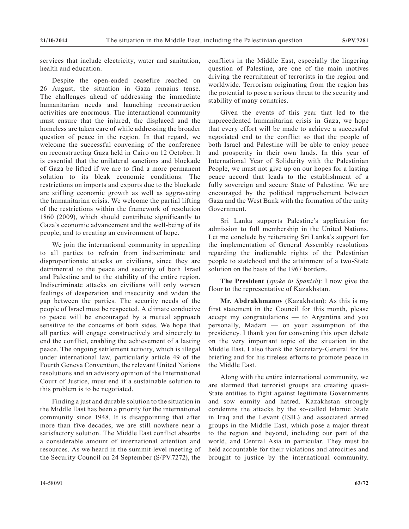services that include electricity, water and sanitation, health and education.

Despite the open-ended ceasefire reached on 26 August, the situation in Gaza remains tense. The challenges ahead of addressing the immediate humanitarian needs and launching reconstruction activities are enormous. The international community must ensure that the injured, the displaced and the homeless are taken care of while addressing the broader question of peace in the region. In that regard, we welcome the successful convening of the conference on reconstructing Gaza held in Cairo on 12 October. It is essential that the unilateral sanctions and blockade of Gaza be lifted if we are to find a more permanent solution to its bleak economic conditions. The restrictions on imports and exports due to the blockade are stifling economic growth as well as aggravating the humanitarian crisis. We welcome the partial lifting of the restrictions within the framework of resolution 1860 (2009), which should contribute significantly to Gaza's economic advancement and the well-being of its people, and to creating an environment of hope.

We join the international community in appealing to all parties to refrain from indiscriminate and disproportionate attacks on civilians, since they are detrimental to the peace and security of both Israel and Palestine and to the stability of the entire region. Indiscriminate attacks on civilians will only worsen feelings of desperation and insecurity and widen the gap between the parties. The security needs of the people of Israel must be respected. A climate conducive to peace will be encouraged by a mutual approach sensitive to the concerns of both sides. We hope that all parties will engage constructively and sincerely to end the conflict, enabling the achievement of a lasting peace. The ongoing settlement activity, which is illegal under international law, particularly article 49 of the Fourth Geneva Convention, the relevant United Nations resolutions and an advisory opinion of the International Court of Justice, must end if a sustainable solution to this problem is to be negotiated.

Finding a just and durable solution to the situation in the Middle East has been a priority for the international community since 1948. It is disappointing that after more than five decades, we are still nowhere near a satisfactory solution. The Middle East conflict absorbs a considerable amount of international attention and resources. As we heard in the summit-level meeting of the Security Council on 24 September (S/PV.7272), the

conflicts in the Middle East, especially the lingering question of Palestine, are one of the main motives driving the recruitment of terrorists in the region and worldwide. Terrorism originating from the region has the potential to pose a serious threat to the security and stability of many countries.

Given the events of this year that led to the unprecedented humanitarian crisis in Gaza, we hope that every effort will be made to achieve a successful negotiated end to the conflict so that the people of both Israel and Palestine will be able to enjoy peace and prosperity in their own lands. In this year of International Year of Solidarity with the Palestinian People, we must not give up on our hopes for a lasting peace accord that leads to the establishment of a fully sovereign and secure State of Palestine. We are encouraged by the political rapprochement between Gaza and the West Bank with the formation of the unity Government.

Sri Lanka supports Palestine's application for admission to full membership in the United Nations. Let me conclude by reiterating Sri Lanka's support for the implementation of General Assembly resolutions regarding the inalienable rights of the Palestinian people to statehood and the attainment of a two-State solution on the basis of the 1967 borders.

**The President** (*spoke in Spanish*): I now give the floor to the representative of Kazakhstan.

**Mr. Abdrakhmanov** (Kazakhstan): As this is my first statement in the Council for this month, please accept my congratulations — to Argentina and you personally, Madam — on your assumption of the presidency. I thank you for convening this open debate on the very important topic of the situation in the Middle East. I also thank the Secretary-General for his briefing and for his tireless efforts to promote peace in the Middle East.

Along with the entire international community, we are alarmed that terrorist groups are creating quasi-State entities to fight against legitimate Governments and sow enmity and hatred. Kazakhstan strongly condemns the attacks by the so-called Islamic State in Iraq and the Levant (ISIL) and associated armed groups in the Middle East, which pose a major threat to the region and beyond, including our part of the world, and Central Asia in particular. They must be held accountable for their violations and atrocities and brought to justice by the international community.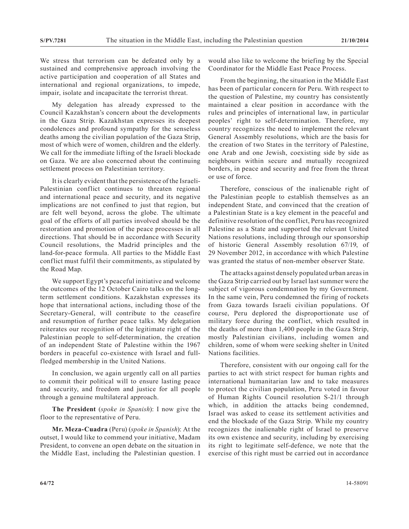We stress that terrorism can be defeated only by a sustained and comprehensive approach involving the active participation and cooperation of all States and international and regional organizations, to impede, impair, isolate and incapacitate the terrorist threat.

My delegation has already expressed to the Council Kazakhstan's concern about the developments in the Gaza Strip. Kazakhstan expresses its deepest condolences and profound sympathy for the senseless deaths among the civilian population of the Gaza Strip, most of which were of women, children and the elderly. We call for the immediate lifting of the Israeli blockade on Gaza. We are also concerned about the continuing settlement process on Palestinian territory.

It is clearly evident that the persistence of the Israeli-Palestinian conflict continues to threaten regional and international peace and security, and its negative implications are not confined to just that region, but are felt well beyond, across the globe. The ultimate goal of the efforts of all parties involved should be the restoration and promotion of the peace processes in all directions. That should be in accordance with Security Council resolutions, the Madrid principles and the land-for-peace formula. All parties to the Middle East conflict must fulfil their commitments, as stipulated by the Road Map.

We support Egypt's peaceful initiative and welcome the outcomes of the 12 October Cairo talks on the longterm settlement conditions. Kazakhstan expresses its hope that international actions, including those of the Secretary-General, will contribute to the ceasefire and resumption of further peace talks. My delegation reiterates our recognition of the legitimate right of the Palestinian people to self-determination, the creation of an independent State of Palestine within the 1967 borders in peaceful co-existence with Israel and fullfledged membership in the United Nations.

In conclusion, we again urgently call on all parties to commit their political will to ensure lasting peace and security, and freedom and justice for all people through a genuine multilateral approach.

**The President** (*spoke in Spanish*): I now give the floor to the representative of Peru.

**Mr. Meza-Cuadra** (Peru) (*spoke in Spanish*): At the outset, I would like to commend your initiative, Madam President, to convene an open debate on the situation in the Middle East, including the Palestinian question. I would also like to welcome the briefing by the Special Coordinator for the Middle East Peace Process.

From the beginning, the situation in the Middle East has been of particular concern for Peru. With respect to the question of Palestine, my country has consistently maintained a clear position in accordance with the rules and principles of international law, in particular peoples' right to self-determination. Therefore, my country recognizes the need to implement the relevant General Assembly resolutions, which are the basis for the creation of two States in the territory of Palestine, one Arab and one Jewish, coexisting side by side as neighbours within secure and mutually recognized borders, in peace and security and free from the threat or use of force.

Therefore, conscious of the inalienable right of the Palestinian people to establish themselves as an independent State, and convinced that the creation of a Palestinian State is a key element in the peaceful and definitive resolution of the conflict, Peru has recognized Palestine as a State and supported the relevant United Nations resolutions, including through our sponsorship of historic General Assembly resolution 67/19, of 29 November 2012, in accordance with which Palestine was granted the status of non-member observer State.

The attacks against densely populated urban areas in the Gaza Strip carried out by Israel last summer were the subject of vigorous condemnation by my Government. In the same vein, Peru condemned the firing of rockets from Gaza towards Israeli civilian populations. Of course, Peru deplored the disproportionate use of military force during the conflict, which resulted in the deaths of more than 1,400 people in the Gaza Strip, mostly Palestinian civilians, including women and children, some of whom were seeking shelter in United Nations facilities.

Therefore, consistent with our ongoing call for the parties to act with strict respect for human rights and international humanitarian law and to take measures to protect the civilian population, Peru voted in favour of Human Rights Council resolution S-21/1 through which, in addition the attacks being condemned, Israel was asked to cease its settlement activities and end the blockade of the Gaza Strip. While my country recognizes the inalienable right of Israel to preserve its own existence and security, including by exercising its right to legitimate self-defence, we note that the exercise of this right must be carried out in accordance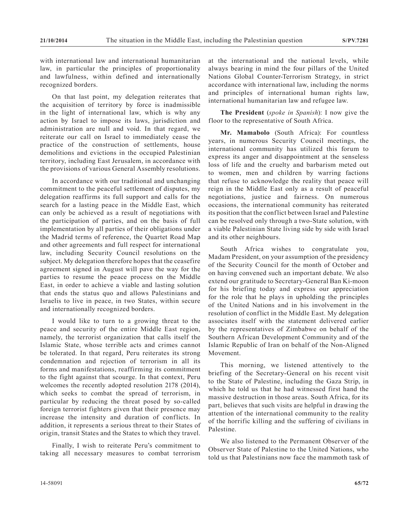with international law and international humanitarian law, in particular the principles of proportionality and lawfulness, within defined and internationally recognized borders.

On that last point, my delegation reiterates that the acquisition of territory by force is inadmissible in the light of international law, which is why any action by Israel to impose its laws, jurisdiction and administration are null and void. In that regard, we reiterate our call on Israel to immediately cease the practice of the construction of settlements, house demolitions and evictions in the occupied Palestinian territory, including East Jerusalem, in accordance with the provisions of various General Assembly resolutions.

In accordance with our traditional and unchanging commitment to the peaceful settlement of disputes, my delegation reaffirms its full support and calls for the search for a lasting peace in the Middle East, which can only be achieved as a result of negotiations with the participation of parties, and on the basis of full implementation by all parties of their obligations under the Madrid terms of reference, the Quartet Road Map and other agreements and full respect for international law, including Security Council resolutions on the subject. My delegation therefore hopes that the ceasefire agreement signed in August will pave the way for the parties to resume the peace process on the Middle East, in order to achieve a viable and lasting solution that ends the status quo and allows Palestinians and Israelis to live in peace, in two States, within secure and internationally recognized borders.

I would like to turn to a growing threat to the peace and security of the entire Middle East region, namely, the terrorist organization that calls itself the Islamic State, whose terrible acts and crimes cannot be tolerated. In that regard, Peru reiterates its strong condemnation and rejection of terrorism in all its forms and manifestations, reaffirming its commitment to the fight against that scourge. In that context, Peru welcomes the recently adopted resolution 2178 (2014), which seeks to combat the spread of terrorism, in particular by reducing the threat posed by so-called foreign terrorist fighters given that their presence may increase the intensity and duration of conflicts. In addition, it represents a serious threat to their States of origin, transit States and the States to which they travel.

Finally, I wish to reiterate Peru's commitment to taking all necessary measures to combat terrorism at the international and the national levels, while always bearing in mind the four pillars of the United Nations Global Counter-Terrorism Strategy, in strict accordance with international law, including the norms and principles of international human rights law, international humanitarian law and refugee law.

**The President** (*spoke in Spanish*): I now give the floor to the representative of South Africa.

**Mr. Mamabolo** (South Africa): For countless years, in numerous Security Council meetings, the international community has utilized this forum to express its anger and disappointment at the senseless loss of life and the cruelty and barbarism meted out to women, men and children by warring factions that refuse to acknowledge the reality that peace will reign in the Middle East only as a result of peaceful negotiations, justice and fairness. On numerous occasions, the international community has reiterated its position that the conflict between Israel and Palestine can be resolved only through a two-State solution, with a viable Palestinian State living side by side with Israel and its other neighbours.

South Africa wishes to congratulate you, Madam President, on your assumption of the presidency of the Security Council for the month of October and on having convened such an important debate. We also extend our gratitude to Secretary-General Ban Ki-moon for his briefing today and express our appreciation for the role that he plays in upholding the principles of the United Nations and in his involvement in the resolution of conflict in the Middle East. My delegation associates itself with the statement delivered earlier by the representatives of Zimbabwe on behalf of the Southern African Development Community and of the Islamic Republic of Iran on behalf of the Non-Aligned Movement.

This morning, we listened attentively to the briefing of the Secretary-General on his recent visit to the State of Palestine, including the Gaza Strip, in which he told us that he had witnessed first hand the massive destruction in those areas. South Africa, for its part, believes that such visits are helpful in drawing the attention of the international community to the reality of the horrific killing and the suffering of civilians in Palestine.

We also listened to the Permanent Observer of the Observer State of Palestine to the United Nations, who told us that Palestinians now face the mammoth task of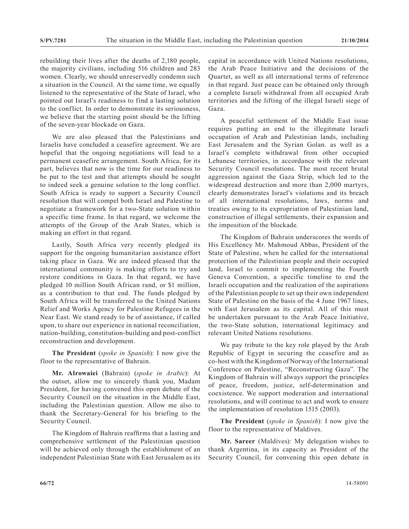rebuilding their lives after the deaths of 2,180 people, the majority civilians, including 516 children and 283 women. Clearly, we should unreservedly condemn such a situation in the Council. At the same time, we equally listened to the representative of the State of Israel, who pointed out Israel's readiness to find a lasting solution to the conflict. In order to demonstrate its seriousness, we believe that the starting point should be the lifting of the seven-year blockade on Gaza.

We are also pleased that the Palestinians and Israelis have concluded a ceasefire agreement. We are hopeful that the ongoing negotiations will lead to a permanent ceasefire arrangement. South Africa, for its part, believes that now is the time for our readiness to be put to the test and that attempts should be sought to indeed seek a genuine solution to the long conflict. South Africa is ready to support a Security Council resolution that will compel both Israel and Palestine to negotiate a framework for a two-State solution within a specific time frame. In that regard, we welcome the attempts of the Group of the Arab States, which is making an effort in that regard.

Lastly, South Africa very recently pledged its support for the ongoing humanitarian assistance effort taking place in Gaza. We are indeed pleased that the international community is making efforts to try and restore conditions in Gaza. In that regard, we have pledged 10 million South African rand, or \$1 million, as a contribution to that end. The funds pledged by South Africa will be transferred to the United Nations Relief and Works Agency for Palestine Refugees in the Near East. We stand ready to be of assistance, if called upon, to share our experience in national reconciliation, nation-building, constitution-building and post-conflict reconstruction and development.

**The President** (*spoke in Spanish*): I now give the floor to the representative of Bahrain.

**Mr. Alrowaiei** (Bahrain) (*spoke in Arabic*): At the outset, allow me to sincerely thank you, Madam President, for having convened this open debate of the Security Council on the situation in the Middle East, including the Palestinian question. Allow me also to thank the Secretary-General for his briefing to the Security Council.

The Kingdom of Bahrain reaffirms that a lasting and comprehensive settlement of the Palestinian question will be achieved only through the establishment of an independent Palestinian State with East Jerusalem as its capital in accordance with United Nations resolutions, the Arab Peace Initiative and the decisions of the Quartet, as well as all international terms of reference in that regard. Just peace can be obtained only through a complete Israeli withdrawal from all occupied Arab territories and the lifting of the illegal Israeli siege of Gaza.

A peaceful settlement of the Middle East issue requires putting an end to the illegitmate Israeli occupation of Arab and Palestinian lands, including East Jerusalem and the Syrian Golan. as well as a Israel's complete withdrawal from other occupied Lebanese territories, in accordance with the relevant Security Council resolutions. The most recent brutal aggression against the Gaza Strip, which led to the widespread destruction and more than 2,000 martyrs, clearly demonstrates Israel's violations and its breach of all international resolutions, laws, norms and treaties owing to its expropriation of Palestinian land, construction of illegal settlements, their expansion and the imposition of the blockade.

The Kingdom of Bahrain underscores the words of His Excellency Mr. Mahmoud Abbas, President of the State of Palestine, when he called for the international protection of the Palestinian people and their occupied land, Israel to commit to implementing the Fourth Geneva Convention, a specific timeline to end the Israeli occupation and the realization of the aspirations of the Palestinian people to set up their own independent State of Palestine on the basis of the 4 June 1967 lines, with East Jerusalem as its capital. All of this must be undertaken pursuant to the Arab Peace Initiative, the two-State solution, international legitimacy and relevant United Nations resolutions.

We pay tribute to the key role played by the Arab Republic of Egypt in securing the ceasefire and as co-host with the Kingdom of Norway of the International Conference on Palestine, "Reconstructing Gaza". The Kingdom of Bahrain will always support the principles of peace, freedom, justice, self-determination and coexistence. We support moderation and international resolutions, and will continue to act and work to ensure the implementation of resolution 1515 (2003).

**The President** (*spoke in Spanish*): I now give the floor to the representative of Maldives.

**Mr. Sareer** (Maldives): My delegation wishes to thank Argentina, in its capacity as President of the Security Council, for convening this open debate in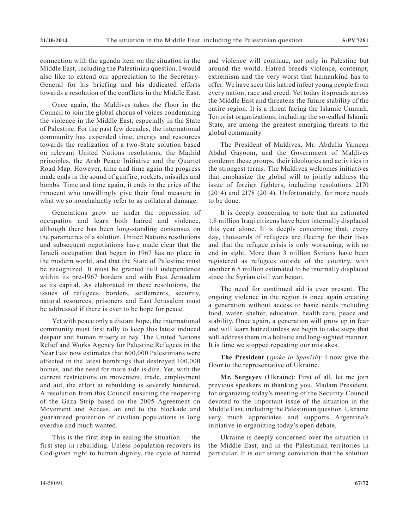connection with the agenda item on the situation in the Middle East, including the Palestinian question. I would also like to extend our appreciation to the Secretary-General for his briefing and his dedicated efforts towards a resolution of the conflicts in the Middle East.

Once again, the Maldives takes the floor in the Council to join the global chorus of voices condemning the violence in the Middle East, especially in the State of Palestine. For the past few decades, the international community has expended time, energy and resources towards the realization of a two-State solution based on relevant United Nations resolutions, the Madrid principles, the Arab Peace Initiative and the Quartet Road Map. However, time and time again the progress made ends in the sound of gunfire, rockets, missiles and bombs. Time and time again, it ends in the cries of the innocent who unwillingly give their final measure in what we so nonchalantly refer to as collateral damage.

Generations grow up under the oppression of occupation and learn both hatred and violence, although there has been long-standing consensus on the parametres of a solution. United Nations resolutions and subsequent negotiations have made clear that the Israeli occupation that began in 1967 has no place in the modern world, and that the State of Palestine must be recognized. It must be granted full independence within its pre-1967 borders and with East Jerusalem as its capital. As elaborated in these resolutions, the issues of refugees, borders, settlements, security, natural resources, prisoners and East Jerusalem must be addressed if there is ever to be hope for peace.

Yet with peace only a distant hope, the international community must first rally to keep this latest induced despair and human misery at bay. The United Nations Relief and Works Agency for Palestine Refugees in the Near East now estimates that 600,000 Palestinians were affected in the latest bombings that destroyed 100,000 homes, and the need for more aide is dire. Yet, with the current restrictions on movement, trade, employment and aid, the effort at rebuilding is severely hindered. A resolution from this Council ensuring the reopening of the Gaza Strip based on the 2005 Agreement on Movement and Access, an end to the blockade and guaranteed protection of civilian populations is long overdue and much wanted.

This is the first step in easing the situation — the first step in rebuilding. Unless population recovers its God-given right to human dignity, the cycle of hatred and violence will continue, not only in Palestine but around the world. Hatred breeds violence, contempt, extremism and the very worst that humankind has to offer. We have seen this hatred infect young people from every nation, race and creed. Yet today it spreads across the Middle East and threatens the future stability of the entire region. It is a threat facing the Islamic Ummah. Terrorist organizations, including the so-called Islamic State, are among the greatest emerging threats to the global community.

The President of Maldives, Mr. Abdulla Yameen Abdul Gayoom, and the Government of Maldives condemn these groups, their ideologies and activities in the strongest terms. The Maldives welcomes initiatives that emphasize the global will to jointly address the issue of foreign fighters, including resolutions 2170 (2014) and 2178 (2014). Unfortunately, far more needs to be done.

It is deeply concerning to note that an estimated 1.8 million Iraqi citizens have been internally displaced this year alone. It is deeply concerning that, every day, thousands of refugees are fleeing for their lives and that the refugee crisis is only worsening, with no end in sight. More than 3 million Syrians have been registered as refugees outside of the country, with another 6.5 million estimated to be internally displaced since the Syrian civil war began.

The need for continued aid is ever present. The ongoing violence in the region is once again creating a generation without access to basic needs including food, water, shelter, education, health care, peace and stability. Once again, a generation will grow up in fear and will learn hatred unless we begin to take steps that will address them in a holistic and long-sighted manner. It is time we stopped repeating our mistakes.

**The President** (*spoke in Spanish*): I now give the floor to the representative of Ukraine.

**Mr. Sergeyev** (Ukraine): First of all, let me join previous speakers in thanking you, Madam President, for organizing today's meeting of the Security Council devoted to the important issue of the situation in the Middle East, including the Palestinian question. Ukraine very much appreciates and supports Argentina's initiative in organizing today's open debate.

Ukraine is deeply concerned over the situation in the Middle East, and in the Palestinian territories in particular. It is our strong conviction that the solution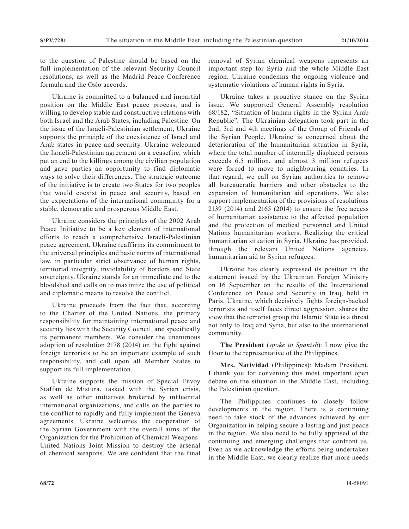to the question of Palestine should be based on the full implementation of the relevant Security Council resolutions, as well as the Madrid Peace Conference formula and the Oslo accords.

Ukraine is committed to a balanced and impartial position on the Middle East peace process, and is willing to develop stable and constructive relations with both Israel and the Arab States, including Palestine. On the issue of the Israeli-Palestinian settlement, Ukraine supports the principle of the coexistence of Israel and Arab states in peace and security. Ukraine welcomed the Israeli-Palestinian agreement on a ceasefire, which put an end to the killings among the civilian population and gave parties an opportunity to find diplomatic ways to solve their differences. The strategic outcome of the initiative is to create two States for two peoples that would coexist in peace and security, based on the expectations of the international community for a stable, democratic and prosperous Middle East.

Ukraine considers the principles of the 2002 Arab Peace Initiative to be a key element of international efforts to reach a comprehensive Israeli-Palestinian peace agreement. Ukraine reaffirms its commitment to the universal principles and basic norms of international law, in particular strict observance of human rights, territorial integrity, inviolability of borders and State sovereignty. Ukraine stands for an immediate end to the bloodshed and calls on to maximize the use of political and diplomatic means to resolve the conflict.

Ukraine proceeds from the fact that, according to the Charter of the United Nations, the primary responsibility for maintaining international peace and security lies with the Security Council, and specifically its permanent members. We consider the unanimous adoption of resolution 2178 (2014) on the fight against foreign terrorists to be an important example of such responsibility, and call upon all Member States to support its full implementation.

Ukraine supports the mission of Special Envoy Staffan de Mistura, tasked with the Syrian crisis, as well as other initiatives brokered by influential international organizations, and calls on the parties to the conflict to rapidly and fully implement the Geneva agreements. Ukraine welcomes the cooperation of the Syrian Government with the overall aims of the Organization for the Prohibition of Chemical Weapons-United Nations Joint Mission to destroy the arsenal of chemical weapons. We are confident that the final

removal of Syrian chemical weapons represents an important step for Syria and the whole Middle East region. Ukraine condemns the ongoing violence and systematic violations of human rights in Syria.

Ukraine takes a proactive stance on the Syrian issue. We supported General Assembly resolution 68/182, "Situation of human rights in the Syrian Arab Republic". The Ukrainian delegation took part in the 2nd, 3rd and 4th meetings of the Group of Friends of the Syrian People. Ukraine is concerned about the deterioration of the humanitarian situation in Syria, where the total number of internally displaced persons exceeds 6.5 million, and almost 3 million refugees were forced to move to neighbouring countries. In that regard, we call on Syrian authorities to remove all bureaucratic barriers and other obstacles to the expansion of humanitarian aid operations. We also support implementation of the provisions of resolutions 2139 (2014) and 2165 (2014) to ensure the free access of humanitarian assistance to the affected population and the protection of medical personnel and United Nations humanitarian workers. Realizing the critical humanitarian situation in Syria, Ukraine has provided, through the relevant United Nations agencies, humanitarian aid to Syrian refugees.

Ukraine has clearly expressed its position in the statement issued by the Ukrainian Foreign Ministry on 16 September on the results of the International Conference on Peace and Security in Iraq, held in Paris. Ukraine, which decisively fights foreign-backed terrorists and itself faces direct aggression, shares the view that the terrorist group the Islamic State is a threat not only to Iraq and Syria, but also to the international community.

**The President** (*spoke in Spanish*): I now give the floor to the representative of the Philippines.

**Mrs. Natividad** (Philippines): Madam President, I thank you for convening this most important open debate on the situation in the Middle East, including the Palestinian question.

The Philippines continues to closely follow developments in the region. There is a continuing need to take stock of the advances achieved by our Organization in helping secure a lasting and just peace in the region. We also need to be fully apprised of the continuing and emerging challenges that confront us. Even as we acknowledge the efforts being undertaken in the Middle East, we clearly realize that more needs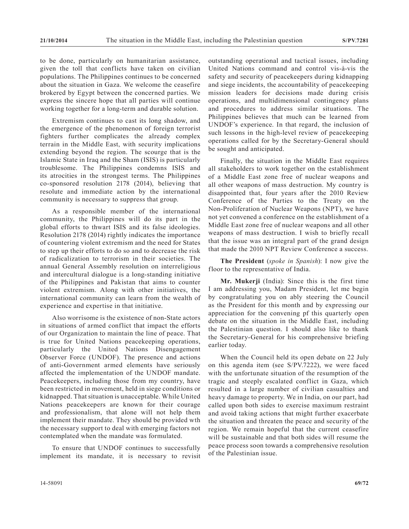to be done, particularly on humanitarian assistance, given the toll that conflicts have taken on civilian populations. The Philippines continues to be concerned about the situation in Gaza. We welcome the ceasefire brokered by Egypt between the concerned parties. We express the sincere hope that all parties will continue working together for a long-term and durable solution.

Extremism continues to cast its long shadow, and the emergence of the phenomenon of foreign terrorist fighters further complicates the already complex terrain in the Middle East, with security implications extending beyond the region. The scourge that is the Islamic State in Iraq and the Sham (ISIS) is particularly troublesome. The Philippines condemns ISIS and its atrocities in the strongest terms. The Philippines co-sponsored resolution 2178 (2014), believing that resolute and immediate action by the international community is necessary to suppress that group.

As a responsible member of the international community, the Philippines will do its part in the global efforts to thwart ISIS and its false ideologies. Resolution 2178 (2014) rightly indicates the importance of countering violent extremism and the need for States to step up their efforts to do so and to decrease the risk of radicalization to terrorism in their societies. The annual General Assembly resolution on interreligious and intercultural dialogue is a long-standing initiative of the Philippines and Pakistan that aims to counter violent extremism. Along with other initiatives, the international community can learn from the wealth of experience and expertise in that initiative.

Also worrisome is the existence of non-State actors in situations of armed conflict that impact the efforts of our Organization to maintain the line of peace. That is true for United Nations peacekeeping operations, particularly the United Nations Disengagement Observer Force (UNDOF). The presence and actions of anti-Government armed elements have seriously affected the implementation of the UNDOF mandate. Peacekeepers, including those from my country, have been restricted in movement, held in siege conditions or kidnapped. That situation is unacceptable. While United Nations peacekeepers are known for their courage and professionalism, that alone will not help them implement their mandate. They should be provided wth the necessary support to deal with emerging factors not contemplated when the mandate was formulated.

To ensure that UNDOF continues to successfully implement its mandate, it is necessary to revisit outstanding operational and tactical issues, including United Nations command and control vis-à-vis the safety and security of peacekeepers during kidnapping and siege incidents, the accountability of peacekeeping mission leaders for decisions made during crisis operations, and multidimensional contingency plans and procedures to address similar situations. The Philippines believes that much can be learned from UNDOF's experience. In that regard, the inclusion of such lessons in the high-level review of peacekeeping operations called for by the Secretary-General should be sought and anticipated.

Finally, the situation in the Middle East requires all stakeholders to work together on the establishment of a Middle East zone free of nuclear weapons and all other weapons of mass destruction. My country is disappointed that, four years after the 2010 Review Conference of the Parties to the Treaty on the Non-Proliferation of Nuclear Weapons (NPT), we have not yet convened a conference on the establishment of a Middle East zone free of nuclear weapons and all other weapons of mass destruction. I wish to briefly recall that the issue was an integral part of the grand design that made the 2010 NPT Review Conference a success.

**The President** (*spoke in Spanish*): I now give the floor to the representative of India.

**Mr. Mukerji** (India): Since this is the first time I am addressing you, Madam President, let me begin by congratulating you on ably steering the Council as the President for this month and by expressing our appreciation for the convening pf this quarterly open debate on the situation in the Middle East, including the Palestinian question. I should also like to thank the Secretary-General for his comprehensive briefing earlier today.

When the Council held its open debate on 22 July on this agenda item (see S/PV.7222), we were faced with the unfortunate situation of the resumption of the tragic and steeply escalated conflict in Gaza, which resulted in a large number of civilian casualties and heavy damage to property. We in India, on our part, had called upon both sides to exercise maximum restraint and avoid taking actions that might further exacerbate the situation and threaten the peace and security of the region. We remain hopeful that the current ceasefire will be sustainable and that both sides will resume the peace process soon towards a comprehensive resolution of the Palestinian issue.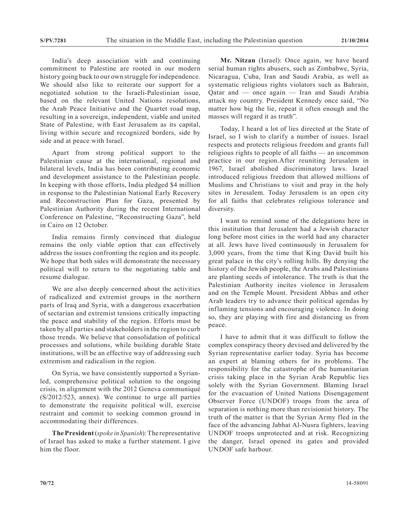India's deep association with and continuing commitment to Palestine are rooted in our modern history going back to our own struggle for independence. We should also like to reiterate our support for a negotiated solution to the Israeli-Palestinian issue, based on the relevant United Nations resolutions, the Arab Peace Initiative and the Quartet road map, resulting in a sovereign, independent, viable and united State of Palestine, with East Jerusalem as its capital, living within secure and recognized borders, side by side and at peace with Israel.

Apart from strong political support to the Palestinian cause at the international, regional and bilateral levels, India has been contributing economic and development assistance to the Palestinian people. In keeping with those efforts, India pledged \$4 million in response to the Palestinian National Early Recovery and Reconstruction Plan for Gaza, presented by Palestinian Authority during the recent International Conference on Palestine, "Reconstructing Gaza", held in Cairo on 12 October.

India remains firmly convinced that dialogue remains the only viable option that can effectively address the issues confronting the region and its people. We hope that both sides will demonstrate the necessary political will to return to the negotiating table and resume dialogue.

We are also deeply concerned about the activities of radicalized and extremist groups in the northern parts of Iraq and Syria, with a dangerous exacerbation of sectarian and extremist tensions critically impacting the peace and stability of the region. Efforts must be taken by all parties and stakeholders in the region to curb those trends. We believe that consolidation of political processes and solutions, while building durable State institutions, will be an effective way of addressing such extremism and radicalism in the region.

On Syria, we have consistently supported a Syrianled, comprehensive political solution to the ongoing crisis, in alignment with the 2012 Geneva communiqué (S/2012/523, annex). We continue to urge all parties to demonstrate the requisite political will, exercise restraint and commit to seeking common ground in accommodating their differences.

**The President** (*spoke in Spanish*): The representative of Israel has asked to make a further statement. I give him the floor.

**Mr. Nitzan** (Israel): Once again, we have heard serial human rights abusers, such as Zimbabwe, Syria, Nicaragua, Cuba, Iran and Saudi Arabia, as well as systematic religious rights violators such as Bahrain, Qatar and — once again — Iran and Saudi Arabia attack my country. President Kennedy once said, "No matter how big the lie, repeat it often enough and the masses will regard it as truth".

Today, I heard a lot of lies directed at the State of Israel, so I wish to clarify a number of issues. Israel respects and protects religious freedom and grants full religious rights to people of all faiths — an uncommon practice in our region.After reuniting Jerusalem in 1967, Israel abolished discriminatory laws. Israel introduced religious freedom that allowed millions of Muslims and Christians to visit and pray in the holy sites in Jerusalem. Today Jerusalem is an open city for all faiths that celebrates religious tolerance and diversity.

I want to remind some of the delegations here in this institution that Jerusalem had a Jewish character long before most cities in the world had any character at all. Jews have lived continuously in Jerusalem for 3,000 years, from the time that King David built his great palace in the city's rolling hills. By denying the history of the Jewish people, the Arabs and Palestinians are planting seeds of intolerance. The truth is that the Palestinian Authority incites violence in Jerusalem and on the Temple Mount. President Abbas and other Arab leaders try to advance their political agendas by inflaming tensions and encouraging violence. In doing so, they are playing with fire and distancing us from peace.

I have to admit that it was difficult to follow the complex conspiracy theory devised and delivered by the Syrian representative earlier today. Syria has become an expert at blaming others for its problems. The responsibility for the catastrophe of the humanitarian crisis taking place in the Syrian Arab Republic lies solely with the Syrian Government. Blaming Israel for the evacuation of United Nations Disengagement Observer Force (UNDOF) troops from the area of separation is nothing more than revisionist history. The truth of the matter is that the Syrian Army fled in the face of the advancing Jabhat Al-Nusra fighters, leaving UNDOF troops unprotected and at risk. Recognizing the danger, Israel opened its gates and provided UNDOF safe harbour.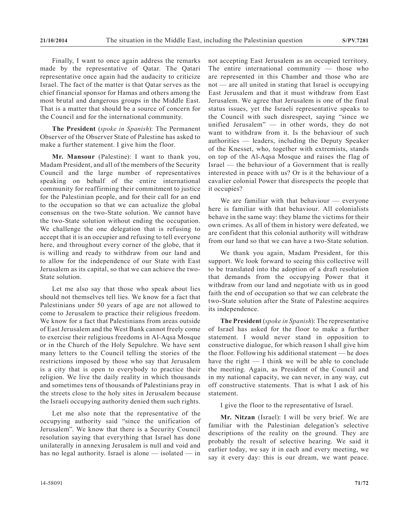Finally, I want to once again address the remarks made by the representative of Qatar. The Qatari representative once again had the audacity to criticize Israel. The fact of the matter is that Qatar serves as the chief financial sponsor for Hamas and others among the most brutal and dangerous groups in the Middle East. That is a matter that should be a source of concern for the Council and for the international community.

**The President** (*spoke in Spanish*): The Permanent Observer of the Observer State of Palestine has asked to make a further statement. I give him the floor.

**Mr. Mansour** (Palestine): I want to thank you, Madam President, and all of the members of the Security Council and the large number of representatives speaking on behalf of the entire international community for reaffirming their commitment to justice for the Palestinian people, and for their call for an end to the occupation so that we can actualize the global consensus on the two-State solution. We cannot have the two-State solution without ending the occupation. We challenge the one delegation that is refusing to accept that it is an occupier and refusing to tell everyone here, and throughout every corner of the globe, that it is willing and ready to withdraw from our land and to allow for the independence of our State with East Jerusalem as its capital, so that we can achieve the two-State solution.

Let me also say that those who speak about lies should not themselves tell lies. We know for a fact that Palestinians under 50 years of age are not allowed to come to Jerusalem to practice their religious freedom. We know for a fact that Palestinians from areas outside of East Jerusalem and the West Bank cannot freely come to exercise their religious freedoms in Al-Aqsa Mosque or in the Church of the Holy Sepulchre. We have sent many letters to the Council telling the stories of the restrictions imposed by those who say that Jerusalem is a city that is open to everybody to practice their religion. We live the daily reality in which thousands and sometimes tens of thousands of Palestinians pray in the streets close to the holy sites in Jerusalem because the Israeli occupying authority denied them such rights.

Let me also note that the representative of the occupying authority said "since the unification of Jerusalem". We know that there is a Security Council resolution saying that everything that Israel has done unilaterally in annexing Jerusalem is null and void and has no legal authority. Israel is alone — isolated — in

not accepting East Jerusalem as an occupied territory. The entire international community  $-$  those who are represented in this Chamber and those who are not — are all united in stating that Israel is occupying East Jerusalem and that it must withdraw from East Jerusalem. We agree that Jerusalem is one of the final status issues, yet the Israeli representative speaks to the Council with such disrespect, saying "since we unified Jerusalem" — in other words, they do not want to withdraw from it. Is the behaviour of such authorities — leaders, including the Deputy Speaker of the Knesset, who, together with extremists, stands on top of the Al-Aqsa Mosque and raises the flag of Israel — the behaviour of a Government that is really interested in peace with us? Or is it the behaviour of a cavalier colonial Power that disrespects the people that it occupies?

We are familiar with that behaviour — everyone here is familiar with that behaviour. All colonialists behave in the same way: they blame the victims for their own crimes. As all of them in history were defeated, we are confident that this colonial authority will withdraw from our land so that we can have a two-State solution.

We thank you again, Madam President, for this support. We look forward to seeing this collective will to be translated into the adoption of a draft resolution that demands from the occupying Power that it withdraw from our land and negotiate with us in good faith the end of occupation so that we can celebrate the two-State solution after the State of Palestine acquires its independence.

**The President** (*spoke in Spanish*): The representative of Israel has asked for the floor to make a further statement. I would never stand in opposition to constructive dialogue, for which reason I shall give him the floor. Following his additional statement — he does have the right — I think we will be able to conclude the meeting. Again, as President of the Council and in my national capacity, we can never, in any way, cut off constructive statements. That is what I ask of his statement.

I give the floor to the representative of Israel.

**Mr. Nitzan** (Israel): I will be very brief. We are familiar with the Palestinian delegation's selective descriptions of the reality on the ground. They are probably the result of selective hearing. We said it earlier today, we say it in each and every meeting, we say it every day: this is our dream, we want peace.